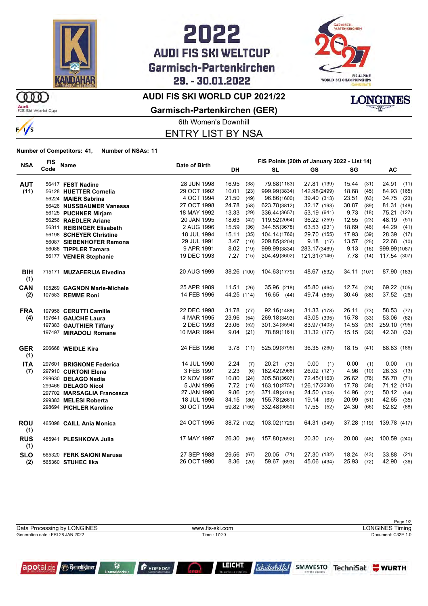

## 2022 **AUDI FIS SKI WELTCUP** Garmisch-Partenkirchen 29. - 30.01.2022



**LONGINES** 

### **AUDI FIS SKI WORLD CUP 2021/22**

Audi<br>FIS Ski World Cup

**OOO** 



**Garmisch-Partenkirchen (GER)**

6th Women's Downhill ENTRY LIST BY NSA

#### **Number of Competitors: 41, Number of NSAs: 11**

|                   | <b>FIS</b>                  |               | FIS Points (20th of January 2022 - List 14) |      |               |               |             |      |               |
|-------------------|-----------------------------|---------------|---------------------------------------------|------|---------------|---------------|-------------|------|---------------|
| <b>NSA</b>        | Name<br>Code                | Date of Birth | <b>DH</b>                                   |      | <b>SL</b>     | GS            | SG          |      | AC            |
| <b>AUT</b>        | 56417 FEST Nadine           | 28 JUN 1998   | 16.95                                       | (38) | 79.68(1183)   | 27.81 (139)   | 15.44       | (31) | 24.91 (11)    |
| (11)              | 56128 HUETTER Cornelia      | 29 OCT 1992   | 10.01                                       | (23) | 999.99(3834)  | 142.98(2499)  | 18.68       | (45) | 84.93 (165)   |
|                   | 56224 MAIER Sabrina         | 4 OCT 1994    | 21.50                                       | (49) | 96.86(1600)   | 39.40 (313)   | 23.51       | (63) | 34.75 (23)    |
|                   | 56426 NUSSBAUMER Vanessa    | 27 OCT 1998   | 24.78                                       | (58) | 623.78(3812)  | 32.17 (193)   | 30.87       | (89) | 81.31 (148)   |
|                   | 56125 PUCHNER Mirjam        | 18 MAY 1992   | 13.33                                       | (29) | 336.44(3657)  | 53.19 (641)   | 9.73        | (18) | 75.21 (127)   |
|                   | 56256 RAEDLER Ariane        | 20 JAN 1995   | 18.63                                       | (42) | 119.52(2064)  | 36.22 (259)   | 12.55       | (23) | 48.19<br>(51) |
|                   | 56311 REISINGER Elisabeth   | 2 AUG 1996    | 15.59                                       | (36) | 344.55(3678)  | 63.53 (931)   | 18.69       | (46) | 44.29<br>(41) |
|                   | 56198 SCHEYER Christine     | 18 JUL 1994   | 15.11                                       | (35) | 104.14(1766)  | 29.70 (155)   | 17.93       | (39) | 28.39<br>(17) |
|                   | 56087 SIEBENHOFER Ramona    | 29 JUL 1991   | 3.47                                        | (10) | 209.85(3204)  | 9.18(17)      | 13.57       | (25) | 22.68<br>(10) |
|                   | 56088 TIPPLER Tamara        | 9 APR 1991    | 8.02                                        | (19) | 999.99(3834)  | 283.17(3469)  | 9.13        | (16) | 999.99(1087)  |
|                   | 56177 VENIER Stephanie      | 19 DEC 1993   | 7.27                                        | (15) | 304.49(3602)  | 121.31(2146)  | 7.78        | (14) | 117.54 (307)  |
| <b>BIH</b><br>(1) | 715171 MUZAFERIJA Elvedina  | 20 AUG 1999   | 38.26 (100)                                 |      | 104.63(1779)  | 48.67 (532)   | 34.11 (107) |      | 87.90 (183)   |
| <b>CAN</b>        | 105269 GAGNON Marie-Michele | 25 APR 1989   | $11.51$ (26)                                |      | 35.96 (218)   | 45.80 (464)   | 12.74       | (24) | 69.22 (105)   |
| (2)               | 107583 REMME Roni           | 14 FEB 1996   | 44.25 (114)                                 |      | 16.65 (44)    | 49.74 (565)   | 30.46       | (88) | 37.52 (26)    |
| <b>FRA</b>        | 197956 CERUTTI Camille      | 22 DEC 1998   | 31.78                                       | (77) | 92.16(1488)   | 31.33 (178)   | 26.11       | (73) | 58.53<br>(77) |
| (4)               | 197641 GAUCHE Laura         | 4 MAR 1995    | 23.96                                       | (54) | 269.18(3493)  | 43.05 (395)   | 15.78       | (33) | 53.06<br>(62) |
|                   | 197383 GAUTHIER Tiffany     | 2 DEC 1993    | 23.06                                       | (52) | 301.34(3594)  | 83.97(1403)   | 14.53       | (26) | 259.10 (795)  |
|                   | 197497 MIRADOLI Romane      | 10 MAR 1994   | 9.04                                        | (21) | 78.89(1161)   | 31.32 (177)   | 15.15       | (30) | 42.30<br>(33) |
| <b>GER</b><br>(1) | 206668 WEIDLE Kira          | 24 FEB 1996   | 3.78                                        | (11) | 525.09(3795)  | 36.35 (260)   | 18.15       | (41) | 88.83 (186)   |
| <b>ITA</b>        | 297601 BRIGNONE Federica    | 14 JUL 1990   | 2.24                                        | (7)  | 20.21 (73)    | 0.00<br>(1)   | 0.00        | (1)  | (1)<br>0.00   |
| (7)               | 297910 CURTONI Elena        | 3 FEB 1991    | 2.23                                        | (6)  | 182.42(2968)  | 26.02 (121)   | 4.96        | (10) | 26.33<br>(13) |
|                   | 299630 DELAGO Nadia         | 12 NOV 1997   | 10.80                                       | (24) | 305.58(3607)  | 72.45(1163)   | 26.62       | (76) | 56.70<br>(71) |
|                   | 299466 DELAGO Nicol         | 5 JAN 1996    | 7.72                                        | (16) | 163.10(2757)  | 126.17(2230)  | 17.78       | (38) | 71.12 (112)   |
|                   | 297702 MARSAGLIA Francesca  | 27 JAN 1990   | 9.86                                        | (22) | 371.49(3705)  | 24.50 (103)   | 14.96       | (27) | 50.12 (54)    |
|                   | 299383 MELESI Roberta       | 18 JUL 1996   | 34.15                                       | (80) | 155.78(2661)  | 19.14<br>(63) | 20.99       | (51) | 42.65<br>(35) |
|                   | 298694 PICHLER Karoline     | 30 OCT 1994   | 59.82 (156)                                 |      | 332.48(3650)  | 17.55<br>(52) | 24.30       | (66) | 62.62 (88)    |
| <b>ROU</b><br>(1) | 465098 CAILL Ania Monica    | 24 OCT 1995   | 38.72 (102)                                 |      | 103.02(1729)  | 64.31 (949)   | 37.28 (119) |      | 139.78 (417)  |
| <b>RUS</b><br>(1) | 485941 PLESHKOVA Julia      | 17 MAY 1997   | 26.30                                       | (60) | 157.80(2692)  | 20.30<br>(73) | 20.08       | (48) | 100.59 (240)  |
| <b>SLO</b>        | 565320 FERK SAIONI Marusa   | 27 SEP 1988   | 29.56                                       | (67) | 20.05<br>(71) | 27.30 (132)   | 18.24       | (43) | 33.88<br>(21) |
| (2)               | 565360 STUHEC IIka          | 26 OCT 1990   | 8.36                                        | (20) | 59.67 (693)   | 45.06 (434)   | 25.93       | (72) | 42.90 (36)    |

|                                   |                 | Page 1/2               |
|-----------------------------------|-----------------|------------------------|
| Data Processing by LONGINES       | www.fis-ski.com | <b>LONGINES Timing</b> |
| Generation date : FRI 28 JAN 2022 | Time: 17:20     | Document: C32E 1.0     |
|                                   |                 |                        |
|                                   |                 |                        |



**F** HOMEDAY  $\mathbb{C}$ 

H

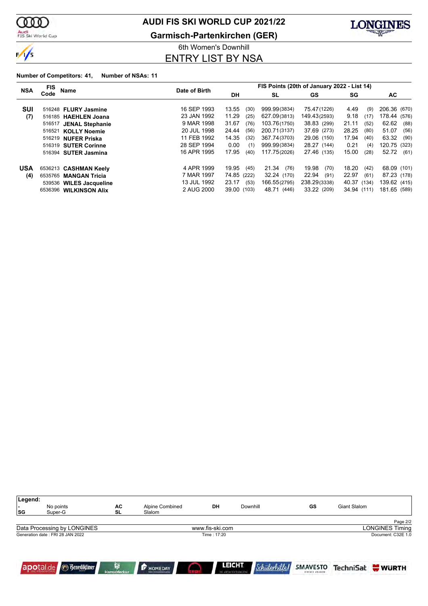

Audi<br>FIS Ski World Cup

### **AUDI FIS SKI WORLD CUP 2021/22**

**Garmisch-Partenkirchen (GER)**



6th Women's Downhill ENTRY LIST BY NSA

#### **Number of Competitors: 41, Number of NSAs: 11**

| <b>NSA</b> | <b>FIS</b><br>Name             | Date of Birth | FIS Points (20th of January 2022 - List 14) |               |               |               |               |  |  |
|------------|--------------------------------|---------------|---------------------------------------------|---------------|---------------|---------------|---------------|--|--|
|            | Code                           |               | DH.                                         | <b>SL</b>     | GS            | SG            | AC            |  |  |
| SUI        | 516248 FLURY Jasmine           | 16 SEP 1993   | 13.55<br>(30)                               | 999.99(3834)  | 75.47(1226)   | 4.49<br>(9)   | 206.36 (670)  |  |  |
| (7)        | 516185 HAEHLEN Joana           | 23 JAN 1992   | 11.29<br>(25)                               | 627.09(3813)  | 149.43(2593)  | 9.18<br>(17)  | 178.44 (576)  |  |  |
|            | 516517 JENAL Stephanie         | 9 MAR 1998    | 31.67<br>(76)                               | 103.76(1750)  | 38.83 (299)   | 21.11<br>(52) | 62.62<br>(88) |  |  |
|            | 516521<br><b>KOLLY Noemie</b>  | 20 JUL 1998   | 24.44<br>(56)                               | 200.71(3137)  | 37.69 (273)   | 28.25<br>(80) | 51.07<br>(56) |  |  |
|            | 516219 NUFER Priska            | 11 FEB 1992   | 14.35<br>(32)                               | 367.74(3703)  | 29.06 (150)   | 17.94<br>(40) | 63.32<br>(90) |  |  |
|            | 516319 SUTER Corinne           | 28 SEP 1994   | 0.00<br>(1)                                 | 999.99(3834)  | 28.27 (144)   | 0.21<br>(4)   | 120.75 (323)  |  |  |
|            | 516394<br><b>SUTER Jasmina</b> | 16 APR 1995   | 17.95<br>(40)                               | 117.75(2026)  | 27.46 (135)   | 15.00<br>(28) | 52.72<br>(61) |  |  |
| <b>USA</b> | 6536213 CASHMAN Keely          | 4 APR 1999    | 19.95<br>(45)                               | 21.34<br>(76) | 19.98<br>(70) | 18.20<br>(42) | 68.09 (101)   |  |  |
| (4)        | 6535765 MANGAN Tricia          | 7 MAR 1997    | 74.85 (222)                                 | 32.24 (170)   | 22.94<br>(91) | 22.97<br>(61) | 87.23 (178)   |  |  |
|            | 539536 WILES Jacqueline        | 13 JUL 1992   | 23.17<br>(53)                               | 166.55(2795)  | 238.29(3338)  | 40.37 (134)   | 139.62 (415)  |  |  |
|            | 6536396 WILKINSON Alix         | 2 AUG 2000    | 39.00 (103)                                 | 48.71 (446)   | 33.22 (209)   | 34.94 (111)   | 181.65 (589)  |  |  |

| Legend:<br>ı –<br> SG | No points<br>Super-G             | АC<br><b>SL</b>         | Alpine Combined<br>Slalom | DH              |                                       | Downhill             | GS                          | Giant Slalom |                        |
|-----------------------|----------------------------------|-------------------------|---------------------------|-----------------|---------------------------------------|----------------------|-----------------------------|--------------|------------------------|
|                       |                                  |                         |                           |                 |                                       |                      |                             |              | Page 2/2               |
|                       | Data Processing by LONGINES      |                         |                           | www.fis-ski.com |                                       |                      |                             |              | <b>LONGINES Timing</b> |
|                       | Generation date: FRI 28 JAN 2022 |                         |                           | Time: 17:20     |                                       |                      |                             |              | Document: C32E 1.0     |
|                       | apotal.de <b>Benediktiner</b>    | Ĥ<br><b>HanseMerkur</b> | <b>F</b> HOMEDAY          |                 | <b>LEICHT</b><br>DIE ARCHITEKTURKÜDHE | <i>Schülerhille!</i> | SMAVESTO<br>EINFACH ANLEGEN |              | TechniSat WURTH        |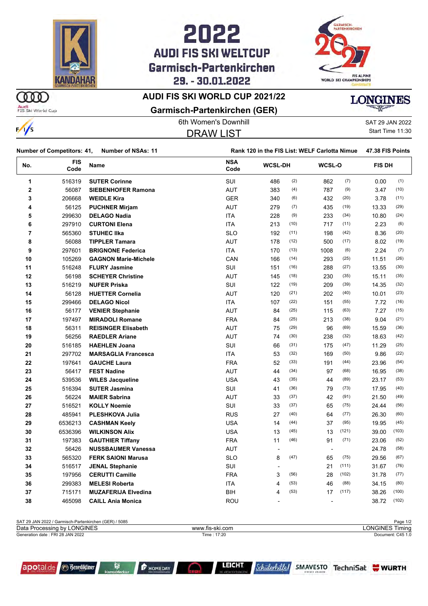

## **AUDI FIS SKI WELTCUP** Garmisch-Partenkirchen 29. - 30.01.2022



### **AUDI FIS SKI WORLD CUP 2021/22**

ന്ത Audi<br>FIS Ski World Cup





#### **Garmisch-Partenkirchen (GER)**

6th Women's Downhill SAT 29 JAN 2022  $\frac{1}{s}$ Start Time 11:30 DRAW LIST

|                         | <b>Number of Competitors: 41,</b><br><b>Number of NSAs: 11</b> |                             | Rank 120 in the FIS List: WELF Carlotta Nimue |                |      |                          |       | 47.38 FIS Points |       |
|-------------------------|----------------------------------------------------------------|-----------------------------|-----------------------------------------------|----------------|------|--------------------------|-------|------------------|-------|
| No.                     | <b>FIS</b><br>Code                                             | Name                        | <b>NSA</b><br>Code                            | <b>WCSL-DH</b> |      | WCSL-O                   |       | <b>FIS DH</b>    |       |
| 1                       | 516319                                                         | <b>SUTER Corinne</b>        | SUI                                           | 486            | (2)  | 862                      | (7)   | 0.00             | (1)   |
| $\overline{\mathbf{c}}$ | 56087                                                          | <b>SIEBENHOFER Ramona</b>   | <b>AUT</b>                                    | 383            | (4)  | 787                      | (9)   | 3.47             | (10)  |
| 3                       | 206668                                                         | <b>WEIDLE Kira</b>          | <b>GER</b>                                    | 340            | (6)  | 432                      | (20)  | 3.78             | (11)  |
| 4                       | 56125                                                          | <b>PUCHNER Mirjam</b>       | AUT                                           | 279            | (7)  | 435                      | (19)  | 13.33            | (29)  |
| 5                       | 299630                                                         | <b>DELAGO Nadia</b>         | <b>ITA</b>                                    | 228            | (9)  | 233                      | (34)  | 10.80            | (24)  |
| 6                       | 297910                                                         | <b>CURTONI Elena</b>        | <b>ITA</b>                                    | 213            | (10) | 717                      | (11)  | 2.23             | (6)   |
| 7                       | 565360                                                         | <b>STUHEC IIka</b>          | <b>SLO</b>                                    | 192            | (11) | 198                      | (42)  | 8.36             | (20)  |
| 8                       | 56088                                                          | <b>TIPPLER Tamara</b>       | <b>AUT</b>                                    | 178            | (12) | 500                      | (17)  | 8.02             | (19)  |
| 9                       | 297601                                                         | <b>BRIGNONE Federica</b>    | <b>ITA</b>                                    | 170            | (13) | 1008                     | (6)   | 2.24             | (7)   |
| 10                      | 105269                                                         | <b>GAGNON Marie-Michele</b> | CAN                                           | 166            | (14) | 293                      | (25)  | 11.51            | (26)  |
| 11                      | 516248                                                         | <b>FLURY Jasmine</b>        | SUI                                           | 151            | (16) | 288                      | (27)  | 13.55            | (30)  |
| 12                      | 56198                                                          | <b>SCHEYER Christine</b>    | AUT                                           | 145            | (18) | 230                      | (35)  | 15.11            | (35)  |
| 13                      | 516219                                                         | <b>NUFER Priska</b>         | SUI                                           | 122            | (19) | 209                      | (39)  | 14.35            | (32)  |
| 14                      | 56128                                                          | <b>HUETTER Cornelia</b>     | <b>AUT</b>                                    | 120            | (21) | 202                      | (40)  | 10.01            | (23)  |
| 15                      | 299466                                                         | <b>DELAGO Nicol</b>         | <b>ITA</b>                                    | 107            | (22) | 151                      | (55)  | 7.72             | (16)  |
| 16                      | 56177                                                          | <b>VENIER Stephanie</b>     | <b>AUT</b>                                    | 84             | (25) | 115                      | (63)  | 7.27             | (15)  |
| 17                      | 197497                                                         | <b>MIRADOLI Romane</b>      | <b>FRA</b>                                    | 84             | (25) | 213                      | (38)  | 9.04             | (21)  |
| 18                      | 56311                                                          | <b>REISINGER Elisabeth</b>  | <b>AUT</b>                                    | 75             | (29) | 96                       | (69)  | 15.59            | (36)  |
| 19                      | 56256                                                          | <b>RAEDLER Ariane</b>       | <b>AUT</b>                                    | 74             | (30) | 238                      | (32)  | 18.63            | (42)  |
| 20                      | 516185                                                         | <b>HAEHLEN Joana</b>        | SUI                                           | 66             | (31) | 175                      | (47)  | 11.29            | (25)  |
| 21                      | 297702                                                         | <b>MARSAGLIA Francesca</b>  | <b>ITA</b>                                    | 53             | (32) | 169                      | (50)  | 9.86             | (22)  |
| 22                      | 197641                                                         | <b>GAUCHE Laura</b>         | <b>FRA</b>                                    | 52             | (33) | 191                      | (44)  | 23.96            | (54)  |
| 23                      | 56417                                                          | <b>FEST Nadine</b>          | <b>AUT</b>                                    | 44             | (34) | 97                       | (68)  | 16.95            | (38)  |
| 24                      | 539536                                                         | <b>WILES Jacqueline</b>     | <b>USA</b>                                    | 43             | (35) | 44                       | (89)  | 23.17            | (53)  |
| 25                      | 516394                                                         | <b>SUTER Jasmina</b>        | SUI                                           | 41             | (36) | 79                       | (73)  | 17.95            | (40)  |
| 26                      | 56224                                                          | <b>MAIER Sabrina</b>        | <b>AUT</b>                                    | 33             | (37) | 42                       | (91)  | 21.50            | (49)  |
| 27                      | 516521                                                         | <b>KOLLY Noemie</b>         | SUI                                           | 33             | (37) | 65                       | (75)  | 24.44            | (56)  |
| 28                      | 485941                                                         | PLESHKOVA Julia             | <b>RUS</b>                                    | 27             | (40) | 64                       | (77)  | 26.30            | (60)  |
| 29                      | 6536213                                                        | <b>CASHMAN Keely</b>        | <b>USA</b>                                    | 14             | (44) | 37                       | (95)  | 19.95            | (45)  |
| 30                      | 6536396                                                        | <b>WILKINSON Alix</b>       | <b>USA</b>                                    | 13             | (45) | 13                       | (121) | 39.00            | (103) |
| 31                      | 197383                                                         | <b>GAUTHIER Tiffany</b>     | <b>FRA</b>                                    | 11             | (46) | 91                       | (71)  | 23.06            | (52)  |
| 32                      | 56426                                                          | <b>NUSSBAUMER Vanessa</b>   | <b>AUT</b>                                    |                |      | $\overline{\phantom{a}}$ |       | 24.78            | (58)  |
| 33                      | 565320                                                         | <b>FERK SAIONI Marusa</b>   | <b>SLO</b>                                    | 8              | (47) | 65                       | (75)  | 29.56            | (67)  |
| 34                      | 516517                                                         | <b>JENAL Stephanie</b>      | SUI                                           |                |      | 21                       | (111) | 31.67            | (76)  |
| 35                      | 197956                                                         | <b>CERUTTI Camille</b>      | <b>FRA</b>                                    | 3              | (56) | 28                       | (102) | 31.78            | (77)  |
| 36                      | 299383                                                         | <b>MELESI Roberta</b>       | <b>ITA</b>                                    | 4              | (53) | 46                       | (88)  | 34.15            | (80)  |
| 37                      | 715171                                                         | <b>MUZAFERIJA Elvedina</b>  | <b>BIH</b>                                    | 4              | (53) | 17                       | (117) | 38.26            | (100) |
| 38                      | 465098                                                         | <b>CAILL Ania Monica</b>    | ROU                                           | $\overline{a}$ |      | $\overline{a}$           |       | 38.72            | (102) |

| SAT 29 JAN 2022 / Garmisch-Partenkirchen (GER) / 5085 | Page 1/2        |                   |
|-------------------------------------------------------|-----------------|-------------------|
| Data Processing by LONGINES                           | www.fis-ski.com | LONGINES Timina   |
| Generation date: FRI 28 JAN 2022                      | Time: 17:20     | Document: C45 1.0 |

|  | apotal.de <b>Benediktiner</b> |
|--|-------------------------------|
|--|-------------------------------|

**F** HOMEDAY

Schülerhilfel SMAVESTO TechniSat WWRTH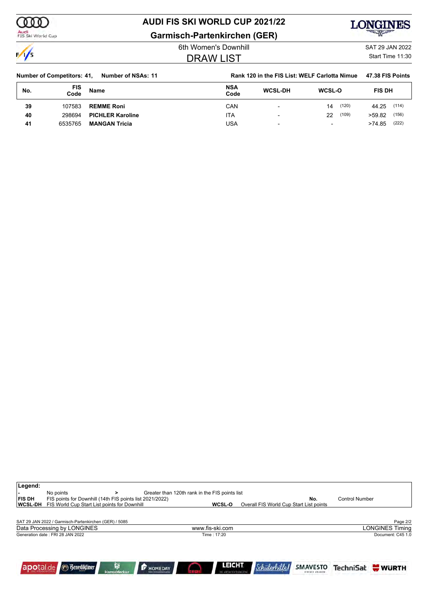ത്ത Audi<br>FIS Ski World Cup

### **AUDI FIS SKI WORLD CUP 2021/22**

**Garmisch-Partenkirchen (GER)**



 $\frac{1}{s}$ 

## DRAW LIST

Franchis Downhill SAT 29 JAN 2022 Start Time 11:30

| <b>Number of Competitors: 41,</b><br>Number of NSAs: 11 |             | Rank 120 in the FIS List: WELF Carlotta Nimue | 47.38 FIS Points |                          |                          |                 |
|---------------------------------------------------------|-------------|-----------------------------------------------|------------------|--------------------------|--------------------------|-----------------|
| No.                                                     | FIS<br>Code | Name                                          | NSA<br>Code      | <b>WCSL-DH</b>           | <b>WCSL-O</b>            | <b>FIS DH</b>   |
| 39                                                      | 107583      | <b>REMME Roni</b>                             | CAN              | $\overline{\phantom{a}}$ | (120)<br>14              | (114)<br>44.25  |
| 40                                                      | 298694      | <b>PICHLER Karoline</b>                       | ITA              | -                        | (109)<br>22              | (156)<br>>59.82 |
| 41                                                      | 6535765     | <b>MANGAN Tricia</b>                          | USA              |                          | $\overline{\phantom{0}}$ | (222)<br>>74.85 |

| Legend:<br>FIS DH<br><b>WCSL-DH</b> | No points<br>FIS points for Downhill (14th FIS points list 2021/2022)<br>FIS World Cup Start List points for Downhill |                         |                  | Greater than 120th rank in the FIS points list | WCSL-O          | Overall FIS World Cup Start List points | No.                                       | <b>Control Number</b> |                        |
|-------------------------------------|-----------------------------------------------------------------------------------------------------------------------|-------------------------|------------------|------------------------------------------------|-----------------|-----------------------------------------|-------------------------------------------|-----------------------|------------------------|
|                                     | SAT 29 JAN 2022 / Garmisch-Partenkirchen (GER) / 5085                                                                 |                         |                  |                                                |                 |                                         |                                           |                       | Page 2/2               |
|                                     | Data Processing by LONGINES                                                                                           |                         |                  |                                                | www.fis-ski.com |                                         |                                           |                       | <b>LONGINES Timing</b> |
|                                     | Generation date: FRI 28 JAN 2022                                                                                      |                         |                  |                                                | Time : 17:20    |                                         |                                           |                       | Document: C45 1.0      |
| apotal.de                           | <b><i>G</i></b> Benediktiner                                                                                          | Q<br><b>HanseMerkur</b> | <b>F</b> HOMEDAY |                                                | <b>LEICHT</b>   | Schülerhille                            | <b>SMAVESTO</b><br><b>EINFATH ANLEGEN</b> |                       | TechniSat WURTH        |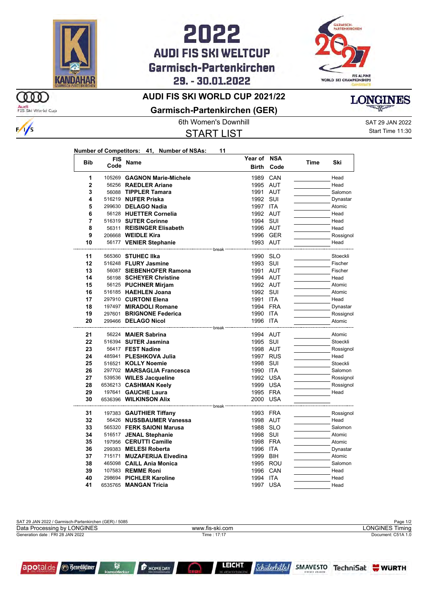

ഞ

Audi<br>FIS Ski World Cup

 $\frac{1}{s}$ 

## **AUDI FIS SKI WELTCUP** Garmisch-Partenkirchen 29. - 30.01.2022



**Time Ski**

### **AUDI FIS SKI WORLD CUP 2021/22**

**Garmisch-Partenkirchen (GER)**



START LIST

**Year of NSA**

6th Women's Downhill SAT 29 JAN 2022 Start Time 11:30

|            |          | Number of Competitors: 41, Number of NSAs: | 11 |
|------------|----------|--------------------------------------------|----|
| <b>Bib</b> | FIS Name |                                            |    |
|            |          | 105269 GAGNON Marie-Michele                |    |

| ыp             | Code | name                        | Birth                                                    | Code     | <b>Time</b> | SKI       |
|----------------|------|-----------------------------|----------------------------------------------------------|----------|-------------|-----------|
|                |      |                             |                                                          |          |             |           |
| 1              |      | 105269 GAGNON Marie-Michele |                                                          | 1989 CAN |             | Head      |
| $\overline{2}$ |      | 56256 RAEDLER Ariane        |                                                          | 1995 AUT |             | Head      |
| 3              |      | 56088 TIPPLER Tamara        |                                                          | 1991 AUT |             | Salomon   |
| 4              |      | 516219 NUFER Priska         |                                                          | 1992 SUI |             | Dynastar  |
| 5              |      | 299630 DELAGO Nadia         | 1997 ITA                                                 |          |             | Atomic    |
| 6              |      | 56128 HUETTER Cornelia      |                                                          | 1992 AUT |             | Head      |
| $\overline{7}$ |      | 516319 SUTER Corinne        |                                                          | 1994 SUI |             | Head      |
| 8              |      | 56311 REISINGER Elisabeth   |                                                          | 1996 AUT |             | Head      |
| 9              |      | 206668 WEIDLE Kira          |                                                          | 1996 GER |             | Rossignol |
| 10             |      | 56177 VENIER Stephanie      |                                                          | 1993 AUT |             | Head      |
|                |      |                             | ------------------------------ break ------------------- |          |             |           |
| 11             |      | 565360 STUHEC IIka          |                                                          | 1990 SLO |             | Stoeckli  |
| 12             |      | 516248 FLURY Jasmine        |                                                          | 1993 SUI |             | Fischer   |
| 13             |      | 56087 SIEBENHOFER Ramona    |                                                          | 1991 AUT |             | Fischer   |
| 14             |      | 56198 SCHEYER Christine     |                                                          | 1994 AUT |             | Head      |
| 15             |      | 56125 PUCHNER Mirjam        |                                                          | 1992 AUT |             | Atomic    |
| 16             |      | 516185 HAEHLEN Joana        |                                                          | 1992 SUI |             | Atomic    |
| 17             |      | 297910 CURTONI Elena        |                                                          | 1991 ITA |             | Head      |
| 18             |      | 197497 MIRADOLI Romane      |                                                          | 1994 FRA |             | Dynastar  |
| 19             |      | 297601 BRIGNONE Federica    | 1990 ITA                                                 |          |             | Rossignol |
| 20             |      | 299466 DELAGO Nicol         | 1996 ITA                                                 |          |             | Atomic    |
|                |      |                             | break                                                    |          |             |           |
| 21             |      | 56224 MAIER Sabrina         |                                                          | 1994 AUT |             | Atomic    |
| 22             |      | 516394 SUTER Jasmina        |                                                          | 1995 SUI |             | Stoeckli  |
| 23             |      | 56417 FEST Nadine           |                                                          | 1998 AUT |             | Rossignol |
| 24             |      | 485941 PLESHKOVA Julia      |                                                          | 1997 RUS |             | Head      |
| 25             |      | 516521 KOLLY Noemie         |                                                          | 1998 SUI |             | Stoeckli  |
| 26             |      | 297702 MARSAGLIA Francesca  | 1990 ITA                                                 |          |             | Salomon   |
| 27             |      | 539536 WILES Jacqueline     |                                                          | 1992 USA |             | Rossignol |
| 28             |      | 6536213 CASHMAN Keely       |                                                          | 1999 USA |             | Rossignol |
| 29             |      | 197641 GAUCHE Laura         |                                                          | 1995 FRA |             | Head      |
| 30             |      | 6536396 WILKINSON Alix      |                                                          | 2000 USA |             |           |
|                |      |                             |                                                          |          |             |           |
| 31             |      | 197383 GAUTHIER Tiffany     |                                                          | 1993 FRA |             | Rossignol |
| 32             |      | 56426 NUSSBAUMER Vanessa    |                                                          | 1998 AUT |             | Head      |
| 33             |      | 565320 FERK SAIONI Marusa   |                                                          | 1988 SLO |             | Salomon   |
| 34             |      | 516517 JENAL Stephanie      |                                                          | 1998 SUI |             | Atomic    |
| 35             |      | 197956 CERUTTI Camille      |                                                          | 1998 FRA |             | Atomic    |
| 36             |      | 299383 MELESI Roberta       |                                                          | 1996 ITA |             | Dynastar  |
| 37             |      | 715171 MUZAFERIJA Elvedina  |                                                          | 1999 BIH |             | Atomic    |
| 38             |      | 465098 CAILL Ania Monica    |                                                          | 1995 ROU |             | Salomon   |
| 39             |      | 107583 REMME Roni           |                                                          | 1996 CAN |             | Head      |
| 40             |      | 298694 PICHLER Karoline     | 1994 ITA                                                 |          |             | Head      |
| 41             |      | 6535765 MANGAN Tricia       |                                                          | 1997 USA |             | Head      |





**F** HOMEDAY

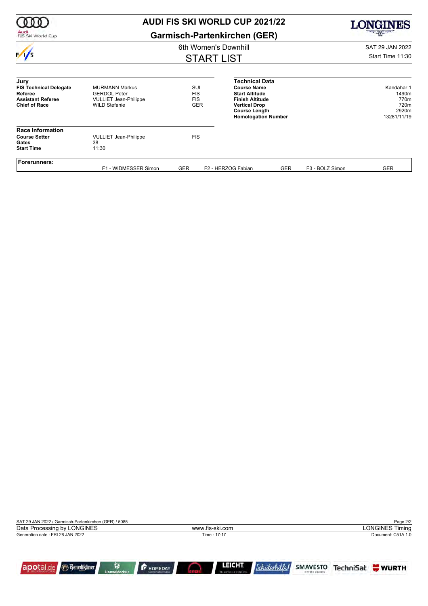|                                                                                              | <b>AUDI FIS SKI WORLD CUP 2021/22</b>                                                                |                                               | ONGINES                                                                                                                                             |                  |                 |                                                             |  |
|----------------------------------------------------------------------------------------------|------------------------------------------------------------------------------------------------------|-----------------------------------------------|-----------------------------------------------------------------------------------------------------------------------------------------------------|------------------|-----------------|-------------------------------------------------------------|--|
| Audi<br>FIS Ski World Cup                                                                    |                                                                                                      | <b>Garmisch-Partenkirchen (GER)</b>           |                                                                                                                                                     |                  |                 | 一个人的                                                        |  |
|                                                                                              |                                                                                                      | 6th Women's Downhill                          |                                                                                                                                                     |                  |                 | SAT 29 JAN 2022                                             |  |
| $\sqrt{}$                                                                                    |                                                                                                      | <b>START LIST</b>                             |                                                                                                                                                     | Start Time 11:30 |                 |                                                             |  |
| Jury                                                                                         |                                                                                                      |                                               | <b>Technical Data</b>                                                                                                                               |                  |                 |                                                             |  |
| <b>FIS Technical Delegate</b><br>Referee<br><b>Assistant Referee</b><br><b>Chief of Race</b> | <b>MURMANN Markus</b><br><b>GERDOL Peter</b><br><b>VULLIET Jean-Philippe</b><br><b>WILD Stefanie</b> | SUI<br><b>FIS</b><br><b>FIS</b><br><b>GER</b> | <b>Course Name</b><br><b>Start Altitude</b><br><b>Finish Altitude</b><br><b>Vertical Drop</b><br><b>Course Length</b><br><b>Homologation Number</b> |                  |                 | Kandahar 1<br>1490m<br>770m<br>720m<br>2920m<br>13281/11/19 |  |
| <b>Race Information</b>                                                                      |                                                                                                      |                                               |                                                                                                                                                     |                  |                 |                                                             |  |
| <b>Course Setter</b><br>Gates<br><b>Start Time</b>                                           | <b>VULLIET Jean-Philippe</b><br>38<br>11:30                                                          | <b>FIS</b>                                    |                                                                                                                                                     |                  |                 |                                                             |  |
| <b>Forerunners:</b>                                                                          | F1 - WIDMESSER Simon                                                                                 | <b>GER</b>                                    | F2 - HERZOG Fabian                                                                                                                                  | <b>GER</b>       | F3 - BOLZ Simon | <b>GER</b>                                                  |  |

| SAT 29 JAN 2022 / Garmisch-Partenkirchen (GER) / 5085 |                                                                                  | Page 2/2                                       |
|-------------------------------------------------------|----------------------------------------------------------------------------------|------------------------------------------------|
| Data Processing by LONGINES                           | www.fis-ski.com                                                                  | <b>LONGINES Timing</b>                         |
| Generation date: FRI 28 JAN 2022                      | Time: 17:17                                                                      | Document: C51A 1.0                             |
| <b><i><u>Benediktiner</u></i></b><br>apotal.de        | <b>LEICHT</b><br>Q<br>F HOMEDAY<br><b>HanseMerkur</b><br><b>E ARCHITEKTURKUD</b> | TechniSat WWRTH<br>SMAVESTO<br>EINFATH ANLEGEN |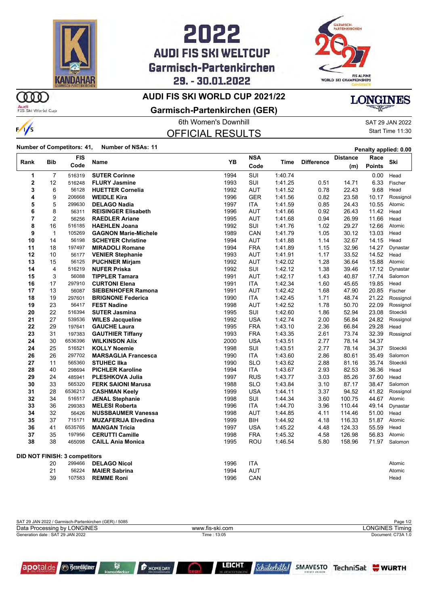

## 2022 **AUDI FIS SKI WELTCUP** Garmisch-Partenkirchen 29. - 30.01.2022



### **AUDI FIS SKI WORLD CUP 2021/22**

Audi<br>FIS Ski World Cup

 $\frac{1}{s}$ 

m

**Garmisch-Partenkirchen (GER)**

OFFICIAL RESULTS

6th Women's Downhill SAT 29 JAN 2022 Start Time 11:30

**LONGINES** 

**Number of Competitors: 41, Number of NSAs: 11 Penalty applied: 0.00**

|                |                | <b>FIS</b>                    |                             |      | <b>NSA</b> |         |                   | <b>Distance</b> | Race          |           |
|----------------|----------------|-------------------------------|-----------------------------|------|------------|---------|-------------------|-----------------|---------------|-----------|
| Rank           | <b>Bib</b>     | Code                          | Name                        | YB   | Code       | Time    | <b>Difference</b> | (m)             | <b>Points</b> | Ski       |
| 1              | $\overline{7}$ | 516319                        | <b>SUTER Corinne</b>        | 1994 | SUI        | 1:40.74 |                   |                 | 0.00          | Head      |
| $\overline{2}$ | 12             | 516248                        | <b>FLURY Jasmine</b>        | 1993 | SUI        | 1:41.25 | 0.51              | 14.71           | 6.33          | Fischer   |
| 3              | 6              | 56128                         | <b>HUETTER Cornelia</b>     | 1992 | <b>AUT</b> | 1.41.52 | 0.78              | 22.43           | 9.68          | Head      |
| 4              | 9              | 206668                        | <b>WEIDLE Kira</b>          | 1996 | <b>GER</b> | 1:41.56 | 0.82              | 23.58           | 10.17         | Rossignol |
| 5              | 5              | 299630                        | <b>DELAGO Nadia</b>         | 1997 | ITA        | 1:41.59 | 0.85              | 24.43           | 10.55         | Atomic    |
| 6              | 8              | 56311                         | <b>REISINGER Elisabeth</b>  | 1996 | <b>AUT</b> | 1.41.66 | 0.92              | 26.43           | 11.42         | Head      |
| $\overline{7}$ | $\overline{2}$ | 56256                         | <b>RAEDLER Ariane</b>       | 1995 | <b>AUT</b> | 1:41.68 | 0.94              | 26.99           | 11.66         | Head      |
| 8              | 16             | 516185                        | <b>HAEHLEN Joana</b>        | 1992 | SUI        | 1.41.76 | 1.02              | 29.27           | 12.66         | Atomic    |
| 9              | $\mathbf{1}$   | 105269                        | <b>GAGNON Marie-Michele</b> | 1989 | CAN        | 1:41.79 | 1.05              | 30.12           | 13.03         | Head      |
| 10             | 14             | 56198                         | <b>SCHEYER Christine</b>    | 1994 | <b>AUT</b> | 1:41.88 | 1.14              | 32.67           | 14.15         | Head      |
| 11             | 18             | 197497                        | <b>MIRADOLI Romane</b>      | 1994 | <b>FRA</b> | 1:41.89 | 1.15              | 32.96           | 14.27         | Dynastar  |
| 12             | 10             | 56177                         | <b>VENIER Stephanie</b>     | 1993 | AUT        | 1:41.91 | 1.17              | 33.52           | 14.52         | Head      |
| 13             | 15             | 56125                         | <b>PUCHNER Mirjam</b>       | 1992 | <b>AUT</b> | 1:42.02 | 1.28              | 36.64           | 15.88         | Atomic    |
| 14             | 4              | 516219                        | <b>NUFER Priska</b>         | 1992 | <b>SUI</b> | 1:42.12 | 1.38              | 39.46           | 17.12         | Dynastar  |
| 15             | 3              | 56088                         | <b>TIPPLER Tamara</b>       | 1991 | <b>AUT</b> | 1:42.17 | 1.43              | 40.87           | 17.74         | Salomon   |
| 16             | 17             | 297910                        | <b>CURTONI Elena</b>        | 1991 | <b>ITA</b> | 1:42.34 | 1.60              | 45.65           | 19.85         | Head      |
| 17             | 13             | 56087                         | <b>SIEBENHOFER Ramona</b>   | 1991 | <b>AUT</b> | 1:42.42 | 1.68              | 47.90           | 20.85         | Fischer   |
| 18             | 19             | 297601                        | <b>BRIGNONE Federica</b>    | 1990 | <b>ITA</b> | 1:42.45 | 1.71              | 48.74           | 21.22         | Rossignol |
| 19             | 23             | 56417                         | <b>FEST Nadine</b>          | 1998 | <b>AUT</b> | 1:42.52 | 1.78              | 50.70           | 22.09         | Rossignol |
| 20             | 22             | 516394                        | <b>SUTER Jasmina</b>        | 1995 | SUI        | 1:42.60 | 1.86              | 52.94           | 23.08         | Stoeckli  |
| 21             | 27             | 539536                        | <b>WILES Jacqueline</b>     | 1992 | <b>USA</b> | 1:42.74 | 2.00              | 56.84           | 24.82         | Rossignol |
| 22             | 29             | 197641                        | <b>GAUCHE Laura</b>         | 1995 | <b>FRA</b> | 1:43.10 | 2.36              | 66.84           | 29.28         | Head      |
| 23             | 31             | 197383                        | <b>GAUTHIER Tiffany</b>     | 1993 | <b>FRA</b> | 1.43.35 | 2.61              | 73.74           | 32.39         | Rossignol |
| 24             | 30             | 6536396                       | <b>WILKINSON Alix</b>       | 2000 | <b>USA</b> | 1:43.51 | 2.77              | 78.14           | 34.37         |           |
| 24             | 25             | 516521                        | <b>KOLLY Noemie</b>         | 1998 | SUI        | 1:43.51 | 2.77              | 78.14           | 34.37         | Stoeckli  |
| 26             | 26             | 297702                        | <b>MARSAGLIA Francesca</b>  | 1990 | <b>ITA</b> | 1.43.60 | 2.86              | 80.61           | 35.49         | Salomon   |
| 27             | 11             | 565360                        | <b>STUHEC IIka</b>          | 1990 | <b>SLO</b> | 1:43.62 | 2.88              | 81.16           | 35.74         | Stoeckli  |
| 28             | 40             | 298694                        | <b>PICHLER Karoline</b>     | 1994 | <b>ITA</b> | 1:43.67 | 2.93              | 82.53           | 36.36         | Head      |
| 29             | 24             | 485941                        | <b>PLESHKOVA Julia</b>      | 1997 | <b>RUS</b> | 1:43.77 | 3.03              | 85.26           | 37.60         | Head      |
| 30             | 33             | 565320                        | <b>FERK SAIONI Marusa</b>   | 1988 | <b>SLO</b> | 1:43.84 | 3.10              | 87.17           | 38.47         | Salomon   |
| 31             | 28             | 6536213                       | <b>CASHMAN Keely</b>        | 1999 | <b>USA</b> | 1:44.11 | 3.37              | 94.52           | 41.82         | Rossignol |
| 32             | 34             | 516517                        | <b>JENAL Stephanie</b>      | 1998 | SUI        | 1:44.34 | 3.60              | 100.75          | 44.67         | Atomic    |
| 33             | 36             | 299383                        | <b>MELESI Roberta</b>       | 1996 | <b>ITA</b> | 1:44.70 | 3.96              | 110.44          | 49.14         | Dynastar  |
| 34             | 32             | 56426                         | <b>NUSSBAUMER Vanessa</b>   | 1998 | <b>AUT</b> | 1:44.85 | 4.11              | 114.46          | 51.00         | Head      |
| 35             | 37             | 715171                        | <b>MUZAFERIJA Elvedina</b>  | 1999 | BIH        | 1 44 92 | 4.18              | 116.33          | 51.87         | Atomic    |
| 36             | 41             | 6535765                       | <b>MANGAN Tricia</b>        | 1997 | <b>USA</b> | 1:45.22 | 4.48              | 124.33          | 55.59         | Head      |
| 37             | 35             | 197956                        | <b>CERUTTI Camille</b>      | 1998 | <b>FRA</b> | 1.45.32 | 4.58              | 126.98          | 56.83         | Atomic    |
| 38             | 38             | 465098                        | <b>CAILL Ania Monica</b>    | 1995 | ROU        | 1:46.54 | 5.80              | 158.96          | 71.97         | Salomon   |
|                |                | DID NOT FINISH: 3 competitors |                             |      |            |         |                   |                 |               |           |
|                | 20             | 299466                        | <b>DELAGO Nicol</b>         | 1996 | <b>ITA</b> |         |                   |                 |               | Atomic    |
|                | 21             | 56224                         | <b>MAIER Sabrina</b>        | 1994 | <b>AUT</b> |         |                   |                 |               | Atomic    |
|                | 39             | 107583                        | <b>REMME Roni</b>           | 1996 | CAN        |         |                   |                 |               | Head      |

| SAT 29 JAN 2022 / Garmisch-Partenkirchen (GER) / 5085 |                 | Page 1/2           |
|-------------------------------------------------------|-----------------|--------------------|
| Data Processing by LONGINES                           | www.fis-ski.com | ONGINES Timing     |
| Generation date: SAT 29 JAN 2022                      | Time: 13:05     | Document: C73A 1.0 |
|                                                       |                 |                    |



**F** HOMEDAY

**LEICHT** 



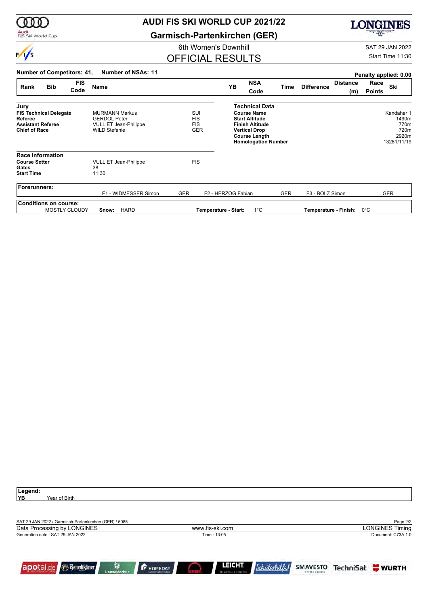

## **AUDI FIS SKI WORLD CUP 2021/22**

**Garmisch-Partenkirchen (GER)**

OFFICIAL RESULTS

## **LONGINES**

6th Women's Downhill SAT 29 JAN 2022

Start Time 11:30

| <b>Number of Competitors: 41,</b>                                                            | Number of NSAs: 11                                                                                   |                                               |                      |                                                                                                                                                     |            |                       |                        | Penalty applied: 0.00 |                                                             |
|----------------------------------------------------------------------------------------------|------------------------------------------------------------------------------------------------------|-----------------------------------------------|----------------------|-----------------------------------------------------------------------------------------------------------------------------------------------------|------------|-----------------------|------------------------|-----------------------|-------------------------------------------------------------|
| <b>FIS</b><br><b>Bib</b><br>Rank<br>Code                                                     | <b>Name</b>                                                                                          |                                               | YB                   | <b>NSA</b><br>Code                                                                                                                                  | Time       | <b>Difference</b>     | <b>Distance</b><br>(m) | Race<br><b>Points</b> | Ski                                                         |
| Jury                                                                                         |                                                                                                      |                                               |                      | Technical Data                                                                                                                                      |            |                       |                        |                       |                                                             |
| <b>FIS Technical Delegate</b><br>Referee<br><b>Assistant Referee</b><br><b>Chief of Race</b> | <b>MURMANN Markus</b><br><b>GERDOL Peter</b><br><b>VULLIET Jean-Philippe</b><br><b>WILD Stefanie</b> | SUI<br><b>FIS</b><br><b>FIS</b><br><b>GER</b> |                      | <b>Course Name</b><br><b>Start Altitude</b><br><b>Finish Altitude</b><br><b>Vertical Drop</b><br><b>Course Length</b><br><b>Homologation Number</b> |            |                       |                        |                       | Kandahar 1<br>1490m<br>770m<br>720m<br>2920m<br>13281/11/19 |
| <b>Race Information</b>                                                                      |                                                                                                      |                                               |                      |                                                                                                                                                     |            |                       |                        |                       |                                                             |
| <b>Course Setter</b><br>Gates<br><b>Start Time</b>                                           | <b>VULLIET Jean-Philippe</b><br>38<br>11:30                                                          | <b>FIS</b>                                    |                      |                                                                                                                                                     |            |                       |                        |                       |                                                             |
| Forerunners:                                                                                 | F1 - WIDMESSER Simon                                                                                 | <b>GER</b>                                    | F2 - HERZOG Fabian   |                                                                                                                                                     | <b>GER</b> | F3 - BOLZ Simon       |                        |                       | <b>GER</b>                                                  |
| <b>Conditions on course:</b><br><b>MOSTLY CLOUDY</b>                                         | <b>HARD</b><br>Snow:                                                                                 |                                               | Temperature - Start: | $1^{\circ}$ C                                                                                                                                       |            | Temperature - Finish: |                        | 0°C                   |                                                             |

| Legend:                                                  |                                          |                                       |                     |                             |                        |
|----------------------------------------------------------|------------------------------------------|---------------------------------------|---------------------|-----------------------------|------------------------|
| YB<br>Year of Birth                                      |                                          |                                       |                     |                             |                        |
|                                                          |                                          |                                       |                     |                             |                        |
|                                                          |                                          |                                       |                     |                             |                        |
| SAT 29 JAN 2022 / Garmisch-Partenkirchen (GER) / 5085    |                                          |                                       |                     |                             | Page 2/2               |
| Data Processing by LONGINES                              |                                          | www.fis-ski.com                       |                     |                             | <b>LONGINES Timing</b> |
| Generation date: SAT 29 JAN 2022                         |                                          | Time: 13:05                           |                     |                             | Document: C73A 1.0     |
|                                                          |                                          |                                       |                     |                             |                        |
|                                                          |                                          |                                       |                     |                             |                        |
|                                                          |                                          |                                       |                     |                             |                        |
| Ĥ<br>apotal.de <b>Benediktiner</b><br><b>HanseMerkur</b> | <b>F</b> HOMEDAY<br>Mein Immabilienmakle | <b>LEICHT</b><br>DIE ARCHITEKTURKUCHE | <i>Schülerhille</i> | SMAVESTO<br>EINFATH ANLEGEN | TechniSat WURTH        |
|                                                          |                                          |                                       |                     |                             |                        |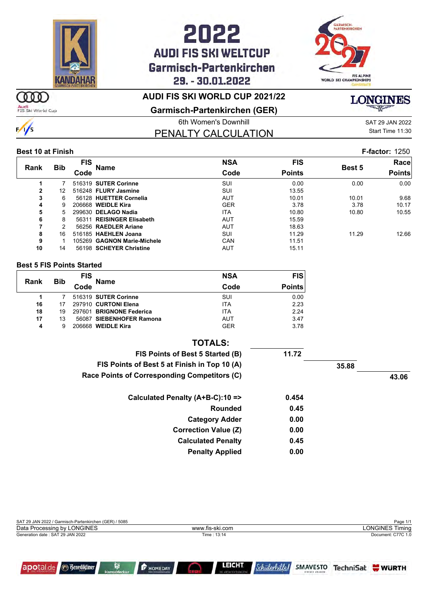

## 2022 **AUDI FIS SKI WELTCUP** Garmisch-Partenkirchen 29. - 30.01.2022



### **AUDI FIS SKI WORLD CUP 2021/22**

m Audi<br>FIS Ski World Cup

 $\frac{1}{s}$ 

**Garmisch-Partenkirchen (GER)**

6th Women's Downhill Gas and Sample SAT 29 JAN 2022 PENALTY CALCULATION

Start Time 11:30

#### **Best 10 at Finish F-factor:** 1250

|              |            | <b>FIS</b> |                             | <b>NSA</b> | <b>FIS</b>    |               | Race          |
|--------------|------------|------------|-----------------------------|------------|---------------|---------------|---------------|
| <b>Rank</b>  | <b>Bib</b> | Code       | Name                        | Code       | <b>Points</b> | <b>Best 5</b> | <b>Points</b> |
|              |            |            | 516319 SUTER Corinne        | SUI        | 0.00          | 0.00          | 0.00          |
| $\mathbf{2}$ | 12         |            | 516248 FLURY Jasmine        | SUI        | 13.55         |               |               |
| 3            | 6          |            | 56128 HUETTER Cornelia      | <b>AUT</b> | 10.01         | 10.01         | 9.68          |
| 4            | 9          |            | 206668 WEIDLE Kira          | <b>GER</b> | 3.78          | 3.78          | 10.17         |
| 5            | 5.         |            | 299630 DELAGO Nadia         | <b>ITA</b> | 10.80         | 10.80         | 10.55         |
| 6            | 8          |            | 56311 REISINGER Elisabeth   | AUT        | 15.59         |               |               |
| 7            | 2          |            | 56256 RAEDLER Ariane        | <b>AUT</b> | 18.63         |               |               |
| 8            | 16         |            | 516185 HAEHLEN Joana        | SUI        | 11.29         | 11.29         | 12.66         |
| 9            |            |            | 105269 GAGNON Marie-Michele | CAN        | 11.51         |               |               |
| 10           | 14         |            | 56198 SCHEYER Christine     | AUT        | 15.11         |               |               |
|              |            |            |                             |            |               |               |               |

#### **Best 5 FIS Points Started**

| Rank | <b>Bib</b> | <b>FIS</b> | <b>Name</b>              | <b>NSA</b> | <b>FIS</b>    |
|------|------------|------------|--------------------------|------------|---------------|
|      |            | Code       |                          | Code       | <b>Points</b> |
|      |            |            | 516319 SUTER Corinne     | SUI        | 0.00          |
| 16   |            |            | 297910 CURTONI Elena     | <b>ITA</b> | 2.23          |
| 18   | 19         |            | 297601 BRIGNONE Federica | <b>ITA</b> | 2.24          |
| 17   | 13         |            | 56087 SIEBENHOFER Ramona | AUT        | 3.47          |
| 4    | 9          |            | 206668 WEIDLE Kira       | <b>GER</b> | 3.78          |

| <b>TOTALS:</b>                               |       |       |       |
|----------------------------------------------|-------|-------|-------|
| FIS Points of Best 5 Started (B)             | 11.72 |       |       |
| FIS Points of Best 5 at Finish in Top 10 (A) |       | 35.88 |       |
| Race Points of Corresponding Competitors (C) |       |       | 43.06 |
| Calculated Penalty (A+B-C):10 =>             | 0.454 |       |       |
| Rounded                                      | 0.45  |       |       |
| <b>Category Adder</b>                        | 0.00  |       |       |
| <b>Correction Value (Z)</b>                  | 0.00  |       |       |
| <b>Calculated Penalty</b>                    | 0.45  |       |       |
| <b>Penalty Applied</b>                       | 0.00  |       |       |

| SAT 29 JAN 2022 / Garmisch-Partenkirchen (GER) / 5085 |                 | Page 1/1               |
|-------------------------------------------------------|-----------------|------------------------|
| Data Processing by LONGINES                           | www.fis-ski.com | <b>LONGINES Timing</b> |
| Generation date: SAT 29 JAN 2022                      | Time: 13:14     | Document: C77C 1.0     |
|                                                       |                 |                        |
|                                                       |                 |                        |
|                                                       |                 |                        |
|                                                       |                 |                        |



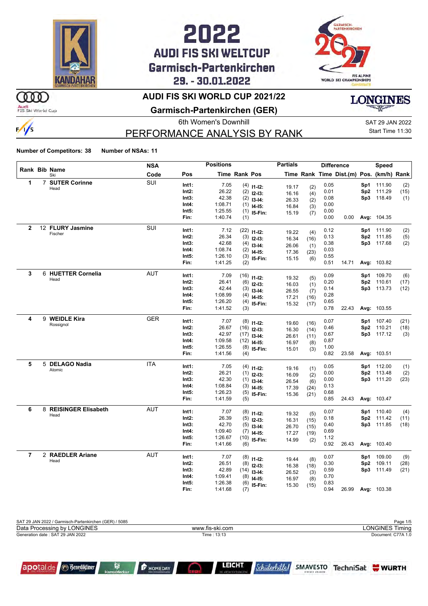

## 2022 **AUDI FIS SKI WELTCUP** Garmisch-Partenkirchen 29. - 30.01.2022



### ഞ

 $\frac{1}{s}$ 

Audi<br>FIS Ski World Cup

### **AUDI FIS SKI WORLD CUP 2021/22**

**Garmisch-Partenkirchen (GER)**



## PERFORMANCE ANALYSIS BY RANK

6th Women's Downhill SAT 29 JAN 2022 Start Time 11:30

#### **Number of Competitors: 38 Number of NSAs: 11**

|                |   |                             | <b>NSA</b> |                   | <b>Positions</b>   |               |                | <b>Partials</b> |            | <b>Difference</b> |                                          |                 | Speed                    |      |
|----------------|---|-----------------------------|------------|-------------------|--------------------|---------------|----------------|-----------------|------------|-------------------|------------------------------------------|-----------------|--------------------------|------|
|                |   | <b>Rank Bib Name</b><br>Ski | Code       | Pos               |                    | Time Rank Pos |                |                 |            |                   | Time Rank Time Dist.(m) Pos. (km/h) Rank |                 |                          |      |
| 1              |   | 7 SUTER Corinne             | SUI        | Int1:             | 7.05               |               | $(4)$ 11-12:   |                 |            | 0.05              |                                          | Sp1             | 111.90                   | (2)  |
|                |   | Head                        |            | Int2:             | 26.22              |               | $(2)$ 12-13:   | 19.17<br>16.16  | (2)        | 0.01              |                                          | Sp2             | 111.29                   | (15) |
|                |   |                             |            | Int3:             | 42.38              |               | $(2)$ 13-14:   | 26.33           | (4)        | 0.08              |                                          | Sp3             | 118.49                   | (1)  |
|                |   |                             |            | Int4:             | 1:08.71            | (1)           | $14 - 15$ :    | 16.84           | (2)<br>(3) | 0.00              |                                          |                 |                          |      |
|                |   |                             |            | Int5:             | 1:25.55            | (1)           | 15-Fin:        | 15.19           | (7)        | 0.00              |                                          |                 |                          |      |
|                |   |                             |            | Fin:              | 1:40.74            | (1)           |                |                 |            | 0.00              | 0.00                                     |                 | Avg: 104.35              |      |
| $\mathbf{2}$   |   | 12 FLURY Jasmine            | SUI        |                   |                    |               |                |                 |            |                   |                                          |                 |                          |      |
|                |   | Fischer                     |            | Int1:<br>$Int2$ : | 7.12<br>26.34      | (22)          | $11 - 12$ :    | 19.22           | (4)        | 0.12<br>0.13      |                                          | Sp1             | 111.90                   | (2)  |
|                |   |                             |            |                   | 42.68              | (3)           | $12-13:$       | 16.34           | (16)       |                   |                                          |                 | Sp2 111.85<br>Sp3 117.68 | (5)  |
|                |   |                             |            | Int3:<br>Int4:    | 1:08.74            | (4)           | $13-14:$       | 26.06           | (1)        | 0.38<br>0.03      |                                          |                 |                          | (2)  |
|                |   |                             |            | Int5:             | 1:26.10            | (2)           | $14 - 15$ :    | 17.36           | (23)       | 0.55              |                                          |                 |                          |      |
|                |   |                             |            | Fin:              | 1:41.25            | (3)           | 15-Fin:        | 15.15           | (6)        | 0.51              | 14.71                                    |                 | Avg: 103.82              |      |
|                |   |                             |            |                   |                    | (2)           |                |                 |            |                   |                                          |                 |                          |      |
| 3              |   | 6 HUETTER Cornelia          | <b>AUT</b> | Int1:             | 7.09               | (16)          | $11 - 12$ :    | 19.32           | (5)        | 0.09              |                                          | Sp1             | 109.70                   | (6)  |
|                |   | Head                        |            | $Int2$ :          | 26.41              | (6)           | $12-13:$       | 16.03           | (1)        | 0.20              |                                          | Sp2             | 110.61                   | (17) |
|                |   |                             |            | Int3:             | 42.44              | (3)           | $13-14:$       | 26.55           | (7)        | 0.14              |                                          |                 | Sp3 113.73               | (12) |
|                |   |                             |            | Int4:             | 1:08.99            |               | $(4)$ 14-15:   | 17.21           | (16)       | 0.28              |                                          |                 |                          |      |
|                |   |                             |            | Int5:             | 1:26.20            | (4)           | 15-Fin:        | 15.32           | (17)       | 0.65              |                                          |                 |                          |      |
|                |   |                             |            | Fin:              | 1:41.52            | (3)           |                |                 |            | 0.78              | 22.43                                    |                 | Avg: 103.55              |      |
| 4              | 9 | <b>WEIDLE Kira</b>          | <b>GER</b> |                   |                    |               |                |                 |            |                   |                                          |                 |                          |      |
|                |   | Rossignol                   |            | Int1:<br>Int2:    | 7.07<br>26.67      | (8)           | $11 - 12$ :    | 19.60           | (16)       | 0.07              |                                          | Sp1             | 107.40                   | (21) |
|                |   |                             |            | Int3:             |                    | (16)          | $12-13:$       | 16.30           | (14)       | 0.46              |                                          | Sp <sub>2</sub> | 110.21                   | (18) |
|                |   |                             |            | Int4:             | 42.97<br>1:09.58   |               | $(17)$ 13-14:  | 26.61           | (11)       | 0.67<br>0.87      |                                          | Sp3             | 117.12                   | (3)  |
|                |   |                             |            | Int5:             |                    |               | $(12)$ 14-15:  | 16.97           | (8)        | 1.00              |                                          |                 |                          |      |
|                |   |                             |            | Fin:              | 1:26.55<br>1:41.56 | (8)<br>(4)    | 15-Fin:        | 15.01           | (3)        | 0.82              | 23.58                                    |                 | Avg: 103.51              |      |
|                |   |                             |            |                   |                    |               |                |                 |            |                   |                                          |                 |                          |      |
| 5              | 5 | <b>DELAGO Nadia</b>         | <b>ITA</b> | Int1:             | 7.05               |               | $(4)$ 11-12:   | 19.16           | (1)        | 0.05              |                                          | Sp1             | 112.00                   | (1)  |
|                |   | Atomic                      |            | Int2:             | 26.21              |               | $(1)$ 12-13:   | 16.09           | (2)        | 0.00              |                                          | Sp2             | 113.48                   | (2)  |
|                |   |                             |            | Int3:             | 42.30              | (1)           | $13-14:$       | 26.54           | (6)        | 0.00              |                                          | Sp3             | 111.20                   | (23) |
|                |   |                             |            | Int4:             | 1:08.84            | (3)           | $14-15:$       | 17.39           | (24)       | 0.13              |                                          |                 |                          |      |
|                |   |                             |            | Int5:             | 1:26.23            | (5)           | 15-Fin:        | 15.36           | (21)       | 0.68              |                                          |                 |                          |      |
|                |   |                             |            | Fin:              | 1:41.59            | (5)           |                |                 |            | 0.85              | 24.43                                    |                 | Avg: 103.47              |      |
| 6              |   | 8 REISINGER Elisabeth       | <b>AUT</b> |                   |                    |               |                |                 |            |                   |                                          |                 |                          |      |
|                |   | Head                        |            | Int1:             | 7.07               |               | $(8)$ 11-12:   | 19.32           | (5)        | 0.07              |                                          | Sp1             | 110.40                   | (4)  |
|                |   |                             |            | $Int2$ :          | 26.39              |               | $(5)$ 12-13:   | 16.31           | (15)       | 0.18              |                                          | Sp2             | 111.42                   | (11) |
|                |   |                             |            | Int3:             | 42.70              |               | $(5)$ 13-14:   | 26.70           | (15)       | 0.40              |                                          | Sp3             | 111.85                   | (18) |
|                |   |                             |            | Int4:             | 1:09.40            |               | $(7)$ 14-15:   | 17.27           | (19)       | 0.69              |                                          |                 |                          |      |
|                |   |                             |            | Int5:             | 1:26.67            |               | $(10)$ 15-Fin: | 14.99           | (2)        | 1.12              |                                          |                 |                          |      |
|                |   |                             |            | Fin:              | 1:41.66            | (6)           |                |                 |            | 0.92              | 26.43                                    |                 | Avg: 103.40              |      |
| $\overline{7}$ |   | 2 RAEDLER Ariane            | <b>AUT</b> | Int1:             | 7.07               |               | $(8)$ 11-12:   | 19.44           | (8)        | 0.07              |                                          | Sp1             | 109.00                   | (9)  |
|                |   | Head                        |            | Int2:             | 26.51              |               | $(8)$ 12-13:   | 16.38           | (18)       | 0.30              |                                          | Sp2             | 109.11                   | (28) |
|                |   |                             |            | Int3:             | 42.89              | (14)          | $13-14:$       | 26.52           | (3)        | 0.59              |                                          | Sp3             | 111.49                   | (21) |
|                |   |                             |            | Int4:             | 1:09.41            | (8)           | $14 - 15$ :    | 16.97           | (8)        | 0.70              |                                          |                 |                          |      |
|                |   |                             |            | Int5:             | 1:26.38            | (6)           | 15-Fin:        | 15.30           | (15)       | 0.83              |                                          |                 |                          |      |
|                |   |                             |            | Fin:              | 1:41.68            | (7)           |                |                 |            | 0.94              | 26.99                                    |                 | Avg: 103.38              |      |

| SAT 29 JAN 2022 / Garmisch-Partenkirchen (GER) / 5085 |                 | Page 1/5           |
|-------------------------------------------------------|-----------------|--------------------|
| Data Processing by LONGINES                           | www.fis-ski.com | LONGINES Timing    |
| Generation date: SAT 29 JAN 2022                      | Time : 13:13    | Document: C77A 1.0 |
|                                                       |                 |                    |



**F** HOMEDAY

**LEICHT**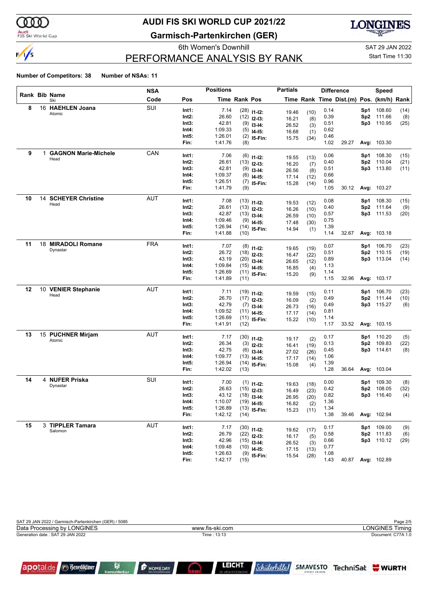

#### Audi<br>FIS Ski World Cup

apotal.de

**Benediktiner** 

ß

## **AUDI FIS SKI WORLD CUP 2021/22**

**Garmisch-Partenkirchen (GER)**



### PERFORMANCE ANALYSIS BY RANK

6th Women's Downhill Gas and Sample SAT 29 JAN 2022 Start Time 11:30

#### **Number of Competitors: 38 Number of NSAs: 11**

|    | <b>Positions</b><br><b>NSA</b><br>Rank Bib Name |                             |            | <b>Partials</b> |                    |                      | <b>Difference</b>              |                | Speed       |              |                                          |      |                    |      |
|----|-------------------------------------------------|-----------------------------|------------|-----------------|--------------------|----------------------|--------------------------------|----------------|-------------|--------------|------------------------------------------|------|--------------------|------|
|    |                                                 | Ski                         | Code       | Pos             |                    | <b>Time Rank Pos</b> |                                |                |             |              | Time Rank Time Dist.(m) Pos. (km/h) Rank |      |                    |      |
| 8  |                                                 | 16 HAEHLEN Joana            | SUI        | Int1:           | 7.14               |                      | $(28)$ 11-12:                  | 19.46          | (10)        | 0.14         |                                          | Sp1  | 108.60             | (14) |
|    |                                                 | Atomic                      |            | Int2:           | 26.60              |                      | $(12)$ 12-13:                  | 16.21          | (8)         | 0.39         |                                          | Sp2  | 111.66             | (8)  |
|    |                                                 |                             |            | Int3:           | 42.81              |                      | $(9)$ 13-14:                   | 26.52          | (3)         | 0.51         |                                          | Sp3  | 110.95             | (25) |
|    |                                                 |                             |            | Int4:           | 1:09.33            | (5)                  | $14-15:$                       | 16.68          | (1)         | 0.62         |                                          |      |                    |      |
|    |                                                 |                             |            | Int5:           | 1:26.01            |                      | $(2)$ 15-Fin:                  | 15.75          | (34)        | 0.46         |                                          |      |                    |      |
|    |                                                 |                             |            | Fin:            | 1:41.76            | (8)                  |                                |                |             | 1.02         | 29.27                                    |      | Avg: 103.30        |      |
| 9  | 1.                                              | <b>GAGNON Marie-Michele</b> | CAN        | Int1:           | 7.06               |                      | $(6)$ 11-12:                   |                |             | 0.06         |                                          | Sp1  | 108.30             | (15) |
|    |                                                 | Head                        |            | $Int2$ :        | 26.61              |                      | $(13)$ 12-13:                  | 19.55<br>16.20 | (13)<br>(7) | 0.40         |                                          | Sp2  | 110.04             | (21) |
|    |                                                 |                             |            | Int3:           | 42.81              |                      | $(9)$ 13-14:                   | 26.56          | (8)         | 0.51         |                                          |      | Sp3 113.80         | (11) |
|    |                                                 |                             |            | Int4:           | 1:09.37            |                      | $(6)$ 14-15:                   | 17.14          | (12)        | 0.66         |                                          |      |                    |      |
|    |                                                 |                             |            | Int5:           | 1:26.51            |                      | $(7)$ 15-Fin:                  | 15.28          | (14)        | 0.96         |                                          |      |                    |      |
|    |                                                 |                             |            | Fin:            | 1:41.79            | (9)                  |                                |                |             | 1.05         | 30.12                                    |      | Avg: 103.27        |      |
| 10 | 14                                              | <b>SCHEYER Christine</b>    | AUT        | Int1:           | 7.08               |                      |                                |                |             | 0.08         |                                          | Sp1  | 108.30             | (15) |
|    |                                                 | Head                        |            | Int2:           | 26.61              |                      | $(13)$ 11-12:<br>$(13)$ 12-13: | 19.53          | (12)        | 0.40         |                                          | Sp2  | 111.64             | (9)  |
|    |                                                 |                             |            | Int3:           | 42.87              |                      | $(13)$ 13-14:                  | 16.26          | (10)        | 0.57         |                                          |      | Sp3 111.53         | (20) |
|    |                                                 |                             |            | Int4:           | 1:09.46            |                      | $(9)$ 14-15:                   | 26.59          | (10)        | 0.75         |                                          |      |                    |      |
|    |                                                 |                             |            | Int5:           | 1:26.94            |                      | $(14)$ 15-Fin:                 | 17.48          | (30)        | 1.39         |                                          |      |                    |      |
|    |                                                 |                             |            | Fin:            | 1:41.88            | (10)                 |                                | 14.94          | (1)         | 1.14         | 32.67                                    |      | Avg: 103.18        |      |
| 11 |                                                 | 18 MIRADOLI Romane          | <b>FRA</b> |                 |                    |                      |                                |                |             |              |                                          |      |                    |      |
|    |                                                 | Dynastar                    |            | Int1:<br>Int2:  | 7.07<br>26.72      |                      | $(8)$ 11-12:                   | 19.65          | (19)        | 0.07<br>0.51 |                                          | Sp1  | 106.70<br>110.15   | (23) |
|    |                                                 |                             |            | Int3:           | 43.19              |                      | $(18)$ 12-13:                  | 16.47          | (22)        | 0.89         |                                          | Sp2  | Sp3 113.04         | (19) |
|    |                                                 |                             |            | Int4:           | 1:09.84            |                      | $(20)$ 13-14:                  | 26.65          | (12)        | 1.13         |                                          |      |                    | (14) |
|    |                                                 |                             |            | Int5:           | 1:26.69            |                      | $(15)$ 14-15:                  | 16.85          | (4)         | 1.14         |                                          |      |                    |      |
|    |                                                 |                             |            | Fin:            | 1:41.89            | (11)                 | $(11)$ 15-Fin:                 | 15.20          | (9)         | 1.15         | 32.96                                    |      | <b>Avg: 103.17</b> |      |
| 12 |                                                 | 10 VENIER Stephanie         | <b>AUT</b> |                 |                    |                      |                                |                |             |              |                                          |      |                    |      |
|    |                                                 | Head                        |            | Int1:           | 7.11               |                      | $(19)$ 11-12:                  | 19.59          | (15)        | 0.11         |                                          | Sp1. | 106.70             | (23) |
|    |                                                 |                             |            | Int2:<br>Int3:  | 26.70<br>42.79     |                      | $(17)$ 12-13:                  | 16.09          | (2)         | 0.49         |                                          | Sp2  | 111.44             | (10) |
|    |                                                 |                             |            | Int4:           | 1:09.52            |                      | $(7)$ 13-14:                   | 26.73          | (16)        | 0.49<br>0.81 |                                          | Sp3  | 115.27             | (6)  |
|    |                                                 |                             |            | Int5:           | 1:26.69            |                      | $(11)$ 14-15:                  | 17.17          | (14)        | 1.14         |                                          |      |                    |      |
|    |                                                 |                             |            | Fin:            | 1:41.91            | (12)                 | $(11)$ 15-Fin:                 | 15.22          | (10)        | 1.17         | 33.52                                    |      | Avg: 103.15        |      |
| 13 |                                                 | 15 PUCHNER Mirjam           | AUT        |                 |                    |                      |                                |                |             |              |                                          |      |                    |      |
|    |                                                 | Atomic                      |            | Int1:           | 7.17               |                      | $(30)$ 11-12:                  | 19.17          | (2)         | 0.17         |                                          | Sp1  | 110.20             | (5)  |
|    |                                                 |                             |            | $Int2$ :        | 26.34              |                      | $(3)$ 12-13:                   | 16.41          | (19)        | 0.13         |                                          | Sp2  | 109.83             | (22) |
|    |                                                 |                             |            | Int3:           | 42.75              |                      | $(6)$ 13-14:                   | 27.02          | (26)        | 0.45         |                                          |      | Sp3 114.61         | (8)  |
|    |                                                 |                             |            | Int4:<br>Int5:  | 1:09.77<br>1:26.94 |                      | $(13)$ 14-15:                  | 17.17          | (14)        | 1.06<br>1.39 |                                          |      |                    |      |
|    |                                                 |                             |            | Fin:            | 1:42.02            | (13)                 | $(14)$ 15-Fin:                 | 15.08          | (4)         | 1.28         | 36.64                                    |      | Avg: 103.04        |      |
| 14 |                                                 | 4 NUFER Priska              | SUI        |                 |                    |                      |                                |                |             |              |                                          |      |                    |      |
|    |                                                 | Dynastar                    |            | Int1:           | 7.00               |                      | $(1)$ 11-12:                   | 19.63          | (18)        | 0.00         |                                          | Sp1  | 109.30             | (8)  |
|    |                                                 |                             |            | Int2:           | 26.63              |                      | $(15)$ 12-13:                  | 16.49          | (23)        | 0.42         |                                          | Sp2  | 108.05             | (32) |
|    |                                                 |                             |            | Int3:           | 43.12              |                      | $(18)$ 13-14:                  | 26.95          | (20)        | 0.82         |                                          | Sp3  | 116.40             | (4)  |
|    |                                                 |                             |            | Int4:           | 1:10.07            |                      | $(19)$ 14-15:                  | 16.82          | (2)         | 1.36         |                                          |      |                    |      |
|    |                                                 |                             |            | Int5:<br>Fin:   | 1:26.89<br>1:42.12 | (14)                 | $(13)$ 15-Fin:                 | 15.23          | (11)        | 1.34<br>1.38 | 39.46                                    |      | Avg: 102.94        |      |
|    |                                                 |                             |            |                 |                    |                      |                                |                |             |              |                                          |      |                    |      |
| 15 |                                                 | 3 TIPPLER Tamara<br>Salomon | <b>AUT</b> | Int1:           | 7.17               |                      | $(30)$ 11-12:                  | 19.62          | (17)        | 0.17         |                                          |      | Sp1 109.00         | (9)  |
|    |                                                 |                             |            | Int2:           | 26.79              |                      | $(22)$ 12-13:                  | 16.17          | (5)         | 0.58         |                                          |      | Sp2 111.83         | (6)  |
|    |                                                 |                             |            | Int3:           | 42.96              |                      | $(15)$ 13-14:                  | 26.52          | (3)         | 0.66         |                                          |      | Sp3 110.12         | (29) |
|    |                                                 |                             |            | Int4:           | 1:09.48            |                      | $(10)$ 14-15:                  | 17.15          | (13)        | 0.77         |                                          |      |                    |      |
|    |                                                 |                             |            | Int5:           | 1:26.63            |                      | $(9)$ 15-Fin:                  | 15.54          | (28)        | 1.08         |                                          |      |                    |      |
|    |                                                 |                             |            | Fin:            | 1:42.17            | (15)                 |                                |                |             | 1.43         | 40.87                                    |      | Avg: 102.89        |      |

| Data Processing by LONGINES       | www.fis-ski.com | <b>LONGINES Timing</b> |
|-----------------------------------|-----------------|------------------------|
| Generation date : SAT 29 JAN 2022 | Time: 13:13     | Document: C77A 1.0     |

 $\bigcirc$ 

**P** HOMEDAY

LEICHT

*Schülerhilfel*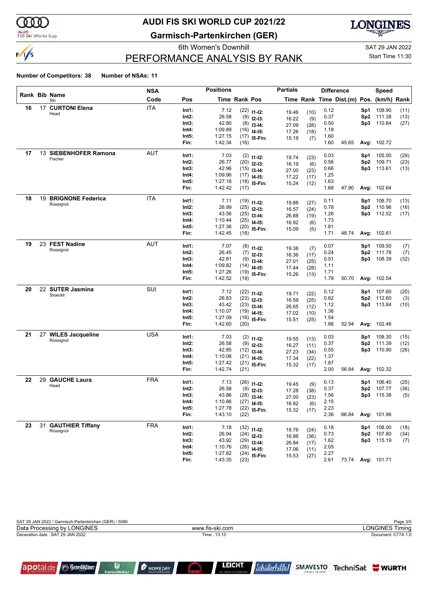

#### Audi<br>FIS Ski World Cup

## **AUDI FIS SKI WORLD CUP 2021/22**

**Garmisch-Partenkirchen (GER)**



### PERFORMANCE ANALYSIS BY RANK

6th Women's Downhill Gas and SAT 29 JAN 2022 Start Time 11:30

#### **Number of Competitors: 38 Number of NSAs: 11**

|    |    |                       | <b>NSA</b> |       | <b>Positions</b> |                      |                                | <b>Partials</b> |              |      | <b>Difference</b>                        |      | Speed             |      |
|----|----|-----------------------|------------|-------|------------------|----------------------|--------------------------------|-----------------|--------------|------|------------------------------------------|------|-------------------|------|
|    |    | Rank Bib Name<br>Ski  | Code       | Pos   |                  | <b>Time Rank Pos</b> |                                |                 |              |      | Time Rank Time Dist.(m) Pos. (km/h) Rank |      |                   |      |
| 16 |    | 17 CURTONI Elena      | <b>ITA</b> | Int1: | 7.12             |                      | $(22)$ 11-12:                  | 19.46           | (10)         | 0.12 |                                          | Sp1  | 108.90            | (11) |
|    |    | Head                  |            | Int2: | 26.58            |                      | $(9)$ 12-13:                   | 16.22           | (9)          | 0.37 |                                          | Sp2  | 111.38            | (13) |
|    |    |                       |            | Int3: | 42.80            |                      | $(8)$ 13-14:                   | 27.09           | (28)         | 0.50 |                                          | Sp3  | 110.84            | (27) |
|    |    |                       |            | Int4: | 1:09.89          |                      | $(16)$ 14-15:                  | 17.26           | (18)         | 1.18 |                                          |      |                   |      |
|    |    |                       |            | Int5: | 1:27.15          |                      | $(17)$ 15-Fin:                 | 15.19           | (7)          | 1.60 |                                          |      |                   |      |
|    |    |                       |            | Fin:  | 1:42.34          | (16)                 |                                |                 |              | 1.60 | 45.65                                    |      | Avg: 102.72       |      |
| 17 |    | 13 SIEBENHOFER Ramona | <b>AUT</b> | Int1: | 7.03             |                      | $(2)$ 11-12:                   | 19.74           |              | 0.03 |                                          | Sp1  | 105.00            | (29) |
|    |    | Fischer               |            | Int2: | 26.77            |                      | $(20)$ 12-13:                  | 16.19           | (23)<br>(6)  | 0.56 |                                          | Sp2  | 109.71            | (23) |
|    |    |                       |            | Int3: | 42.96            |                      | $(15)$ 13-14:                  | 27.00           | (23)         | 0.66 |                                          | Sp3  | 113.61            | (13) |
|    |    |                       |            | Int4: | 1:09.96          |                      | $(17)$ 14-15:                  | 17.22           | (17)         | 1.25 |                                          |      |                   |      |
|    |    |                       |            | Int5: | 1:27.18          |                      | $(18)$ 15-Fin:                 | 15.24           | (12)         | 1.63 |                                          |      |                   |      |
|    |    |                       |            | Fin:  | 1:42.42          | (17)                 |                                |                 |              | 1.68 | 47.90                                    |      | Avg: 102.64       |      |
| 18 |    | 19 BRIGNONE Federica  | <b>ITA</b> | Int1: | 7.11             |                      | $(19)$ 11-12:                  |                 |              | 0.11 |                                          | Sp1  | 108.70            | (13) |
|    |    | Rossignol             |            | Int2: | 26.99            |                      | $(25)$ 12-13:                  | 19.88           | (27)         | 0.78 |                                          | Sp2  | 110.96            | (16) |
|    |    |                       |            | Int3: | 43.56            |                      | $(25)$ 13-14:                  | 16.57<br>26.88  | (24)<br>(19) | 1.26 |                                          |      | Sp3 112.52        | (17) |
|    |    |                       |            | Int4: | 1:10.44          |                      | $(25)$ 14-15:                  | 16.92           | (6)          | 1.73 |                                          |      |                   |      |
|    |    |                       |            | Int5: | 1:27.36          |                      | $(20)$ 15-Fin:                 | 15.09           | (5)          | 1.81 |                                          |      |                   |      |
|    |    |                       |            | Fin:  | 1:42.45          | (18)                 |                                |                 |              | 1.71 | 48.74                                    |      | Avg: 102.61       |      |
| 19 |    | 23 FEST Nadine        | <b>AUT</b> | Int1: | 7.07             |                      | $(8)$ 11-12:                   |                 |              | 0.07 |                                          | Sp1  | 109.50            | (7)  |
|    |    | Rossignol             |            | Int2: | 26.45            |                      | $(7)$ 12-13:                   | 19.38           | (7)          | 0.24 |                                          | Sp2  | 111.78            | (7)  |
|    |    |                       |            | Int3: | 42.81            |                      | $(9)$ 13-14:                   | 16.36           | (17)         | 0.51 |                                          | Sp3  | 108.39            | (32) |
|    |    |                       |            | Int4: | 1:09.82          | (14)                 | $14-15:$                       | 27.01<br>17.44  | (25)<br>(28) | 1.11 |                                          |      |                   |      |
|    |    |                       |            | Int5: | 1:27.26          |                      | $(19)$ 15-Fin:                 | 15.26           | (13)         | 1.71 |                                          |      |                   |      |
|    |    |                       |            | Fin:  | 1:42.52          | (19)                 |                                |                 |              | 1.78 | 50.70                                    |      | Avg: 102.54       |      |
| 20 |    | 22 SUTER Jasmina      | SUI        | Int1: | 7.12             |                      | $(22)$ 11-12:                  |                 |              | 0.12 |                                          | Sp1  | 107.60            | (20) |
|    |    | Stoeckli              |            | Int2: | 26.83            |                      | $(23)$ 12-13:                  | 19.71           | (22)         | 0.62 |                                          | Sp2  | 112.60            | (3)  |
|    |    |                       |            | Int3: | 43.42            |                      | $(23)$ 13-14:                  | 16.59<br>26.65  | (25)<br>(12) | 1.12 |                                          |      | Sp3 113.84        | (10) |
|    |    |                       |            | Int4: | 1:10.07          |                      | $(19)$ 14-15:                  | 17.02           | (10)         | 1.36 |                                          |      |                   |      |
|    |    |                       |            | Int5: | 1:27.09          |                      | $(16)$ 15-Fin:                 | 15.51           | (25)         | 1.54 |                                          |      |                   |      |
|    |    |                       |            | Fin:  | 1:42.60          | (20)                 |                                |                 |              | 1.86 | 52.94                                    |      | Avg: 102.46       |      |
| 21 |    | 27 WILES Jacqueline   | <b>USA</b> | Int1: | 7.03             |                      | $(2)$ 11-12:                   |                 |              | 0.03 |                                          | Sp1  | 108.30            | (15) |
|    |    | Rossignol             |            | Int2: | 26.58            |                      | $(9)$ 12-13:                   | 19.55           | (13)         | 0.37 |                                          | Sp2  | 111.39            | (12) |
|    |    |                       |            | Int3: | 42.85            |                      | $(12)$ 13-14:                  | 16.27           | (11)         | 0.55 |                                          | Sp3  | 110.90            | (26) |
|    |    |                       |            | Int4: | 1:10.08          |                      | $(21)$ 14-15:                  | 27.23<br>17.34  | (34)<br>(22) | 1.37 |                                          |      |                   |      |
|    |    |                       |            | Int5: | 1:27.42          |                      | $(21)$ 15-Fin:                 | 15.32           | (17)         | 1.87 |                                          |      |                   |      |
|    |    |                       |            | Fin:  | 1:42.74          | (21)                 |                                |                 |              | 2.00 | 56.84                                    |      | Avg: 102.32       |      |
| 22 | 29 | <b>GAUCHE Laura</b>   | <b>FRA</b> | Int1: | 7.13             |                      | $(26)$ 11-12:                  |                 |              | 0.13 |                                          | Sp1  | 106.40            | (25) |
|    |    | Head                  |            | Int2: | 26.58            |                      | $(9)$ 12-13:                   | 19.45           | (9)          | 0.37 |                                          | Sp2  | 107.77            | (36) |
|    |    |                       |            | Int3: | 43.86            |                      | $(28)$ 13-14:                  | 17.28           | (38)         | 1.56 |                                          | Sp3. | 115.38            | (5)  |
|    |    |                       |            | Int4: | 1:10.86          |                      | $(27)$ 14-15:                  | 27.00<br>16.92  | (23)<br>(6)  | 2.15 |                                          |      |                   |      |
|    |    |                       |            | Int5: | 1:27.78          |                      | $(22)$ 15-Fin:                 | 15.32           | (17)         | 2.23 |                                          |      |                   |      |
|    |    |                       |            | Fin:  | 1:43.10          | (22)                 |                                |                 |              | 2.36 | 66.84                                    |      | Avg: 101.96       |      |
| 23 |    | 31 GAUTHIER Tiffany   | <b>FRA</b> | Int1: | 7.18             |                      |                                |                 |              | 0.18 |                                          | Sp1  | 108.00            | (18) |
|    |    | Rossignol             |            | Int2: | 26.94            |                      | $(32)$ 11-12:<br>$(24)$ 12-13: | 19.76           | (24)         | 0.73 |                                          |      | Sp2 107.80        | (34) |
|    |    |                       |            | Int3: | 43.92            |                      | $(29)$ 13-14:                  | 16.98           | (36)         | 1.62 |                                          |      | Sp3 115.19        | (7)  |
|    |    |                       |            | Int4: | 1:10.76          |                      | $(26)$ 14-15:                  | 26.84           | (17)         | 2.05 |                                          |      |                   |      |
|    |    |                       |            | Int5: | 1:27.82          |                      | $(24)$ 15-Fin:                 | 17.06           | (11)         | 2.27 |                                          |      |                   |      |
|    |    |                       |            | Fin:  | 1:43.35          | (23)                 |                                | 15.53           | (27)         | 2.61 |                                          |      | 73.74 Avg: 101.71 |      |

| SAT 29 JAN 2022 / Garmisch-Partenkirchen (GER) / 5085 |                 | Page 3/5               |
|-------------------------------------------------------|-----------------|------------------------|
| Data Processing by LONGINES                           | www.fis-ski.com | <b>LONGINES Timing</b> |
| Generation date: SAT 29 JAN 2022                      | Time: 13:13     | Document: C77A 1.0     |
|                                                       |                 |                        |
|                                                       |                 |                        |
|                                                       |                 |                        |



ß

**P** HOMEDAY C. LEICHT *Schülerhilfel* 

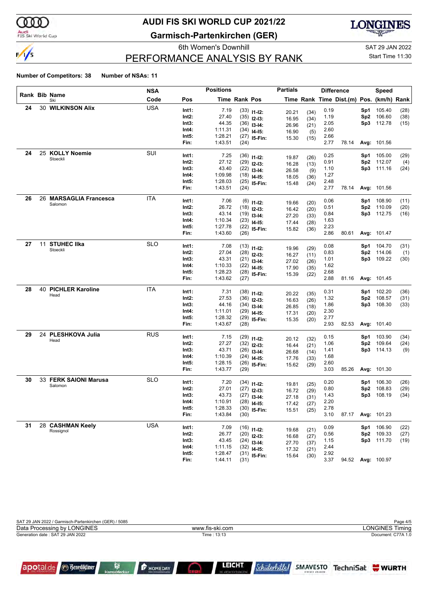

#### Audi<br>FIS Ski World Cup

apotal.de

**Benediktiner** 

ß

## **AUDI FIS SKI WORLD CUP 2021/22**

**Garmisch-Partenkirchen (GER)**



### PERFORMANCE ANALYSIS BY RANK

6th Women's Downhill Gas and Sample SAT 29 JAN 2022 Start Time 11:30

#### **Number of Competitors: 38 Number of NSAs: 11**

|    |    |                            | NSA        |          | <b>Positions</b> |               |                | <b>Partials</b> |              |      | <b>Difference</b>                        |      | <b>Speed</b>       |      |
|----|----|----------------------------|------------|----------|------------------|---------------|----------------|-----------------|--------------|------|------------------------------------------|------|--------------------|------|
|    |    | Rank Bib Name<br>Ski       | Code       | Pos      |                  | Time Rank Pos |                |                 |              |      | Time Rank Time Dist.(m) Pos. (km/h) Rank |      |                    |      |
| 24 |    | <b>30 WILKINSON Alix</b>   | <b>USA</b> | Int1:    | 7.19             |               | $(33)$ 11-12:  | 20.21           | (34)         | 0.19 |                                          | Sp1  | 105.40             | (28) |
|    |    |                            |            | Int2:    | 27.40            |               | $(35)$ 12-13:  | 16.95           | (34)         | 1.19 |                                          | Sp2  | 106.60             | (38) |
|    |    |                            |            | Int3:    | 44.35            |               | $(36)$ 13-14:  | 26.96           | (21)         | 2.05 |                                          | Sp3  | 112.78             | (15) |
|    |    |                            |            | Int4:    | 1:11.31          |               | $(34)$ 14-15:  | 16.90           | (5)          | 2.60 |                                          |      |                    |      |
|    |    |                            |            | Int5:    | 1:28.21          |               | $(27)$ 15-Fin: | 15.30           | (15)         | 2.66 |                                          |      |                    |      |
|    |    |                            |            | Fin:     | 1:43.51          | (24)          |                |                 |              | 2.77 | 78.14                                    |      | Avg: 101.56        |      |
| 24 |    | 25 KOLLY Noemie            | SUI        | Int1:    | 7.25             |               | $(36)$ 11-12:  | 19.87           | (26)         | 0.25 |                                          | Sp1  | 105.00             | (29) |
|    |    | Stoeckli                   |            | Int2:    | 27.12            |               | $(29)$ 12-13:  | 16.28           | (13)         | 0.91 |                                          |      | Sp2 112.07         | (4)  |
|    |    |                            |            | Int3:    | 43.40            |               | $(22)$ 13-14:  | 26.58           | (9)          | 1.10 |                                          |      | Sp3 111.16         | (24) |
|    |    |                            |            | Int4:    | 1:09.98          |               | $(18)$ 14-15:  | 18.05           | (36)         | 1.27 |                                          |      |                    |      |
|    |    |                            |            | Int5:    | 1:28.03          |               | $(25)$ 15-Fin: | 15.48           | (24)         | 2.48 |                                          |      |                    |      |
|    |    |                            |            | Fin:     | 1:43.51          | (24)          |                |                 |              | 2.77 | 78.14                                    |      | <b>Avg: 101.56</b> |      |
| 26 | 26 | <b>MARSAGLIA Francesca</b> | <b>ITA</b> | Int1:    | 7.06             |               | $(6)$ 11-12:   | 19.66           | (20)         | 0.06 |                                          | Sp1. | 108.90             | (11) |
|    |    | Salomon                    |            | Int2:    | 26.72            |               | $(18)$ 12-13:  | 16.42           | (20)         | 0.51 |                                          | Sp2  | 110.09             | (20) |
|    |    |                            |            | Int3:    | 43.14            |               | $(19)$ 13-14:  | 27.20           | (33)         | 0.84 |                                          |      | Sp3 112.75         | (16) |
|    |    |                            |            | Int4:    | 1:10.34          |               | $(23)$ 14-15:  | 17.44           | (28)         | 1.63 |                                          |      |                    |      |
|    |    |                            |            | Int5:    | 1:27.78          |               | $(22)$ 15-Fin: | 15.82           | (36)         | 2.23 |                                          |      |                    |      |
|    |    |                            |            | Fin:     | 1:43.60          | (26)          |                |                 |              | 2.86 | 80.61                                    |      | Avg: 101.47        |      |
| 27 | 11 | <b>STUHEC IIka</b>         | <b>SLO</b> | Int1:    | 7.08             |               | $(13)$ 11-12:  | 19.96           | (29)         | 0.08 |                                          | Sp1. | 104.70             | (31) |
|    |    | Stoeckli                   |            | Int2:    | 27.04            |               | $(28)$ 12-13:  | 16.27           | (11)         | 0.83 |                                          |      | Sp2 114.06         | (1)  |
|    |    |                            |            | Int3:    | 43.31            |               | $(21)$ 13-14:  | 27.02           | (26)         | 1.01 |                                          |      | Sp3 109.22         | (30) |
|    |    |                            |            | Int4:    | 1:10.33          |               | $(22)$ 14-15:  | 17.90           | (35)         | 1.62 |                                          |      |                    |      |
|    |    |                            |            | Int5:    | 1:28.23          |               | $(28)$ 15-Fin: | 15.39           | (22)         | 2.68 |                                          |      |                    |      |
|    |    |                            |            | Fin:     | 1:43.62          | (27)          |                |                 |              | 2.88 | 81.16                                    |      | Avg: 101.45        |      |
| 28 |    | <b>40 PICHLER Karoline</b> | <b>ITA</b> | Int1:    | 7.31             |               | $(38)$ 11-12:  |                 |              | 0.31 |                                          | Sp1  | 102.20             | (36) |
|    |    | Head                       |            | Int2:    | 27.53            |               | $(36)$ 12-13:  | 20.22<br>16.63  | (35)<br>(26) | 1.32 |                                          | Sp2  | 108.57             | (31) |
|    |    |                            |            | Int3:    | 44.16            |               | $(34)$ 13-14:  | 26.85           | (18)         | 1.86 |                                          | Sp3  | 108.30             | (33) |
|    |    |                            |            | Int4:    | 1:11.01          |               | $(29)$ 14-15:  | 17.31           | (20)         | 2.30 |                                          |      |                    |      |
|    |    |                            |            | Int5:    | 1:28.32          |               | $(29)$ 15-Fin: | 15.35           | (20)         | 2.77 |                                          |      |                    |      |
|    |    |                            |            | Fin:     | 1:43.67          | (28)          |                |                 |              | 2.93 | 82.53                                    |      | Avg: 101.40        |      |
| 29 |    | 24 PLESHKOVA Julia         | <b>RUS</b> | Int1:    | 7.15             |               | $(29)$ 11-12:  |                 |              | 0.15 |                                          | Sp1  | 103.90             | (34) |
|    |    | Head                       |            | $Int2$ : | 27.27            |               | $(32)$ 12-13:  | 20.12<br>16.44  | (32)         | 1.06 |                                          | Sp2  | 109.64             | (24) |
|    |    |                            |            | Int3:    | 43.71            |               | $(26)$ 13-14:  | 26.68           | (21)<br>(14) | 1.41 |                                          |      | Sp3 114.13         | (9)  |
|    |    |                            |            | Int4:    | 1:10.39          |               | $(24)$ 14-15:  | 17.76           | (33)         | 1.68 |                                          |      |                    |      |
|    |    |                            |            | Int5:    | 1:28.15          |               | $(26)$ 15-Fin: | 15.62           | (29)         | 2.60 |                                          |      |                    |      |
|    |    |                            |            | Fin:     | 1:43.77          | (29)          |                |                 |              | 3.03 | 85.26                                    |      | <b>Avg: 101.30</b> |      |
| 30 |    | 33 FERK SAIONI Marusa      | <b>SLO</b> | Int1:    | 7.20             |               | $(34)$ 11-12:  |                 |              | 0.20 |                                          | Sp1  | 106.30             | (26) |
|    |    | Salomon                    |            | Int2:    | 27.01            |               | $(27)$ 12-13:  | 19.81<br>16.72  | (25)<br>(29) | 0.80 |                                          | Sp2  | 108.83             | (29) |
|    |    |                            |            | Int3:    | 43.73            |               | $(27)$ 13-14:  | 27.18           | (31)         | 1.43 |                                          | Sp3  | 108.19             | (34) |
|    |    |                            |            | Int4:    | 1:10.91          |               | $(28)$ 14-15:  | 17.42           | (27)         | 2.20 |                                          |      |                    |      |
|    |    |                            |            | Int5:    | 1:28.33          |               | $(30)$ 15-Fin: | 15.51           | (25)         | 2.78 |                                          |      |                    |      |
|    |    |                            |            | Fin:     | 1:43.84          | (30)          |                |                 |              | 3.10 | 87.17                                    |      | Avg: 101.23        |      |
| 31 |    | 28 CASHMAN Keely           | <b>USA</b> | Int1:    | 7.09             |               | $(16)$ 11-12:  |                 |              | 0.09 |                                          |      | Sp1 106.90         | (22) |
|    |    | Rossignol                  |            | Int2:    | 26.77            |               | $(20)$ 12-13:  | 19.68           | (21)         | 0.56 |                                          |      | Sp2 109.33         | (27) |
|    |    |                            |            | Int3:    | 43.45            |               | $(24)$ 13-14:  | 16.68           | (27)         | 1.15 |                                          |      | Sp3 111.70         | (19) |
|    |    |                            |            | Int4:    | 1:11.15          |               | $(32)$ 14-15:  | 27.70<br>17.32  | (37)         | 2.44 |                                          |      |                    |      |
|    |    |                            |            | Int5:    | 1:28.47          |               | $(31)$ 15-Fin: | 15.64           | (21)<br>(30) | 2.92 |                                          |      |                    |      |
|    |    |                            |            | Fin:     | 1:44.11          | (31)          |                |                 |              | 3.37 |                                          |      | 94.52 Avg: 100.97  |      |

| Data Processing by LONGINES      | www.fis-ski.com | <b>LONGINES Timing</b> |
|----------------------------------|-----------------|------------------------|
| Generation date: SAT 29 JAN 2022 | Time: 13:13     | Document: C77A 1.0     |
|                                  |                 |                        |

 $\bigcirc$ 

**P** HOMEDAY

LEICHT

*Schülerhilfel*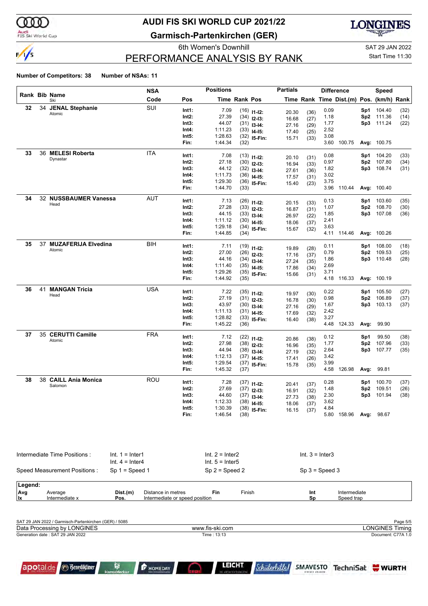

#### Audi<br>FIS Ski World Cup

apotal.de

**Benediktiner** 

## **AUDI FIS SKI WORLD CUP 2021/22**

**Garmisch-Partenkirchen (GER)**



### PERFORMANCE ANALYSIS BY RANK

6th Women's Downhill Gas and Sample SAT 29 JAN 2022 Start Time 11:30

#### **Number of Competitors: 38 Number of NSAs: 11**

|         |    |                                 |                                        | <b>NSA</b>         |                                | <b>Positions</b>                       |               |                                | <b>Partials</b> |                   |              | <b>Difference</b>                        |                 | Speed              |              |
|---------|----|---------------------------------|----------------------------------------|--------------------|--------------------------------|----------------------------------------|---------------|--------------------------------|-----------------|-------------------|--------------|------------------------------------------|-----------------|--------------------|--------------|
|         |    | <b>Rank Bib Name</b><br>Ski     |                                        | Code               | Pos                            |                                        | Time Rank Pos |                                |                 |                   |              | Time Rank Time Dist.(m) Pos. (km/h) Rank |                 |                    |              |
| 32      |    | 34 JENAL Stephanie              |                                        | SUI                | Int1:                          | 7.09                                   |               | $(16)$ 11-12:                  | 20.30           | (36)              | 0.09         |                                          | Sp1             | 104.40             | (32)         |
|         |    | Atomic                          |                                        |                    | Int2:                          | 27.39                                  |               | $(34)$ 12-13:                  | 16.68           | (27)              | 1.18         |                                          |                 | Sp2 111.36         | (14)         |
|         |    |                                 |                                        |                    | Int3:                          | 44.07                                  |               | $(31)$ 13-14:                  | 27.16           | (29)              | 1.77         |                                          |                 | Sp3 111.24         | (22)         |
|         |    |                                 |                                        |                    | Int4:                          | 1:11.23                                |               | $(33)$ 14-15:                  | 17.40           | (25)              | 2.52         |                                          |                 |                    |              |
|         |    |                                 |                                        |                    | Int5:                          | 1:28.63                                |               | $(32)$ 15-Fin:                 | 15.71           | (33)              | 3.08         |                                          |                 |                    |              |
|         |    |                                 |                                        |                    | Fin:                           | 1:44.34                                | (32)          |                                |                 |                   | 3.60         | 100.75                                   |                 | <b>Avg: 100.75</b> |              |
| 33      |    | 36 MELESI Roberta               |                                        | <b>ITA</b>         | Int1:                          | 7.08                                   |               | $(13)$ 11-12:                  | 20.10           | (31)              | 0.08         |                                          |                 | Sp1 104.20         | (33)         |
|         |    | Dynastar                        |                                        |                    | Int2:                          | 27.18                                  |               | $(30)$ 12-13:                  | 16.94           | (33)              | 0.97         |                                          |                 | Sp2 107.80         | (34)         |
|         |    |                                 |                                        |                    | Int3:                          | 44.12                                  |               | $(32)$ 13-14:                  | 27.61           | (36)              | 1.82         |                                          | Sp3             | 108.74             | (31)         |
|         |    |                                 |                                        |                    | Int4:                          | 1:11.73                                |               | $(36)$ 14-15:                  | 17.57           | (31)              | 3.02         |                                          |                 |                    |              |
|         |    |                                 |                                        |                    | Int5:                          | 1:29.30                                |               | $(36)$ 15-Fin:                 | 15.40           | (23)              | 3.75         |                                          |                 |                    |              |
|         |    |                                 |                                        |                    | Fin:                           | 1:44.70                                | (33)          |                                |                 |                   | 3.96         | 110.44                                   |                 | Avg: 100.40        |              |
| 34      |    | 32 NUSSBAUMER Vanessa           |                                        | AUT                | Int1:                          | 7.13                                   |               | $(26)$ 11-12:                  | 20.15           | (33)              | 0.13         |                                          | Sp1             | 103.60             | (35)         |
|         |    | Head                            |                                        |                    | $Int2$ :                       | 27.28                                  |               | $(33)$ 12-13:                  | 16.87           | (31)              | 1.07         |                                          | Sp2             | 108.70             | (30)         |
|         |    |                                 |                                        |                    | Int3:                          | 44.15                                  |               | $(33)$ 13-14:                  | 26.97           | (22)              | 1.85         |                                          |                 | Sp3 107.08         | (36)         |
|         |    |                                 |                                        |                    | Int4:                          | 1:11.12                                |               | $(30)$ 14-15:                  | 18.06           | (37)              | 2.41         |                                          |                 |                    |              |
|         |    |                                 |                                        |                    | Int5:                          | 1:29.18                                |               | $(34)$ 15-Fin:                 | 15.67           | (32)              | 3.63         |                                          |                 |                    |              |
|         |    |                                 |                                        |                    | Fin:                           | 1:44.85                                | (34)          |                                |                 |                   |              | 4.11 114.46                              |                 | Avg: 100.26        |              |
| 35      |    | 37 MUZAFERIJA Elvedina          |                                        | BIH                | Int1:                          | 7.11                                   |               | $(19)$ 11-12:                  |                 |                   | 0.11         |                                          | Sp1             | 108.00             | (18)         |
|         |    | Atomic                          |                                        |                    | Int2:                          | 27.00                                  |               | $(26)$ 12-13:                  | 19.89           | (28)              | 0.79         |                                          |                 | Sp2 109.53         | (25)         |
|         |    |                                 |                                        |                    | Int3:                          | 44.16                                  |               | $(34)$ 13-14:                  | 17.16           | (37)              | 1.86         |                                          | Sp3             | 110.48             | (28)         |
|         |    |                                 |                                        |                    | Int4:                          | 1:11.40                                |               | $(35)$ 14-15:                  | 27.24           | (35)              | 2.69         |                                          |                 |                    |              |
|         |    |                                 |                                        |                    | Int5:                          | 1:29.26                                |               | $(35)$ 15-Fin:                 | 17.86           | (34)              | 3.71         |                                          |                 |                    |              |
|         |    |                                 |                                        |                    | Fin:                           | 1:44.92                                | (35)          |                                | 15.66           | (31)              | 4.18         | 116.33                                   |                 | Avg: 100.19        |              |
| 36      | 41 | <b>MANGAN Tricia</b>            |                                        | <b>USA</b>         | Int1:                          | 7.22                                   |               |                                |                 |                   | 0.22         |                                          | Sp1             | 105.50             |              |
|         |    | Head                            |                                        |                    | Int2:                          | 27.19                                  |               | $(35)$ 11-12:                  | 19.97           | (30)              | 0.98         |                                          | Sp2             | 106.89             | (27)<br>(37) |
|         |    |                                 |                                        |                    | Int3:                          | 43.97                                  |               | $(31)$ 12-13:                  | 16.78           | (30)              | 1.67         |                                          | Sp3             | 103.13             | (37)         |
|         |    |                                 |                                        |                    | Int4:                          | 1:11.13                                |               | $(30)$ 13-14:<br>$(31)$ 14-15: | 27.16           | (29)              | 2.42         |                                          |                 |                    |              |
|         |    |                                 |                                        |                    | Int5:                          | 1:28.82                                |               | $(33)$ 15-Fin:                 | 17.69           | (32)              | 3.27         |                                          |                 |                    |              |
|         |    |                                 |                                        |                    | Fin:                           | 1:45.22                                | (36)          |                                | 16.40           | (38)              | 4.48         | 124.33                                   | Avg:            | 99.90              |              |
| 37      |    | 35 CERUTTI Camille              |                                        | <b>FRA</b>         |                                |                                        |               |                                |                 |                   |              |                                          |                 |                    |              |
|         |    | Atomic                          |                                        |                    | Int1:                          | 7.12                                   |               | $(22)$ 11-12:                  | 20.86           | (38)              | 0.12         |                                          | Sp1             | 99.50              | (38)         |
|         |    |                                 |                                        |                    | Int2:                          | 27.98                                  |               | $(38)$ 12-13:                  | 16.96           | (35)              | 1.77         |                                          | Sp2             | 107.96             | (33)         |
|         |    |                                 |                                        |                    | Int3:<br>Int4:                 | 44.94<br>1:12.13                       |               | $(38)$ 13-14:                  | 27.19           | (32)              | 2.64<br>3.42 |                                          | Sp3             | 107.77             | (35)         |
|         |    |                                 |                                        |                    | Int5:                          | 1:29.54                                |               | $(37)$ 14-15:                  | 17.41           | (26)              | 3.99         |                                          |                 |                    |              |
|         |    |                                 |                                        |                    | Fin:                           | 1:45.32                                | (37)          | $(37)$ 15-Fin:                 | 15.78           | (35)              | 4.58         | 126.98                                   | Avg:            | 99.81              |              |
|         |    |                                 |                                        |                    |                                |                                        |               |                                |                 |                   |              |                                          |                 |                    |              |
| 38      |    | 38 CAILL Ania Monica<br>Salomon |                                        | ROU                | Int1:                          | 7.28                                   |               | $(37)$ 11-12:                  | 20.41           | (37)              | 0.28         |                                          | Sp1             | 100.70             | (37)         |
|         |    |                                 |                                        |                    | $Int2$ :                       | 27.69                                  |               | $(37)$ 12-13:                  | 16.91           | (32)              | 1.48         |                                          | Sp <sub>2</sub> | 109.51             | (26)         |
|         |    |                                 |                                        |                    | Int3:                          | 44.60                                  |               | $(37)$ 13-14:                  | 27.73           | (38)              | 2.30         |                                          | Sp3             | 101.94             | (38)         |
|         |    |                                 |                                        |                    | Int4:                          | 1:12.33                                |               | $(38)$ 14-15:                  | 18.06           | (37)              | 3.62         |                                          |                 |                    |              |
|         |    |                                 |                                        |                    | Int5:                          | 1:30.39                                |               | $(38)$ 15-Fin:                 | 16.15           | (37)              | 4.84         |                                          |                 |                    |              |
|         |    |                                 |                                        |                    | Fin:                           | 1:46.54                                | (38)          |                                |                 |                   |              | 5.80 158.96                              |                 | <b>Avg: 98.67</b>  |              |
|         |    | Intermediate Time Positions:    | $Int. 1 = Inter1$<br>$Int. 4 = Inter4$ |                    |                                | $Int. 2 = Inter2$<br>Int. $5 =$ Inter5 |               |                                |                 | $Int. 3 = Inter3$ |              |                                          |                 |                    |              |
|         |    | Speed Measurement Positions:    | $Sp 1 = Speed 1$                       |                    |                                | $Sp 2 = Speed 2$                       |               |                                |                 |                   |              |                                          |                 |                    |              |
|         |    |                                 |                                        |                    |                                |                                        |               |                                |                 | $Sp 3 = Speed 3$  |              |                                          |                 |                    |              |
| Legend: |    |                                 |                                        |                    |                                |                                        |               |                                |                 |                   |              |                                          |                 |                    |              |
| Avg     |    | Average                         | Dist.(m)                               | Distance in metres |                                | Fin                                    | Finish        |                                |                 | Int               |              | Intermediate                             |                 |                    |              |
| lx.     |    | Intermediate x                  | Pos.                                   |                    | Intermediate or speed position |                                        |               |                                |                 | Sp                |              | Speed trap                               |                 |                    |              |

| SAT 29 JAN 2022 / Garmisch-Partenkirchen (GER) / 5085 |                 | Page 5/5           |
|-------------------------------------------------------|-----------------|--------------------|
| Data Processing by LONGINES                           | www.fis-ski.com | LONGINES Timing    |
| Generation date: SAT 29 JAN 2022                      | Time: 13:13     | Document: C77A 1.0 |

r

**P** HOMEDAY

**LEICHT** 

Schülerhilfe !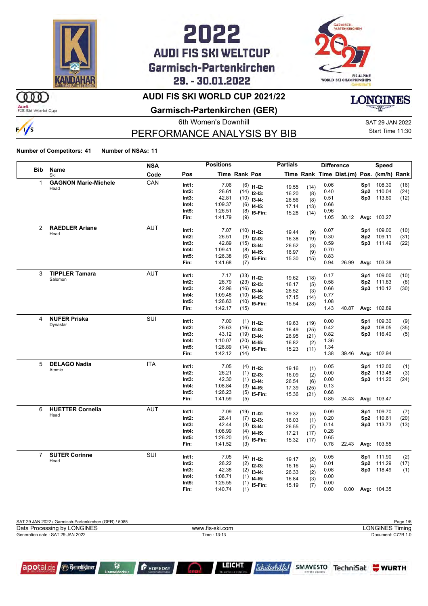

## 2022 **AUDI FIS SKI WELTCUP** Garmisch-Partenkirchen 29. - 30.01.2022



### **AUDI FIS SKI WORLD CUP 2021/22**

Audi<br>FIS Ski World Cup

 $\frac{1}{s}$ 

m

#### **Garmisch-Partenkirchen (GER)**

6th Women's Downhill Gas and Sample SAT 29 JAN 2022

### PERFORMANCE ANALYSIS BY BIB

Start Time 11:30

**LONGINES** 

**Number of Competitors: 41 Number of NSAs: 11**

|                |                             | <b>NSA</b> |                | <b>Positions</b>   |               |                              | <b>Partials</b> |             |              | <b>Difference</b>                        |                 | Speed       |      |
|----------------|-----------------------------|------------|----------------|--------------------|---------------|------------------------------|-----------------|-------------|--------------|------------------------------------------|-----------------|-------------|------|
| <b>Bib</b>     | Name<br>Ski                 | Code       | Pos            |                    | Time Rank Pos |                              |                 |             |              | Time Rank Time Dist.(m) Pos. (km/h) Rank |                 |             |      |
| 1              | <b>GAGNON Marie-Michele</b> | CAN        | Int1:          | 7.06               |               | $(6)$ 11-12:                 |                 |             | 0.06         |                                          | Sp1             | 108.30      | (16) |
|                | Head                        |            | Int2:          | 26.61              |               | $(14)$ 12-13:                | 19.55<br>16.20  | (14)<br>(8) | 0.40         |                                          | Sp <sub>2</sub> | 110.04      | (24) |
|                |                             |            | Int3:          | 42.81              |               | $(10)$ 13-14:                | 26.56           | (8)         | 0.51         |                                          |                 | Sp3 113.80  | (12) |
|                |                             |            | Int4:          | 1:09.37            | (6)           | $14 - 15$ :                  | 17.14           | (13)        | 0.66         |                                          |                 |             |      |
|                |                             |            | Int5:          | 1:26.51            | (8)           | 15-Fin:                      | 15.28           | (14)        | 0.96         |                                          |                 |             |      |
|                |                             |            | Fin:           | 1:41.79            | (9)           |                              |                 |             | 1.05         | 30.12                                    |                 | Avg: 103.27 |      |
| 2              | <b>RAEDLER Ariane</b>       | <b>AUT</b> | Int1:          | 7.07               |               |                              |                 |             | 0.07         |                                          | Sp1             | 109.00      | (10) |
|                | Head                        |            | Int2:          | 26.51              |               | $(10)$ 11-12:                | 19.44           | (9)         | 0.30         |                                          | Sp2             | 109.11      | (31) |
|                |                             |            | Int3:          | 42.89              |               | $(9)$ 12-13:                 | 16.38           | (19)        | 0.59         |                                          |                 | Sp3 111.49  | (22) |
|                |                             |            | Int4:          | 1:09.41            | (8)           | $(15)$ 13-14:                | 26.52           | (3)         | 0.70         |                                          |                 |             |      |
|                |                             |            | Int5:          | 1:26.38            |               | $14-15:$<br>$(6)$ 15-Fin:    | 16.97           | (9)         | 0.83         |                                          |                 |             |      |
|                |                             |            | Fin:           | 1:41.68            | (7)           |                              | 15.30           | (15)        | 0.94         | 26.99                                    |                 | Avg: 103.38 |      |
| 3              | <b>TIPPLER Tamara</b>       | <b>AUT</b> |                |                    |               |                              |                 |             |              |                                          |                 |             |      |
|                | Salomon                     |            | Int1:          | 7.17               |               | $(33)$ 11-12:                | 19.62           | (18)        | 0.17         |                                          | Sp1             | 109.00      | (10) |
|                |                             |            | Int2:          | 26.79              |               | $(23)$ 12-13:                | 16.17           | (5)         | 0.58         |                                          |                 | Sp2 111.83  | (8)  |
|                |                             |            | Int3:          | 42.96              |               | $(16)$ 13-14:                | 26.52           | (3)         | 0.66         |                                          |                 | Sp3 110.12  | (30) |
|                |                             |            | Int4:          | 1:09.48            |               | $(10)$ 14-15:                | 17.15           | (14)        | 0.77         |                                          |                 |             |      |
|                |                             |            | Int5:<br>Fin:  | 1:26.63<br>1:42.17 |               | $(10)$ 15-Fin:               | 15.54           | (28)        | 1.08<br>1.43 | 40.87                                    |                 |             |      |
|                |                             |            |                |                    | (15)          |                              |                 |             |              |                                          |                 | Avg: 102.89 |      |
| 4              | <b>NUFER Priska</b>         | SUI        | Int1:          | 7.00               |               | $(1)$ 11-12:                 | 19.63           | (19)        | 0.00         |                                          | Sp1             | 109.30      | (9)  |
|                | Dynastar                    |            | Int2:          | 26.63              | (16)          | $12-13:$                     | 16.49           | (25)        | 0.42         |                                          | Sp2             | 108.05      | (35) |
|                |                             |            | Int3:          | 43.12              |               | $(19)$ 13-14:                | 26.95           | (21)        | 0.82         |                                          | Sp3             | 116.40      | (5)  |
|                |                             |            | Int4:          | 1:10.07            |               | $(20)$ 14-15:                | 16.82           | (2)         | 1.36         |                                          |                 |             |      |
|                |                             |            | Int5:          | 1:26.89            |               | $(14)$ 15-Fin:               | 15.23           | (11)        | 1.34         |                                          |                 |             |      |
|                |                             |            | Fin:           | 1:42.12            | (14)          |                              |                 |             | 1.38         | 39.46                                    |                 | Avg: 102.94 |      |
| 5              | <b>DELAGO Nadia</b>         | <b>ITA</b> | Int1:          | 7.05               |               |                              |                 |             | 0.05         |                                          | Sp1             | 112.00      | (1)  |
|                | Atomic                      |            | Int2:          | 26.21              |               | $(4)$ 11-12:                 | 19.16           | (1)         | 0.00         |                                          | Sp <sub>2</sub> | 113.48      | (3)  |
|                |                             |            | Int3:          | 42.30              |               | $(1)$ 12-13:<br>$(1)$ 13-14: | 16.09           | (2)         | 0.00         |                                          | Sp3             | 111.20      | (24) |
|                |                             |            | Int4:          | 1:08.84            | (3)           | $14-15$ :                    | 26.54           | (6)         | 0.13         |                                          |                 |             |      |
|                |                             |            | Int5:          | 1:26.23            |               | $(5)$ 15-Fin:                | 17.39           | (25)        | 0.68         |                                          |                 |             |      |
|                |                             |            | Fin:           | 1:41.59            | (5)           |                              | 15.36           | (21)        | 0.85         | 24.43                                    |                 | Avg: 103.47 |      |
| 6              | <b>HUETTER Cornelia</b>     | <b>AUT</b> |                |                    |               |                              |                 |             |              |                                          |                 |             |      |
|                | Head                        |            | Int1:          | 7.09               |               | $(19)$ 11-12:                | 19.32           | (5)         | 0.09         |                                          | Sp1             | 109.70      | (7)  |
|                |                             |            | Int2:          | 26.41              |               | $(7)$ 12-13:                 | 16.03           | (1)         | 0.20         |                                          | Sp2             | 110.61      | (20) |
|                |                             |            | Int3:<br>Int4: | 42.44<br>1:08.99   |               | $(3)$ 13-14:                 | 26.55           | (7)         | 0.14<br>0.28 |                                          |                 | Sp3 113.73  | (13) |
|                |                             |            | Int5:          | 1:26.20            | (4)           | $14-15$ :                    | 17.21           | (17)        | 0.65         |                                          |                 |             |      |
|                |                             |            | Fin:           | 1:41.52            | (4)<br>(3)    | 15-Fin:                      | 15.32           | (17)        | 0.78         | 22.43                                    |                 | Avg: 103.55 |      |
| $\overline{7}$ | <b>SUTER Corinne</b>        | SUI        |                |                    |               |                              |                 |             |              |                                          |                 |             |      |
|                | Head                        |            | Int1:          | 7.05               |               | $(4)$ 11-12:                 | 19.17           | (2)         | 0.05         |                                          |                 | Sp1 111.90  | (2)  |
|                |                             |            | Int2:          | 26.22              |               | $(2)$ 12-13:                 | 16.16           | (4)         | 0.01         |                                          |                 | Sp2 111.29  | (17) |
|                |                             |            | Int3:          | 42.38              |               | $(2)$ 13-14:                 | 26.33           | (2)         | 0.08         |                                          |                 | Sp3 118.49  | (1)  |
|                |                             |            | Int4:<br>Int5: | 1:08.71<br>1:25.55 | (1)           | $14-15:$                     | 16.84           | (3)         | 0.00<br>0.00 |                                          |                 |             |      |
|                |                             |            | Fin:           | 1:40.74            | (1)<br>(1)    | 15-Fin:                      | 15.19           | (7)         | 0.00         | 0.00                                     |                 | Avg: 104.35 |      |
|                |                             |            |                |                    |               |                              |                 |             |              |                                          |                 |             |      |

| SAT 29 JAN 2022 / Garmisch-Partenkirchen (GER) / 5085 |                 | Page 1/6           |
|-------------------------------------------------------|-----------------|--------------------|
| Data Processing by LONGINES                           | www.fis-ski.com | LONGINES Timina    |
| Generation date: SAT 29 JAN 2022                      | Time: 13:13     | Document: C77B 1.0 |



**F** HOMEDAY

**LEICHT** 

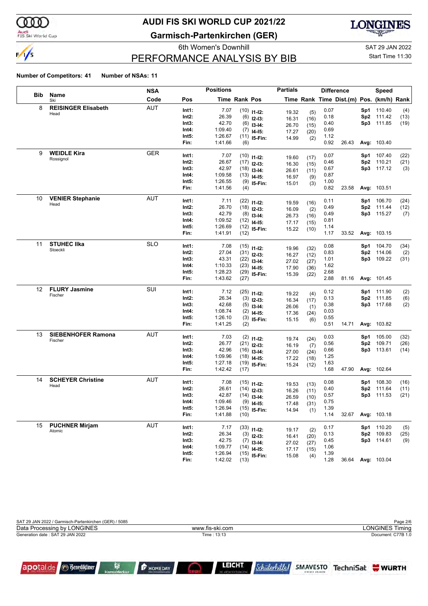

#### Audi<br>FIS Ski World Cup

apotal.de

**Benediktiner** 

ß

## **AUDI FIS SKI WORLD CUP 2021/22**

**Garmisch-Partenkirchen (GER)**



### PERFORMANCE ANALYSIS BY BIB

6th Women's Downhill Gas and Sample SAT 29 JAN 2022

### Start Time 11:30

#### **Number of Competitors: 41 Number of NSAs: 11**

|     |                            | <b>NSA</b> |       | <b>Positions</b> |               |                | <b>Partials</b> |              |      | <b>Difference</b>                        |                 | <b>Speed</b> |      |
|-----|----------------------------|------------|-------|------------------|---------------|----------------|-----------------|--------------|------|------------------------------------------|-----------------|--------------|------|
| Bib | Name<br>Ski                | Code       | Pos   |                  | Time Rank Pos |                |                 |              |      | Time Rank Time Dist.(m) Pos. (km/h) Rank |                 |              |      |
| 8   | <b>REISINGER Elisabeth</b> | <b>AUT</b> | Int1: | 7.07             |               | $(10)$ 11-12:  | 19.32           |              | 0.07 |                                          | Sp1             | 110.40       | (4)  |
|     | Head                       |            | Int2: | 26.39            |               | $(6)$ 12-13:   | 16.31           | (5)<br>(16)  | 0.18 |                                          | Sp <sub>2</sub> | 111.42       | (13) |
|     |                            |            | Int3: | 42.70            |               | $(6)$ 13-14:   | 26.70           | (15)         | 0.40 |                                          |                 | Sp3 111.85   | (19) |
|     |                            |            | Int4: | 1:09.40          |               | $(7)$ 14-15:   | 17.27           | (20)         | 0.69 |                                          |                 |              |      |
|     |                            |            | Int5: | 1:26.67          |               | $(11)$ 15-Fin: | 14.99           | (2)          | 1.12 |                                          |                 |              |      |
|     |                            |            | Fin:  | 1:41.66          | (6)           |                |                 |              | 0.92 | 26.43                                    |                 | Avg: 103.40  |      |
| 9   | <b>WEIDLE Kira</b>         | <b>GER</b> | Int1: | 7.07             |               | $(10)$ 11-12:  |                 |              | 0.07 |                                          | Sp1             | 107.40       | (22) |
|     | Rossignol                  |            | Int2: | 26.67            |               | $(17)$ 12-13:  | 19.60           | (17)         | 0.46 |                                          | Sp <sub>2</sub> | 110.21       | (21) |
|     |                            |            | Int3: | 42.97            |               | $(18)$ 13-14:  | 16.30<br>26.61  | (15)<br>(11) | 0.67 |                                          |                 | Sp3 117.12   | (3)  |
|     |                            |            | Int4: | 1:09.58          |               | $(13)$ 14-15:  | 16.97           | (9)          | 0.87 |                                          |                 |              |      |
|     |                            |            | Int5: | 1:26.55          |               | $(9)$ 15-Fin:  | 15.01           | (3)          | 1.00 |                                          |                 |              |      |
|     |                            |            | Fin:  | 1:41.56          | (4)           |                |                 |              | 0.82 | 23.58                                    |                 | Avg: 103.51  |      |
| 10  | <b>VENIER Stephanie</b>    | <b>AUT</b> | Int1: | 7.11             |               | $(22)$ 11-12:  |                 |              | 0.11 |                                          | Sp1             | 106.70       | (24) |
|     | Head                       |            | Int2: | 26.70            |               | $(18)$ 12-13:  | 19.59           | (16)         | 0.49 |                                          | Sp <sub>2</sub> | 111.44       | (12) |
|     |                            |            | Int3: | 42.79            |               | $(8)$ 13-14:   | 16.09<br>26.73  | (2)<br>(16)  | 0.49 |                                          | Sp3             | 115.27       | (7)  |
|     |                            |            | Int4: | 1:09.52          |               | $(12)$ 14-15:  | 17.17           | (15)         | 0.81 |                                          |                 |              |      |
|     |                            |            | Int5: | 1:26.69          |               | $(12)$ 15-Fin: | 15.22           | (10)         | 1.14 |                                          |                 |              |      |
|     |                            |            | Fin:  | 1:41.91          | (12)          |                |                 |              | 1.17 | 33.52                                    |                 | Avg: 103.15  |      |
| 11  | <b>STUHEC IIka</b>         | <b>SLO</b> | Int1: | 7.08             |               | $(15)$ 11-12:  |                 |              | 0.08 |                                          | Sp1             | 104.70       | (34) |
|     | Stoeckli                   |            | Int2: | 27.04            |               | $(31)$ 12-13:  | 19.96           | (32)         | 0.83 |                                          | Sp <sub>2</sub> | 114.06       | (2)  |
|     |                            |            | Int3: | 43.31            |               | $(22)$ 13-14:  | 16.27           | (12)         | 1.01 |                                          |                 | Sp3 109.22   | (31) |
|     |                            |            | Int4: | 1:10.33          |               | $(23)$ 14-15:  | 27.02           | (27)         | 1.62 |                                          |                 |              |      |
|     |                            |            | Int5: | 1:28.23          |               | $(29)$ 15-Fin: | 17.90           | (36)         | 2.68 |                                          |                 |              |      |
|     |                            |            | Fin:  | 1:43.62          | (27)          |                | 15.39           | (22)         | 2.88 | 81.16                                    |                 | Avg: 101.45  |      |
| 12  | <b>FLURY Jasmine</b>       | SUI        | Int1: | 7.12             |               | $(25)$ 11-12:  |                 |              | 0.12 |                                          | Sp1             | 111.90       | (2)  |
|     | Fischer                    |            | Int2: | 26.34            |               | $(3)$ 12-13:   | 19.22           | (4)          | 0.13 |                                          | Sp2             | 111.85       | (6)  |
|     |                            |            | Int3: | 42.68            |               | $(5)$ 13-14:   | 16.34           | (17)         | 0.38 |                                          |                 | Sp3 117.68   | (2)  |
|     |                            |            | Int4: | 1:08.74          |               | $(2)$ 14-15:   | 26.06           | (1)          | 0.03 |                                          |                 |              |      |
|     |                            |            | Int5: | 1:26.10          |               | $(3)$ 15-Fin:  | 17.36<br>15.15  | (24)<br>(6)  | 0.55 |                                          |                 |              |      |
|     |                            |            | Fin:  | 1:41.25          | (2)           |                |                 |              | 0.51 | 14.71                                    |                 | Avg: 103.82  |      |
| 13  | <b>SIEBENHOFER Ramona</b>  | AUT        | Int1: | 7.03             |               | $(2)$ 11-12:   |                 |              | 0.03 |                                          | Sp1             | 105.00       | (32) |
|     | Fischer                    |            | Int2: | 26.77            |               | $(21)$ 12-13:  | 19.74           | (24)         | 0.56 |                                          | Sp <sub>2</sub> | 109.71       | (26) |
|     |                            |            | Int3: | 42.96            |               | $(16)$ 13-14:  | 16.19<br>27.00  | (7)          | 0.66 |                                          |                 | Sp3 113.61   | (14) |
|     |                            |            | Int4: | 1:09.96          |               | $(18)$ 14-15:  | 17.22           | (24)<br>(18) | 1.25 |                                          |                 |              |      |
|     |                            |            | Int5: | 1:27.18          |               | $(19)$ 15-Fin: | 15.24           | (12)         | 1.63 |                                          |                 |              |      |
|     |                            |            | Fin:  | 1:42.42          | (17)          |                |                 |              | 1.68 | 47.90                                    |                 | Avg: 102.64  |      |
| 14  | <b>SCHEYER Christine</b>   | AUT        | Int1: | 7.08             |               | $(15)$ 11-12:  |                 |              | 0.08 |                                          | Sp1             | 108.30       | (16) |
|     | Head                       |            | Int2: | 26.61            |               | $(14)$ 12-13:  | 19.53<br>16.26  | (13)<br>(11) | 0.40 |                                          | Sp <sub>2</sub> | 111.64       | (11) |
|     |                            |            | Int3: | 42.87            |               | $(14)$ 13-14:  | 26.59           | (10)         | 0.57 |                                          | Sp3             | 111.53       | (21) |
|     |                            |            | Int4: | 1:09.46          |               | $(9)$ 14-15:   | 17.48           | (31)         | 0.75 |                                          |                 |              |      |
|     |                            |            | Int5: | 1:26.94          |               | $(15)$ 15-Fin: | 14.94           | (1)          | 1.39 |                                          |                 |              |      |
|     |                            |            | Fin:  | 1:41.88          | (10)          |                |                 |              | 1.14 | 32.67                                    |                 | Avg: 103.18  |      |
| 15  | <b>PUCHNER Mirjam</b>      | AUT        | Int1: | 7.17             |               | $(33)$ 11-12:  |                 |              | 0.17 |                                          | Sp1             | 110.20       | (5)  |
|     | Atomic                     |            | Int2: | 26.34            |               | $(3)$ 12-13:   | 19.17<br>16.41  | (2)<br>(20)  | 0.13 |                                          | Sp2             | 109.83       | (25) |
|     |                            |            | Int3: | 42.75            |               | $(7)$ 13-14:   | 27.02           | (27)         | 0.45 |                                          |                 | Sp3 114.61   | (9)  |
|     |                            |            | Int4: | 1:09.77          |               | $(14)$ 14-15:  | 17.17           | (15)         | 1.06 |                                          |                 |              |      |
|     |                            |            | Int5: | 1:26.94          |               | $(15)$ 15-Fin: | 15.08           | (4)          | 1.39 |                                          |                 |              |      |
|     |                            |            | Fin:  | 1:42.02          | (13)          |                |                 |              | 1.28 | 36.64                                    |                 | Avg: 103.04  |      |

| SAT 29 JAN 2022 / Garmisch-Partenkirchen (GER) / 5085 |                 | Page 2/6               |
|-------------------------------------------------------|-----------------|------------------------|
| Data Processing by LONGINES                           | www.fis-ski.com | <b>LONGINES Timing</b> |
| Generation date: SAT 29 JAN 2022                      | Time: 13:13     | Document: C77B 1.0     |
|                                                       |                 |                        |
|                                                       |                 |                        |

 $\bigcirc$ 

**P** HOMEDAY

LEICHT

*Schülerhilfel*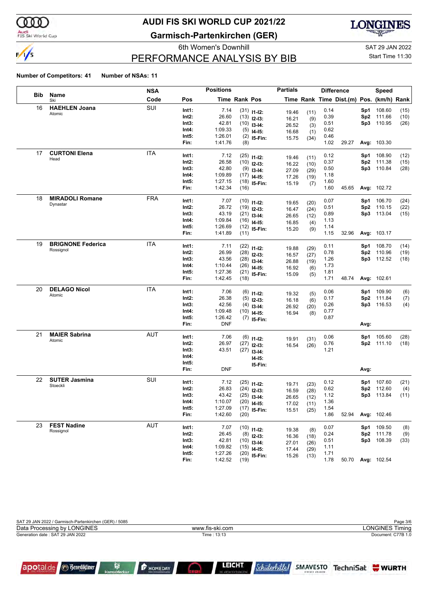

#### Audi<br>FIS Ski World Cup

apotal.de

**Benediktiner** 

R

## **AUDI FIS SKI WORLD CUP 2021/22**

**Garmisch-Partenkirchen (GER)**



### PERFORMANCE ANALYSIS BY BIB

6th Women's Downhill Gas and Sample SAT 29 JAN 2022

### Start Time 11:30

#### **Number of Competitors: 41 Number of NSAs: 11**

|            |                          | <b>NSA</b> |       | <b>Positions</b> |                      |                               | <b>Partials</b> |              |      | <b>Difference</b>                        |      | Speed              |      |
|------------|--------------------------|------------|-------|------------------|----------------------|-------------------------------|-----------------|--------------|------|------------------------------------------|------|--------------------|------|
| <b>Bib</b> | Name<br>Ski              | Code       | Pos   |                  | <b>Time Rank Pos</b> |                               |                 |              |      | Time Rank Time Dist.(m) Pos. (km/h) Rank |      |                    |      |
| 16         | <b>HAEHLEN Joana</b>     | SUI        | Int1: | 7.14             |                      | $(31)$ 11-12:                 | 19.46           | (11)         | 0.14 |                                          | Sp1  | 108.60             | (15) |
|            | Atomic                   |            | Int2: | 26.60            |                      | $(13)$ 12-13:                 | 16.21           | (9)          | 0.39 |                                          | Sp2  | 111.66             | (10) |
|            |                          |            | Int3: | 42.81            |                      | $(10)$ 13-14:                 | 26.52           | (3)          | 0.51 |                                          | Sp3  | 110.95             | (26) |
|            |                          |            | Int4: | 1:09.33          |                      | $(5)$ 14-15:                  | 16.68           | (1)          | 0.62 |                                          |      |                    |      |
|            |                          |            | Int5: | 1:26.01          |                      | $(2)$ 15-Fin:                 | 15.75           | (34)         | 0.46 |                                          |      |                    |      |
|            |                          |            | Fin:  | 1:41.76          | (8)                  |                               |                 |              | 1.02 | 29.27                                    |      | Avg: 103.30        |      |
| 17         | <b>CURTONI Elena</b>     | ITA        | Int1: | 7.12             |                      | $(25)$ 11-12:                 | 19.46           | (11)         | 0.12 |                                          | Sp1  | 108.90             | (12) |
|            | Head                     |            | Int2: | 26.58            |                      | $(10)$ 12-13:                 | 16.22           | (10)         | 0.37 |                                          | Sp2  | 111.38             | (15) |
|            |                          |            | Int3: | 42.80            |                      | $(9)$ 13-14:                  | 27.09           | (29)         | 0.50 |                                          | Sp3  | 110.84             | (28) |
|            |                          |            | Int4: | 1:09.89          |                      | $(17)$ 14-15:                 | 17.26           | (19)         | 1.18 |                                          |      |                    |      |
|            |                          |            | Int5: | 1:27.15          |                      | $(18)$ 15-Fin:                | 15.19           | (7)          | 1.60 |                                          |      |                    |      |
|            |                          |            | Fin:  | 1:42.34          | (16)                 |                               |                 |              | 1.60 | 45.65                                    |      | Avg: 102.72        |      |
| 18         | <b>MIRADOLI Romane</b>   | <b>FRA</b> | Int1: | 7.07             |                      | $(10)$ 11-12:                 | 19.65           | (20)         | 0.07 |                                          | Sp1  | 106.70             | (24) |
|            | Dynastar                 |            | Int2: | 26.72            |                      | $(19)$ 12-13:                 | 16.47           | (24)         | 0.51 |                                          | Sp2  | 110.15             | (22) |
|            |                          |            | Int3: | 43.19            |                      | $(21)$ 13-14:                 | 26.65           | (12)         | 0.89 |                                          | Sp3  | 113.04             | (15) |
|            |                          |            | Int4: | 1:09.84          |                      | $(16)$ 14-15:                 | 16.85           | (4)          | 1.13 |                                          |      |                    |      |
|            |                          |            | Int5: | 1:26.69          |                      | $(12)$ 15-Fin:                | 15.20           | (9)          | 1.14 |                                          |      |                    |      |
|            |                          |            | Fin:  | 1:41.89          | (11)                 |                               |                 |              | 1.15 | 32.96                                    |      | Avg: 103.17        |      |
| 19         | <b>BRIGNONE Federica</b> | ITA        | Int1: | 7.11             |                      | $(22)$ 11-12:                 | 19.88           | (29)         | 0.11 |                                          | Sp1  | 108.70             | (14) |
|            | Rossignol                |            | Int2: | 26.99            |                      | $(28)$ 12-13:                 | 16.57           | (27)         | 0.78 |                                          | Sp2  | 110.96             | (19) |
|            |                          |            | Int3: | 43.56            |                      | $(28)$ 13-14:                 | 26.88           | (19)         | 1.26 |                                          |      | Sp3 112.52         | (18) |
|            |                          |            | Int4: | 1:10.44          |                      | $(26)$ 14-15:                 | 16.92           | (6)          | 1.73 |                                          |      |                    |      |
|            |                          |            | Int5: | 1:27.36          |                      | $(21)$ 15-Fin:                | 15.09           | (5)          | 1.81 |                                          |      |                    |      |
|            |                          |            | Fin:  | 1:42.45          | (18)                 |                               |                 |              | 1.71 | 48.74                                    |      | Avg: 102.61        |      |
| 20         | <b>DELAGO Nicol</b>      | ITA        | Int1: | 7.06             |                      | $(6)$ 11-12:                  |                 |              | 0.06 |                                          | Sp1  | 109.90             | (6)  |
|            | Atomic                   |            | Int2: | 26.38            |                      | $(5)$ 12-13:                  | 19.32           | (5)          | 0.17 |                                          | Sp2  | 111.84             | (7)  |
|            |                          |            | Int3: | 42.56            |                      | $(4)$ 13-14:                  | 16.18<br>26.92  | (6)<br>(20)  | 0.26 |                                          | Sp3  | 116.53             | (4)  |
|            |                          |            | Int4: | 1:09.48          |                      | $(10)$ 14-15:                 | 16.94           | (8)          | 0.77 |                                          |      |                    |      |
|            |                          |            | Int5: | 1:26.42          |                      | $(7)$ 15-Fin:                 |                 |              | 0.87 |                                          |      |                    |      |
|            |                          |            | Fin:  | <b>DNF</b>       |                      |                               |                 |              |      |                                          | Avg: |                    |      |
| 21         | <b>MAIER Sabrina</b>     | AUT        | Int1: | 7.06             |                      | $(6)$ 11-12:                  |                 |              | 0.06 |                                          | Sp1  | 105.60             | (28) |
|            | Atomic                   |            | Int2: | 26.97            |                      | $(27)$ 12-13:                 | 19.91           | (31)         | 0.76 |                                          |      | Sp2 111.10         | (18) |
|            |                          |            | Int3: | 43.51            |                      | $(27)$ 13-14:                 | 16.54           | (26)         | 1.21 |                                          |      |                    |      |
|            |                          |            | Int4: |                  |                      | <b>I4-15:</b>                 |                 |              |      |                                          |      |                    |      |
|            |                          |            | Int5: |                  |                      | 15-Fin:                       |                 |              |      |                                          |      |                    |      |
|            |                          |            | Fin:  | <b>DNF</b>       |                      |                               |                 |              |      |                                          | Avg: |                    |      |
| 22         | <b>SUTER Jasmina</b>     | SUI        | Int1: | 7.12             |                      | $(25)$ 11-12:                 |                 |              | 0.12 |                                          | Sp1. | 107.60             | (21) |
|            | Stoeckli                 |            | Int2: | 26.83            |                      | $(24)$ 12-13:                 | 19.71           | (23)         | 0.62 |                                          | Sp2  | 112.60             | (4)  |
|            |                          |            | Int3: | 43.42            |                      | $(25)$ 13-14:                 | 16.59<br>26.65  | (28)         | 1.12 |                                          | Sp3  | 113.84             | (11) |
|            |                          |            | Int4: | 1:10.07          |                      | $(20)$ 14-15:                 | 17.02           | (12)<br>(11) | 1.36 |                                          |      |                    |      |
|            |                          |            | Int5: | 1:27.09          |                      | $(17)$ 15-Fin:                | 15.51           | (25)         | 1.54 |                                          |      |                    |      |
|            |                          |            | Fin:  | 1:42.60          | (20)                 |                               |                 |              | 1.86 | 52.94                                    |      | Avg: 102.46        |      |
| 23         | <b>FEST Nadine</b>       | AUT        | Int1: | 7.07             |                      |                               |                 |              | 0.07 |                                          |      | Sp1 109.50         | (8)  |
|            | Rossignol                |            | Int2: | 26.45            |                      | $(10)$ 11-12:                 | 19.38           | (8)          | 0.24 |                                          | Sp2  | 111.78             | (9)  |
|            |                          |            | Int3: | 42.81            |                      | $(8)$ 12-13:<br>$(10)$ 13-14: | 16.36           | (18)         | 0.51 |                                          |      | Sp3 108.39         | (33) |
|            |                          |            | Int4: | 1:09.82          |                      | $(15)$ 14-15:                 | 27.01           | (26)         | 1.11 |                                          |      |                    |      |
|            |                          |            | Int5: | 1:27.26          |                      | $(20)$ 15-Fin:                | 17.44           | (29)         | 1.71 |                                          |      |                    |      |
|            |                          |            | Fin:  | 1:42.52          | (19)                 |                               | 15.26           | (13)         | 1.78 | 50.70                                    |      | <b>Avg: 102.54</b> |      |

| SAT 29 JAN 2022 / Garmisch-Partenkirchen (GER) / 5085 |                 | Page 3/6               |
|-------------------------------------------------------|-----------------|------------------------|
| Data Processing by LONGINES                           | www.fis-ski.com | <b>LONGINES Timing</b> |
| Generation date: SAT 29 JAN 2022                      | Time: 13:13     | Document: C77B 1.0     |
|                                                       |                 |                        |
|                                                       |                 |                        |

 $\bigcirc$ 

**P** HOMEDAY

LEICHT

*Schülerhilfel*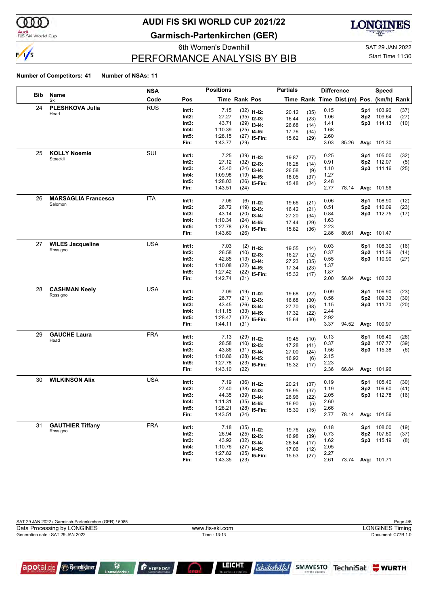

#### Audi<br>FIS Ski World Cup

apotal.de

**Benediktiner** 

R

## **AUDI FIS SKI WORLD CUP 2021/22**

**Garmisch-Partenkirchen (GER)**



### PERFORMANCE ANALYSIS BY BIB

6th Women's Downhill Gas and Sample SAT 29 JAN 2022

### Start Time 11:30

#### **Number of Competitors: 41 Number of NSAs: 11**

|            |                            | <b>NSA</b> |       | <b>Positions</b> |               |                | <b>Partials</b> |      |      | <b>Difference</b>                        |                 | <b>Speed</b>      |      |
|------------|----------------------------|------------|-------|------------------|---------------|----------------|-----------------|------|------|------------------------------------------|-----------------|-------------------|------|
| <b>Bib</b> | Name<br>Ski                | Code       | Pos   |                  | Time Rank Pos |                |                 |      |      | Time Rank Time Dist.(m) Pos. (km/h) Rank |                 |                   |      |
| 24         | PLESHKOVA Julia            | <b>RUS</b> | Int1: | 7.15             |               | $(32)$ 11-12:  | 20.12           | (35) | 0.15 |                                          | Sp1             | 103.90            | (37) |
|            | Head                       |            | Int2: | 27.27            |               | $(35)$ 12-13:  | 16.44           | (23) | 1.06 |                                          | Sp <sub>2</sub> | 109.64            | (27) |
|            |                            |            | Int3: | 43.71            |               | $(29)$ 13-14:  | 26.68           | (14) | 1.41 |                                          | Sp3             | 114.13            | (10) |
|            |                            |            | Int4: | 1:10.39          | (25)          | $14 - 15$ :    | 17.76           | (34) | 1.68 |                                          |                 |                   |      |
|            |                            |            | Int5: | 1:28.15          |               | $(27)$ 15-Fin: | 15.62           | (29) | 2.60 |                                          |                 |                   |      |
|            |                            |            | Fin:  | 1:43.77          | (29)          |                |                 |      | 3.03 | 85.26                                    |                 | Avg: 101.30       |      |
| 25         | <b>KOLLY Noemie</b>        | SUI        | Int1: | 7.25             |               | $(39)$ 11-12:  | 19.87           | (27) | 0.25 |                                          | Sp1             | 105.00            | (32) |
|            | Stoeckli                   |            | Int2: | 27.12            |               | $(32)$ 12-13:  | 16.28           | (14) | 0.91 |                                          | Sp2             | 112.07            | (5)  |
|            |                            |            | Int3: | 43.40            |               | $(24)$ 13-14:  | 26.58           | (9)  | 1.10 |                                          |                 | Sp3 111.16        | (25) |
|            |                            |            | Int4: | 1:09.98          |               | $(19)$ 14-15:  | 18.05           | (37) | 1.27 |                                          |                 |                   |      |
|            |                            |            | Int5: | 1:28.03          |               | $(26)$ 15-Fin: | 15.48           | (24) | 2.48 |                                          |                 |                   |      |
|            |                            |            | Fin:  | 1:43.51          | (24)          |                |                 |      | 2.77 | 78.14                                    |                 | Avg: 101.56       |      |
| 26         | <b>MARSAGLIA Francesca</b> | ITA        | Int1: | 7.06             |               | $(6)$ 11-12:   | 19.66           | (21) | 0.06 |                                          | Sp1             | 108.90            | (12) |
|            | Salomon                    |            | Int2: | 26.72            |               | $(19)$ 12-13:  | 16.42           | (21) | 0.51 |                                          | Sp <sub>2</sub> | 110.09            | (23) |
|            |                            |            | Int3: | 43.14            |               | $(20)$ 13-14:  | 27.20           | (34) | 0.84 |                                          | Sp3             | 112.75            | (17) |
|            |                            |            | Int4: | 1:10.34          |               | $(24)$ 14-15:  | 17.44           | (29) | 1.63 |                                          |                 |                   |      |
|            |                            |            | Int5: | 1:27.78          |               | $(23)$ 15-Fin: | 15.82           | (36) | 2.23 |                                          |                 |                   |      |
|            |                            |            | Fin:  | 1:43.60          | (26)          |                |                 |      | 2.86 | 80.61                                    |                 | Avg: 101.47       |      |
| 27         | <b>WILES Jacqueline</b>    | <b>USA</b> | Int1: | 7.03             |               | $(2)$ 11-12:   | 19.55           | (14) | 0.03 |                                          | Sp1             | 108.30            | (16) |
|            | Rossignol                  |            | Int2: | 26.58            |               | $(10)$ 12-13:  | 16.27           | (12) | 0.37 |                                          | Sp <sub>2</sub> | 111.39            | (14) |
|            |                            |            | Int3: | 42.85            |               | $(13)$ 13-14:  | 27.23           | (35) | 0.55 |                                          | Sp3             | 110.90            | (27) |
|            |                            |            | Int4: | 1:10.08          |               | $(22)$ 14-15:  | 17.34           | (23) | 1.37 |                                          |                 |                   |      |
|            |                            |            | Int5: | 1:27.42          |               | $(22)$ 15-Fin: | 15.32           | (17) | 1.87 |                                          |                 |                   |      |
|            |                            |            | Fin:  | 1:42.74          | (21)          |                |                 |      | 2.00 | 56.84                                    |                 | Avg: 102.32       |      |
| 28         | <b>CASHMAN Keely</b>       | <b>USA</b> | Int1: | 7.09             |               | $(19)$ 11-12:  | 19.68           | (22) | 0.09 |                                          | Sp1             | 106.90            | (23) |
|            | Rossignol                  |            | Int2: | 26.77            |               | $(21)$ 12-13:  | 16.68           | (30) | 0.56 |                                          | Sp <sub>2</sub> | 109.33            | (30) |
|            |                            |            | Int3: | 43.45            |               | $(26)$ 13-14:  | 27.70           | (38) | 1.15 |                                          | Sp3             | 111.70            | (20) |
|            |                            |            | Int4: | 1:11.15          |               | $(33)$ 14-15:  | 17.32           | (22) | 2.44 |                                          |                 |                   |      |
|            |                            |            | Int5: | 1:28.47          |               | $(32)$ 15-Fin: | 15.64           | (30) | 2.92 |                                          |                 |                   |      |
|            |                            |            | Fin:  | 1:44.11          | (31)          |                |                 |      | 3.37 | 94.52                                    |                 | Avg: 100.97       |      |
| 29         | <b>GAUCHE Laura</b>        | <b>FRA</b> | Int1: | 7.13             |               | $(29)$ 11-12:  | 19.45           | (10) | 0.13 |                                          | Sp1             | 106.40            | (26) |
|            | Head                       |            | Int2: | 26.58            |               | $(10)$ 12-13:  | 17.28           | (41) | 0.37 |                                          | Sp <sub>2</sub> | 107.77            | (39) |
|            |                            |            | Int3: | 43.86            |               | $(31)$ 13-14:  | 27.00           | (24) | 1.56 |                                          |                 | Sp3 115.38        | (6)  |
|            |                            |            | Int4: | 1:10.86          |               | $(28)$ 14-15:  | 16.92           | (6)  | 2.15 |                                          |                 |                   |      |
|            |                            |            | Int5: | 1:27.78          |               | $(23)$ 15-Fin: | 15.32           | (17) | 2.23 |                                          |                 |                   |      |
|            |                            |            | Fin:  | 1:43.10          | (22)          |                |                 |      | 2.36 | 66.84                                    |                 | Avg: 101.96       |      |
| 30         | <b>WILKINSON Alix</b>      | <b>USA</b> | Int1: | 7.19             |               | $(36)$ 11-12:  | 20.21           | (37) | 0.19 |                                          | Sp1             | 105.40            | (30) |
|            |                            |            | Int2: | 27.40            |               | $(38)$ 12-13:  | 16.95           | (37) | 1.19 |                                          | Sp <sub>2</sub> | 106.60            | (41) |
|            |                            |            | Int3: | 44.35            |               | $(39)$ 13-14:  | 26.96           | (22) | 2.05 |                                          | Sp3             | 112.78            | (16) |
|            |                            |            | Int4: | 1:11.31          | (35)          | $14 - 15$ :    | 16.90           | (5)  | 2.60 |                                          |                 |                   |      |
|            |                            |            | Int5: | 1:28.21          |               | $(28)$ 15-Fin: | 15.30           | (15) | 2.66 |                                          |                 |                   |      |
|            |                            |            | Fin:  | 1:43.51          | (24)          |                |                 |      | 2.77 | 78.14                                    |                 | Avg: 101.56       |      |
| 31         | <b>GAUTHIER Tiffany</b>    | <b>FRA</b> | Int1: | 7.18             |               | $(35)$ 11-12:  | 19.76           | (25) | 0.18 |                                          | Sp1             | 108.00            | (19) |
|            | Rossignol                  |            | Int2: | 26.94            |               | $(25)$ 12-13:  | 16.98           | (39) | 0.73 |                                          | Sp2             | 107.80            | (37) |
|            |                            |            | Int3: | 43.92            |               | $(32)$ 13-14:  | 26.84           | (17) | 1.62 |                                          |                 | Sp3 115.19        | (8)  |
|            |                            |            | Int4: | 1:10.76          |               | $(27)$ 14-15:  | 17.06           | (12) | 2.05 |                                          |                 |                   |      |
|            |                            |            | Int5: | 1:27.82          |               | $(25)$ 15-Fin: | 15.53           | (27) | 2.27 |                                          |                 |                   |      |
|            |                            |            | Fin:  | 1:43.35          | (23)          |                |                 |      | 2.61 |                                          |                 | 73.74 Avg: 101.71 |      |

| SAT 29 JAN 2022 / Garmisch-Partenkirchen (GER) / 5085 |                 | Page 4/6               |
|-------------------------------------------------------|-----------------|------------------------|
| Data Processing by LONGINES                           | www.fis-ski.com | <b>LONGINES Timing</b> |
| Generation date: SAT 29 JAN 2022                      | Time: 13:13     | Document: C77B 1.0     |
|                                                       |                 |                        |
|                                                       |                 |                        |

 $\bigcirc$ 

**P** HOMEDAY

LEICHT

*Schülerhilfel*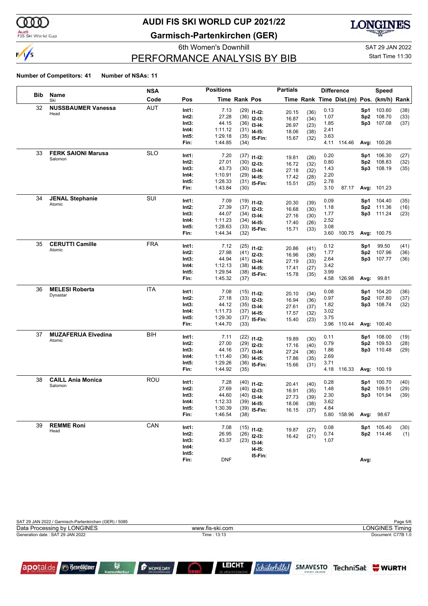

#### Audi<br>FIS Ski World Cup

apotal.de

**Benediktiner** 

R

## **AUDI FIS SKI WORLD CUP 2021/22**

**Garmisch-Partenkirchen (GER)**



### PERFORMANCE ANALYSIS BY BIB

6th Women's Downhill Gas and Sample SAT 29 JAN 2022

### Start Time 11:30

#### **Number of Competitors: 41 Number of NSAs: 11**

|            |                            | <b>NSA</b> |          | <b>Positions</b> |               |                | <b>Partials</b> |              |      | <b>Difference</b>                        |      | <b>Speed</b> |      |
|------------|----------------------------|------------|----------|------------------|---------------|----------------|-----------------|--------------|------|------------------------------------------|------|--------------|------|
| <b>Bib</b> | Name<br>Ski                | Code       | Pos      |                  | Time Rank Pos |                |                 |              |      | Time Rank Time Dist.(m) Pos. (km/h) Rank |      |              |      |
| 32         | <b>NUSSBAUMER Vanessa</b>  | <b>AUT</b> | Int1:    | 7.13             |               | $(29)$ 11-12:  | 20.15           | (36)         | 0.13 |                                          | Sp1  | 103.60       | (38) |
|            | Head                       |            | $Int2$ : | 27.28            |               | $(36)$ 12-13:  | 16.87           | (34)         | 1.07 |                                          | Sp2  | 108.70       | (33) |
|            |                            |            | Int3:    | 44.15            |               | $(36)$ 13-14:  | 26.97           | (23)         | 1.85 |                                          | Sp3  | 107.08       | (37) |
|            |                            |            | Int4:    | 1:11.12          |               | $(31)$ 14-15:  | 18.06           | (38)         | 2.41 |                                          |      |              |      |
|            |                            |            | Int5:    | 1:29.18          |               | $(35)$ 15-Fin: | 15.67           | (32)         | 3.63 |                                          |      |              |      |
|            |                            |            | Fin:     | 1:44.85          | (34)          |                |                 |              |      | 4.11 114.46                              |      | Avg: 100.26  |      |
| 33         | <b>FERK SAIONI Marusa</b>  | <b>SLO</b> | Int1:    | 7.20             |               | $(37)$ 11-12:  | 19.81           | (26)         | 0.20 |                                          | Sp1  | 106.30       | (27) |
|            | Salomon                    |            | $Int2$ : | 27.01            |               | $(30)$ 12-13:  | 16.72           | (32)         | 0.80 |                                          | Sp2  | 108.83       | (32) |
|            |                            |            | Int3:    | 43.73            |               | $(30)$ 13-14:  | 27.18           | (32)         | 1.43 |                                          | Sp3  | 108.19       | (35) |
|            |                            |            | Int4:    | 1:10.91          |               | $(29)$ 14-15:  | 17.42           | (28)         | 2.20 |                                          |      |              |      |
|            |                            |            | Int5:    | 1:28.33          |               | $(31)$ 15-Fin: | 15.51           | (25)         | 2.78 |                                          |      |              |      |
|            |                            |            | Fin:     | 1:43.84          | (30)          |                |                 |              | 3.10 | 87.17                                    |      | Avg: 101.23  |      |
| 34         | <b>JENAL Stephanie</b>     | SUI        | Int1:    | 7.09             |               | $(19)$ 11-12:  | 20.30           | (39)         | 0.09 |                                          | Sp1  | 104.40       | (35) |
|            | Atomic                     |            | $Int2$ : | 27.39            |               | $(37)$ 12-13:  | 16.68           | (30)         | 1.18 |                                          | Sp2  | 111.36       | (16) |
|            |                            |            | Int3:    | 44.07            |               | $(34)$ 13-14:  | 27.16           | (30)         | 1.77 |                                          | Sp3  | 111.24       | (23) |
|            |                            |            | Int4:    | 1:11.23          |               | $(34)$ 14-15:  | 17.40           | (26)         | 2.52 |                                          |      |              |      |
|            |                            |            | Int5:    | 1:28.63          |               | $(33)$ 15-Fin: | 15.71           | (33)         | 3.08 |                                          |      |              |      |
|            |                            |            | Fin:     | 1:44.34          | (32)          |                |                 |              |      | 3.60 100.75                              |      | Avg: 100.75  |      |
| 35         | <b>CERUTTI Camille</b>     | <b>FRA</b> | Int1:    | 7.12             |               | $(25)$ 11-12:  | 20.86           | (41)         | 0.12 |                                          | Sp1  | 99.50        | (41) |
|            | Atomic                     |            | $Int2$ : | 27.98            |               | $(41)$ 12-13:  | 16.96           | (38)         | 1.77 |                                          | Sp2  | 107.96       | (36) |
|            |                            |            | Int3:    | 44.94            |               | $(41)$ 13-14:  | 27.19           | (33)         | 2.64 |                                          | Sp3  | 107.77       | (36) |
|            |                            |            | Int4:    | 1:12.13          |               | $(38)$ 14-15:  | 17.41           | (27)         | 3.42 |                                          |      |              |      |
|            |                            |            | Int5:    | 1:29.54          |               | $(38)$ 15-Fin: | 15.78           | (35)         | 3.99 |                                          |      |              |      |
|            |                            |            | Fin:     | 1:45.32          | (37)          |                |                 |              | 4.58 | 126.98                                   | Avg: | 99.81        |      |
| 36         | <b>MELESI Roberta</b>      | ITA        | Int1:    | 7.08             |               | $(15)$ 11-12:  | 20.10           | (34)         | 0.08 |                                          | Sp1  | 104.20       | (36) |
|            | Dynastar                   |            | $Int2$ : | 27.18            |               | $(33)$ 12-13:  | 16.94           | (36)         | 0.97 |                                          | Sp2  | 107.80       | (37) |
|            |                            |            | Int3:    | 44.12            |               | $(35)$ 13-14:  | 27.61           | (37)         | 1.82 |                                          | Sp3  | 108.74       | (32) |
|            |                            |            | Int4:    | 1:11.73          |               | $(37)$ 14-15:  | 17.57           | (32)         | 3.02 |                                          |      |              |      |
|            |                            |            | Int5:    | 1:29.30          |               | $(37)$ 15-Fin: | 15.40           | (23)         | 3.75 |                                          |      |              |      |
|            |                            |            | Fin:     | 1:44.70          | (33)          |                |                 |              |      | 3.96 110.44                              |      | Avg: 100.40  |      |
| 37         | <b>MUZAFERIJA Elvedina</b> | BIH        | Int1:    | 7.11             |               | $(22)$ 11-12:  | 19.89           | (30)         | 0.11 |                                          | Sp1  | 108.00       | (19) |
|            | Atomic                     |            | $Int2$ : | 27.00            |               | $(29)$ 12-13:  | 17.16           | (40)         | 0.79 |                                          | Sp2  | 109.53       | (28) |
|            |                            |            | Int3:    | 44.16            |               | $(37)$ 13-14:  | 27.24           | (36)         | 1.86 |                                          |      | Sp3 110.48   | (29) |
|            |                            |            | Int4:    | 1:11.40          |               | $(36)$ 14-15:  | 17.86           | (35)         | 2.69 |                                          |      |              |      |
|            |                            |            | Int5:    | 1:29.26          |               | $(36)$ 15-Fin: | 15.66           | (31)         | 3.71 |                                          |      |              |      |
|            |                            |            | Fin:     | 1:44.92          | (35)          |                |                 |              |      | 4.18 116.33                              |      | Avg: 100.19  |      |
| 38         | <b>CAILL Ania Monica</b>   | ROU        | Int1:    | 7.28             |               | $(40)$ 11-12:  | 20.41           | (40)         | 0.28 |                                          | Sp1  | 100.70       | (40) |
|            | Salomon                    |            | $Int2$ : | 27.69            |               | $(40)$ 12-13:  | 16.91           | (35)         | 1.48 |                                          | Sp2  | 109.51       | (29) |
|            |                            |            | Int3:    | 44.60            |               | $(40)$ 13-14:  | 27.73           | (39)         | 2.30 |                                          | Sp3  | 101.94       | (39) |
|            |                            |            | Int4:    | 1:12.33          |               | $(39)$ 14-15:  | 18.06           | (38)         | 3.62 |                                          |      |              |      |
|            |                            |            | Int5:    | 1:30.39          |               | $(39)$ 15-Fin: | 16.15           | (37)         | 4.84 |                                          |      |              |      |
|            |                            |            | Fin:     | 1:46.54          | (38)          |                |                 |              | 5.80 | 158.96                                   | Avg: | 98.67        |      |
| 39         | <b>REMME Roni</b>          | CAN        | Int1:    | 7.08             |               | $(15)$ 11-12:  |                 |              | 0.08 |                                          | Sp1  | 105.40       | (30) |
|            | Head                       |            | $Int2$ : | 26.95            |               | $(26)$ 12-13:  | 19.87<br>16.42  | (27)<br>(21) | 0.74 |                                          |      | Sp2 114.46   | (1)  |
|            |                            |            | Int3:    | 43.37            |               | $(23)$ 13-14:  |                 |              | 1.07 |                                          |      |              |      |
|            |                            |            | Int4:    |                  |               | $14 - 15$ :    |                 |              |      |                                          |      |              |      |
|            |                            |            | Int5:    |                  |               | 15-Fin:        |                 |              |      |                                          |      |              |      |
|            |                            |            | Fin:     | <b>DNF</b>       |               |                |                 |              |      |                                          | Avg: |              |      |

| SAT 29 JAN 2022 / Garmisch-Partenkirchen (GER) / 5085 |                 | Page 5/6               |
|-------------------------------------------------------|-----------------|------------------------|
| Data Processing by LONGINES                           | www.fis-ski.com | <b>LONGINES Timing</b> |
| Generation date: SAT 29 JAN 2022                      | Time: 13:13     | Document: C77B 1.0     |
|                                                       |                 |                        |
|                                                       |                 |                        |

 $\bigcirc$ 

**P** HOMEDAY

LEICHT

*Schülerhilfel*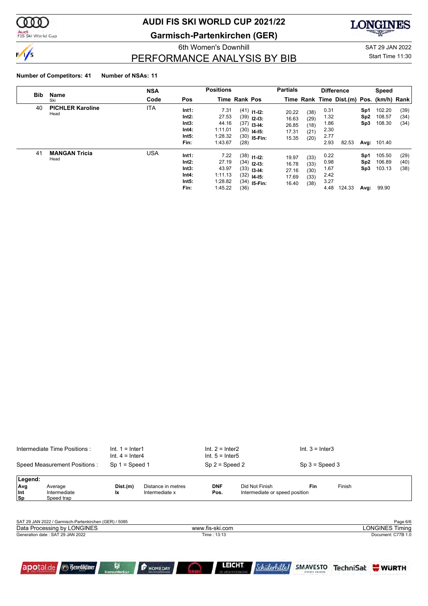

#### Audi<br>FIS Ski World Cup

## **AUDI FIS SKI WORLD CUP 2021/22**

**Garmisch-Partenkirchen (GER)**



PERFORMANCE ANALYSIS BY BIB

6th Women's Downhill Gastro Control of the SAT 29 JAN 2022 Start Time 11:30

#### **Number of Competitors: 41 Number of NSAs: 11**

|            |                                 | <b>NSA</b> |                                                   | <b>Positions</b>                                        |                      |                                                                               | <b>Partials</b>                           |                                      |                                              | <b>Difference</b>                        |                                       | <b>Speed</b>                                     |                      |
|------------|---------------------------------|------------|---------------------------------------------------|---------------------------------------------------------|----------------------|-------------------------------------------------------------------------------|-------------------------------------------|--------------------------------------|----------------------------------------------|------------------------------------------|---------------------------------------|--------------------------------------------------|----------------------|
| <b>Bib</b> | Name<br>Ski                     | Code       | Pos                                               |                                                         | <b>Time Rank Pos</b> |                                                                               |                                           |                                      |                                              | Time Rank Time Dist.(m) Pos. (km/h) Rank |                                       |                                                  |                      |
| 40         | <b>PICHLER Karoline</b><br>Head | <b>ITA</b> | Int1:<br>Int2:<br>Int3:<br>Int4:<br>Int5:<br>Fin: | 7.31<br>27.53<br>44.16<br>1:11.01<br>1:28.32<br>1:43.67 | (30)<br>(28)         | $(41)$ 11-12:<br>$(39)$ 12-13:<br>$(37)$ 13-14:<br>$14-15:$<br>$(30)$ 15-Fin: | 20.22<br>16.63<br>26.85<br>17.31<br>15.35 | (38)<br>(29)<br>(18)<br>(21)<br>(20) | 0.31<br>1.32<br>1.86<br>2.30<br>2.77<br>2.93 | 82.53                                    | Sp1<br>Sp <sub>2</sub><br>Sp3         | 102.20<br>108.57<br>108.30<br><b>Avg: 101.40</b> | (39)<br>(34)<br>(34) |
| 41         | <b>MANGAN Tricia</b><br>Head    | <b>USA</b> | Int1:<br>Int2:<br>Int3:<br>Int4:<br>Int5:<br>Fin: | 7.22<br>27.19<br>43.97<br>1:11.13<br>1:28.82<br>1:45.22 | (34)<br>(36)         | $(38)$ 11-12:<br>$(34)$ 12-13:<br>$(33)$ 13-14:<br>$(32)$ 14-15:<br>$15-Fin:$ | 19.97<br>16.78<br>27.16<br>17.69<br>16.40 | (33)<br>(33)<br>(30)<br>(33)<br>(38) | 0.22<br>0.98<br>1.67<br>2.42<br>3.27<br>4.48 | 124.33                                   | Sp1<br>Sp <sub>2</sub><br>Sp3<br>Avg: | 105.50<br>106.89<br>103.13<br>99.90              | (29)<br>(40)<br>(38) |

| Intermediate Time Positions : |                                                       | $Int. 1 = Inter1$<br>$Int. 4 = Inter4$ |                                      | $Int. 2 = Inter2$<br>$Int. 5 = Inter5$ |                                                        | $Int. 3 = Inter3$                  |        |                        |
|-------------------------------|-------------------------------------------------------|----------------------------------------|--------------------------------------|----------------------------------------|--------------------------------------------------------|------------------------------------|--------|------------------------|
|                               | Speed Measurement Positions:                          | $Sp 1 = Speed 1$                       |                                      | $Sp 2 = Speed 2$                       |                                                        | $Sp 3 = Speed 3$                   |        |                        |
| Legend:                       |                                                       |                                        |                                      |                                        |                                                        |                                    |        |                        |
| Avg<br>Int<br> Sp             | Average<br>Intermediate<br>Speed trap                 | Dist.(m)<br>lx.                        | Distance in metres<br>Intermediate x | <b>DNF</b><br>Pos.                     | Did Not Finish<br>Intermediate or speed position       | Fin                                | Finish |                        |
|                               |                                                       |                                        |                                      |                                        |                                                        |                                    |        |                        |
|                               | SAT 29 JAN 2022 / Garmisch-Partenkirchen (GER) / 5085 |                                        |                                      |                                        |                                                        |                                    |        | Page 6/6               |
|                               | Data Processing by LONGINES                           |                                        |                                      | www.fis-ski.com                        |                                                        |                                    |        | <b>LONGINES Timing</b> |
|                               | Generation date: SAT 29 JAN 2022                      |                                        |                                      | Time: 13:13                            |                                                        |                                    |        | Document: C77B 1.0     |
|                               | <b><i><u>Benediktiner</u></i></b><br>apotal.de        | 會<br><b>HanseMerkur</b>                | <b>F</b> HOMEDAY                     |                                        | <b>LEICHT</b><br>Schülerhilfel<br>DIE ARCHITEKTURKUCHE | <b>SMAVESTO</b><br>EINFACH ANLEGEN |        | TechniSat WURTH        |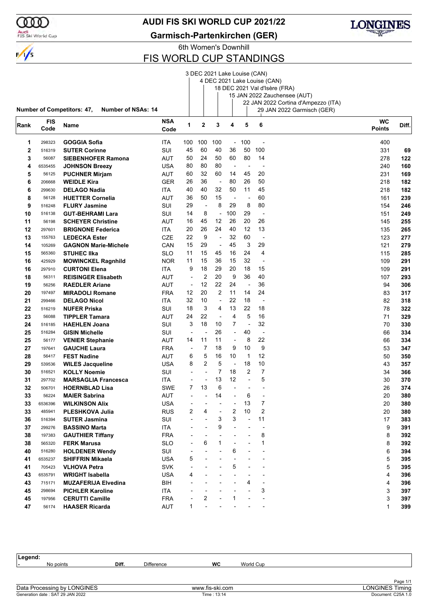

### Audi<br>FIS Ski World Cup

### **AUDI FIS SKI WORLD CUP 2021/22**

**Garmisch-Partenkirchen (GER)**



6th Women's Downhill

### FIS WORLD CUP STANDINGS

|              |            |                                                                |            |                          |                          |                          |                          |                          | 3 DEC 2021 Lake Louise (CAN) |                                     |           |       |
|--------------|------------|----------------------------------------------------------------|------------|--------------------------|--------------------------|--------------------------|--------------------------|--------------------------|------------------------------|-------------------------------------|-----------|-------|
|              |            |                                                                |            |                          |                          |                          |                          |                          | 4 DEC 2021 Lake Louise (CAN) |                                     |           |       |
|              |            |                                                                |            |                          |                          |                          |                          |                          |                              | 18 DEC 2021 Val d'Isère (FRA)       |           |       |
|              |            |                                                                |            |                          |                          |                          |                          |                          |                              | 15 JAN 2022 Zauchensee (AUT)        |           |       |
|              |            |                                                                |            |                          |                          |                          |                          |                          |                              | 22 JAN 2022 Cortina d'Ampezzo (ITA) |           |       |
|              |            | <b>Number of Competitors: 47,</b><br><b>Number of NSAs: 14</b> |            |                          |                          |                          |                          |                          |                              | 29 JAN 2022 Garmisch (GER)          |           |       |
| Rank         | <b>FIS</b> | Name                                                           | <b>NSA</b> | 1                        | $\mathbf{2}$             | 3                        | 4                        | 5                        | 6                            |                                     | <b>WC</b> | Diff. |
|              | Code       |                                                                | Code       |                          |                          |                          |                          |                          |                              | <b>Points</b>                       |           |       |
| 1            | 298323     | <b>GOGGIA Sofia</b>                                            | ITA        | 100                      | 100                      | 100                      | $\overline{\phantom{a}}$ | 100                      |                              |                                     | 400       |       |
| $\mathbf{2}$ | 516319     | <b>SUTER Corinne</b>                                           | SUI        | 45                       | 60                       | 40                       | 36                       | 50                       | 100                          |                                     | 331       | 69    |
| 3            | 56087      | <b>SIEBENHOFER Ramona</b>                                      | AUT        | 50                       | 24                       | 50                       | 60                       | 80                       | 14                           |                                     | 278       | 122   |
| 4            | 6535455    | <b>JOHNSON Breezy</b>                                          | <b>USA</b> | 80                       | 80                       | 80                       | ÷,                       | $\overline{\phantom{a}}$ |                              |                                     | 240       | 160   |
| 5            | 56125      | <b>PUCHNER Mirjam</b>                                          | AUT        | 60                       | 32                       | 60                       | 14                       | 45                       | 20                           |                                     | 231       | 169   |
| 6            | 206668     | <b>WEIDLE Kira</b>                                             | <b>GER</b> | 26                       | 36                       | $\overline{\phantom{a}}$ | 80                       | 26                       | 50                           |                                     | 218       | 182   |
| 6            | 299630     | <b>DELAGO Nadia</b>                                            | ITA        | 40                       | 40                       | 32                       | 50                       | 11                       | 45                           |                                     | 218       | 182   |
| 8            | 56128      | <b>HUETTER Cornelia</b>                                        | AUT        | 36                       | 50                       | 15                       | $\overline{\phantom{a}}$ |                          | 60                           |                                     | 161       | 239   |
| 9            | 516248     | <b>FLURY Jasmine</b>                                           | <b>SUI</b> | 29                       | $\blacksquare$           | 8                        | 29                       | 8                        | 80                           |                                     | 154       | 246   |
| 10           | 516138     | <b>GUT-BEHRAMI Lara</b>                                        | SUI        | 14                       | 8                        | $\overline{\phantom{a}}$ | 100                      | 29                       | ÷,                           |                                     | 151       | 249   |
| 11           | 56198      | <b>SCHEYER Christine</b>                                       | AUT        | 16                       | 45                       | 12                       | 26                       | 20                       | 26                           |                                     | 145       | 255   |
| 12           | 297601     |                                                                |            | 20                       | 26                       | 24                       | 40                       | 12                       | 13                           |                                     |           | 265   |
|              |            | <b>BRIGNONE Federica</b>                                       | ITA        |                          |                          |                          |                          | 60                       |                              |                                     | 135       |       |
| 13           | 155763     | <b>LEDECKA Ester</b>                                           | <b>CZE</b> | 22                       | 9                        | $\overline{a}$           | 32                       |                          | $\overline{\phantom{a}}$     |                                     | 123       | 277   |
| 14           | 105269     | <b>GAGNON Marie-Michele</b>                                    | CAN        | 15                       | 29                       | $\overline{\phantom{a}}$ | 45                       | 3                        | 29                           |                                     | 121       | 279   |
| 15           | 565360     | <b>STUHEC IIka</b>                                             | SLO        | 11                       | 15                       | 45                       | 16                       | 24                       | $\overline{4}$               |                                     | 115       | 285   |
| 16           | 425929     | <b>MOWINCKEL Ragnhild</b>                                      | <b>NOR</b> | 11                       | 15                       | 36                       | 15                       | 32                       | $\overline{a}$               |                                     | 109       | 291   |
| 16           | 297910     | <b>CURTONI Elena</b>                                           | ITA        | 9                        | 18                       | 29                       | 20                       | 18                       | 15                           |                                     | 109       | 291   |
| 18           | 56311      | <b>REISINGER Elisabeth</b>                                     | <b>AUT</b> | $\blacksquare$           | 2                        | 20                       | 9                        | 36                       | 40                           |                                     | 107       | 293   |
| 19           | 56256      | <b>RAEDLER Ariane</b>                                          | AUT        | $\overline{\phantom{a}}$ | 12                       | 22                       | 24                       | $\overline{\phantom{a}}$ | 36                           |                                     | 94        | 306   |
| 20           | 197497     | <b>MIRADOLI Romane</b>                                         | <b>FRA</b> | 12                       | 20                       | $\overline{2}$           | 11                       | 14                       | 24                           |                                     | 83        | 317   |
| 21           | 299466     | <b>DELAGO Nicol</b>                                            | ITA        | 32                       | 10                       | $\overline{\phantom{a}}$ | 22                       | 18                       | $\blacksquare$               |                                     | 82        | 318   |
| 22           | 516219     | <b>NUFER Priska</b>                                            | SUI        | 18                       | 3                        | 4                        | 13                       | 22                       | 18                           |                                     | 78        | 322   |
| 23           | 56088      | <b>TIPPLER Tamara</b>                                          | AUT        | 24                       | 22                       | $\overline{\phantom{a}}$ | 4                        | 5                        | 16                           |                                     | 71        | 329   |
| 24           | 516185     | <b>HAEHLEN Joana</b>                                           | SUI        | 3                        | 18                       | 10                       | 7                        | $\overline{\phantom{a}}$ | 32                           |                                     | 70        | 330   |
| 25           | 516284     | <b>GISIN Michelle</b>                                          | SUI        | $\overline{\phantom{a}}$ | ٠                        | 26                       | ÷,                       | 40                       | $\overline{\phantom{a}}$     |                                     | 66        | 334   |
| 25           | 56177      | <b>VENIER Stephanie</b>                                        | AUT        | 14                       | 11                       | 11                       | ÷,                       | 8                        | 22                           |                                     | 66        | 334   |
| 27           | 197641     | <b>GAUCHE Laura</b>                                            | <b>FRA</b> | $\overline{\phantom{a}}$ | 7                        | 18                       | 9                        | 10                       | 9                            |                                     | 53        | 347   |
| 28           | 56417      | <b>FEST Nadine</b>                                             | AUT        | 6                        | 5                        | 16                       | 10                       | $\mathbf 1$              | 12                           |                                     | 50        | 350   |
| 29           | 539536     | <b>WILES Jacqueline</b>                                        | USA        | 8                        | 2                        | 5                        | $\overline{\phantom{a}}$ | 18                       | 10                           |                                     | 43        | 357   |
| 30           | 516521     | <b>KOLLY Noemie</b>                                            | SUI        | $\blacksquare$           | $\overline{\phantom{0}}$ | 7                        | 18                       | 2                        | 7                            |                                     | 34        | 366   |
| 31           | 297702     | <b>MARSAGLIA Francesca</b>                                     | ITA        |                          | $\overline{\phantom{a}}$ | 13                       | 12                       | L,                       | 5                            |                                     | 30        | 370   |
| 32           | 506701     | <b>HOERNBLAD Lisa</b>                                          | SWE        | 7                        | 13                       | 6                        | L,                       |                          |                              |                                     | 26        | 374   |
| 33           | 56224      | <b>MAIER Sabrina</b>                                           | AUT        |                          |                          | 14                       |                          | 6                        |                              |                                     | 20        | 380   |
| 33           | 6536396    | <b>WILKINSON Alix</b>                                          | <b>USA</b> |                          |                          |                          |                          | 13                       | 7                            |                                     | 20        | 380   |
| 33           | 485941     | <b>PLESHKOVA Julia</b>                                         | <b>RUS</b> | 2                        | 4                        |                          | 2                        | 10                       | 2                            |                                     | 20        | 380   |
| 36           | 516394     | <b>SUTER Jasmina</b>                                           | SUI        |                          |                          | 3                        | 3                        | ÷,                       | 11                           |                                     | 17        | 383   |
| 37           | 299276     | <b>BASSINO Marta</b>                                           | ITA.       |                          |                          | 9                        |                          |                          | $\overline{a}$               |                                     | 9         | 391   |
| 38           | 197383     | <b>GAUTHIER Tiffany</b>                                        | <b>FRA</b> |                          |                          |                          |                          |                          | 8                            |                                     | 8         | 392   |
| 38           | 565320     | <b>FERK Marusa</b>                                             | <b>SLO</b> |                          | 6                        | 1                        |                          |                          | $\mathbf{1}$                 |                                     | 8         | 392   |
| 40           | 516280     | <b>HOLDENER Wendy</b>                                          | SUI        |                          |                          |                          | 6                        |                          |                              |                                     | 6         | 394   |
| 41           | 6535237    | <b>SHIFFRIN Mikaela</b>                                        | <b>USA</b> | 5                        |                          |                          |                          |                          |                              |                                     | 5         | 395   |
| 41           | 705423     | <b>VLHOVA Petra</b>                                            | <b>SVK</b> |                          |                          |                          | 5                        |                          |                              |                                     | 5         | 395   |
| 43           | 6535791    | <b>WRIGHT Isabella</b>                                         | <b>USA</b> | 4                        |                          |                          |                          |                          |                              |                                     | 4         | 396   |
| 43           | 715171     | <b>MUZAFERIJA Elvedina</b>                                     | BIH        |                          |                          |                          |                          | 4                        |                              |                                     | 4         | 396   |
| 45           | 298694     | <b>PICHLER Karoline</b>                                        | ITA        |                          |                          |                          |                          |                          | 3                            |                                     | 3         | 397   |
| 45           | 197956     | <b>CERUTTI Camille</b>                                         | <b>FRA</b> |                          | 2                        |                          | 1                        |                          |                              |                                     | 3         | 397   |
|              |            |                                                                |            | 1                        | $\overline{a}$           |                          |                          |                          |                              |                                     |           |       |
| 47           | 56174      | <b>HAASER Ricarda</b>                                          | <b>AUT</b> |                          |                          |                          |                          |                          |                              |                                     | 1         | 399   |

| Legend:                          |       |                   |                 |           |                        |
|----------------------------------|-------|-------------------|-----------------|-----------|------------------------|
| No points                        | Diff. | <b>Difference</b> | <b>WC</b>       | World Cup |                        |
|                                  |       |                   |                 |           |                        |
|                                  |       |                   |                 |           | Page 1/1               |
| Data Processing by LONGINES      |       |                   | www.fis-ski.com |           | <b>LONGINES Timing</b> |
| Generation date: SAT 29 JAN 2022 |       |                   | Time : 13:14    |           | Document: C25A 1.0     |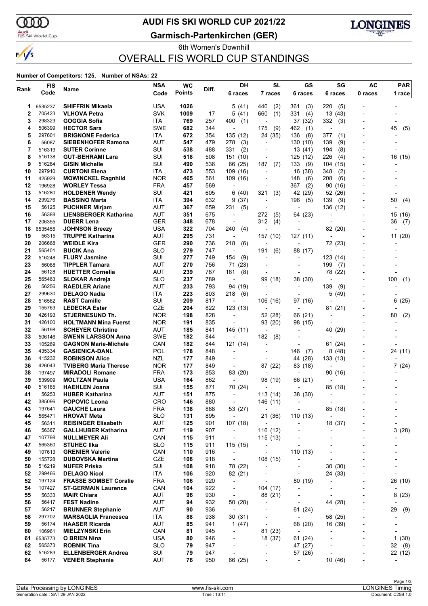ԾԾ

 $\frac{1}{\sqrt{2}}$ 

### Audi<br>FIS Ski World Cup

### **AUDI FIS SKI WORLD CUP 2021/22**

**Garmisch-Partenkirchen (GER)**



### 6th Women's Downhill OVERALL FIS WORLD CUP STANDINGS

#### **Number of Competitors: 125, Number of NSAs: 22**

| Rank     | <b>FIS</b>       | Name                                               | <b>NSA</b>               | <b>WC</b>     | Diff.      | <b>DH</b>                                            | <b>SL</b>                  | GS                                                   | SG                                  | AC                       | <b>PAR</b>               |
|----------|------------------|----------------------------------------------------|--------------------------|---------------|------------|------------------------------------------------------|----------------------------|------------------------------------------------------|-------------------------------------|--------------------------|--------------------------|
|          | Code             |                                                    | Code                     | <b>Points</b> |            | 6 races                                              | 7 races                    | 6 races                                              | 6 races                             | 0 races                  | 1 race                   |
| 1        | 6535237          | <b>SHIFFRIN Mikaela</b>                            | USA                      | 1026          |            | 5 (41)                                               | 440<br>(2)                 | 361<br>(3)                                           | 220<br>(5)                          |                          |                          |
| 2        | 705423           | <b>VLHOVA Petra</b>                                | <b>SVK</b>               | 1009          | 17         | 5 (41)                                               | 660<br>(1)                 | 331<br>(4)                                           | 13 (43)                             |                          |                          |
| 3        | 298323           | GOGGIA Sofia                                       | ITA                      | 769           | 257        | 400<br>(1)                                           |                            | 37 (32)                                              | 332<br>(3)                          |                          |                          |
| 4        | 506399           | <b>HECTOR Sara</b>                                 | <b>SWE</b>               | 682           | 344        | $\blacksquare$                                       | (9)<br>175                 | 462<br>(1)                                           | $\overline{\phantom{a}}$            |                          | 45<br>(5)                |
| 5        | 297601           | <b>BRIGNONE Federica</b>                           | ITA                      | 672           | 354        | 135 (12)                                             | 24 (35)                    | (8)<br>136                                           | 377<br>(1)                          |                          |                          |
| 6        | 56087            | <b>SIEBENHOFER Ramona</b>                          | AUT                      | 547           | 479        | 278<br>(3)                                           | $\overline{a}$             | 130 (10)                                             | 139<br>(9)                          |                          |                          |
| 7        | 516319           | <b>SUTER Corinne</b>                               | SUI                      | 538           | 488        | 331<br>(2)                                           | $\overline{\phantom{a}}$   | 13(41)                                               | 194<br>(8)                          |                          |                          |
| 8<br>9   | 516138<br>516284 | <b>GUT-BEHRAMI Lara</b><br><b>GISIN Michelle</b>   | SUI<br>SUI               | 518<br>490    | 508<br>536 | 151 (10)                                             | $\overline{a}$<br>187      | 125 (12)<br>133                                      | 226<br>(4)                          |                          | 16 (15)                  |
| 10       | 297910           | <b>CURTONI Elena</b>                               | ITA                      | 473           | 553        | 66 (25)<br>109(16)                                   | (7)                        | (9)<br>16<br>(38)                                    | 104 (15)<br>348<br>(2)              |                          |                          |
| 11       | 425929           | <b>MOWINCKEL Ragnhild</b>                          | <b>NOR</b>               | 465           | 561        | 109 (16)                                             |                            | (6)<br>148                                           | 208<br>(6)                          |                          |                          |
| 12       | 196928           | <b>WORLEY Tessa</b>                                | <b>FRA</b>               | 457           | 569        | $\overline{a}$                                       |                            | 367<br>(2)                                           | 90<br>(16)                          |                          |                          |
| 13       | 516280           | <b>HOLDENER Wendy</b>                              | SUI                      | 421           | 605        | 6(40)                                                | 321<br>(3)                 | 42 (29)                                              | 52 (26)                             |                          |                          |
| 14       | 299276           | <b>BASSINO Marta</b>                               | ITA                      | 394           | 632        | 9(37)                                                | $\blacksquare$             | 196<br>(5)                                           | 139<br>(9)                          |                          | 50<br>(4)                |
| 15       | 56125            | <b>PUCHNER Mirjam</b>                              | AUT                      | 367           | 659        | 231<br>(5)                                           |                            |                                                      | 136 (12)                            |                          |                          |
| 16       | 56388            | <b>LIENSBERGER Katharina</b>                       | <b>AUT</b>               | 351           | 675        | $\overline{\phantom{a}}$                             | 272<br>(5)                 | 64 (23)                                              |                                     |                          | 15 (16)                  |
| 17       | 206355           | <b>DUERR Lena</b>                                  | <b>GER</b>               | 348           | 678        | $\overline{\phantom{a}}$                             | 312<br>(4)                 | $\overline{\phantom{0}}$                             |                                     |                          | 36<br>(7)                |
| 18<br>19 | 6535455<br>56315 | <b>JOHNSON Breezy</b><br><b>TRUPPE Katharina</b>   | USA<br><b>AUT</b>        | 322<br>295    | 704<br>731 | 240<br>(4)                                           | $\overline{a}$             | ٠<br>127 (11)                                        | 82 (20)<br>$\overline{\phantom{a}}$ |                          |                          |
| 20       | 206668           | <b>WEIDLE Kira</b>                                 | GER                      | 290           | 736        | $\overline{\phantom{a}}$<br>218<br>(6)               | 157 (10)                   | ٠                                                    | 72 (23)                             | ۰                        | 11 (20)                  |
| 21       | 565401           | <b>BUCIK Ana</b>                                   | <b>SLO</b>               | 279           | 747        | ÷                                                    | (6)<br>191                 | 88 (17)                                              |                                     |                          |                          |
| 22       | 516248           | <b>FLURY Jasmine</b>                               | SUI                      | 277           | 749        | 154<br>(9)                                           |                            |                                                      | 123 (14)                            |                          |                          |
| 23       | 56088            | <b>TIPPLER Tamara</b>                              | <b>AUT</b>               | 270           | 756        | 71 (23)                                              |                            | ٠                                                    | 199<br>(7)                          |                          |                          |
| 24       | 56128            | <b>HUETTER Cornelia</b>                            | AUT                      | 239           | 787        | 161<br>(8)                                           | $\overline{\phantom{a}}$   | ٠                                                    | 78<br>(22)                          |                          |                          |
| 25       | 565463           | <b>SLOKAR Andreja</b>                              | <b>SLO</b>               | 237           | 789        | $\blacksquare$                                       | 99 (18)                    | 38 (30)                                              | $\overline{\phantom{a}}$            |                          | 100<br>(1)               |
| 26       | 56256            | <b>RAEDLER Ariane</b>                              | AUT                      | 233           | 793        | 94 (19)                                              | $\blacksquare$             | ٠                                                    | 139<br>(9)                          | Ĭ.                       |                          |
| 27       | 299630           | <b>DELAGO Nadia</b>                                | ITA                      | 223           | 803        | 218<br>(6)                                           |                            | ٠                                                    | 5<br>(49)                           |                          |                          |
| 28<br>29 | 516562<br>155763 | <b>RAST Camille</b><br><b>LEDECKA Ester</b>        | SUI<br><b>CZE</b>        | 209<br>204    | 817<br>822 | $\overline{\phantom{a}}$<br>123(13)                  | 106 (16)                   | 97 (16)                                              |                                     |                          | 6<br>(25)                |
| 30       | 426193           | <b>STJERNESUND Th.</b>                             | <b>NOR</b>               | 198           | 828        | $\overline{\phantom{a}}$                             | 52 (28)                    | $\overline{a}$<br>66 (21)                            | 81<br>(21)                          |                          | (2)<br>80                |
| 31       | 426100           | <b>HOLTMANN Mina Fuerst</b>                        | <b>NOR</b>               | 191           | 835        |                                                      | 93 (20)                    | 98 (15)                                              |                                     |                          |                          |
| 32       | 56198            | <b>SCHEYER Christine</b>                           | AUT                      | 185           | 841        | 145 (11)                                             |                            | $\overline{\phantom{0}}$                             | 40 (29)                             |                          |                          |
| 33       | 506146           | <b>SWENN LARSSON Anna</b>                          | <b>SWE</b>               | 182           | 844        | ÷                                                    | 182<br>(8)                 | $\overline{a}$                                       |                                     |                          |                          |
| 33       | 105269           | <b>GAGNON Marie-Michele</b>                        | CAN                      | 182           | 844        | 121 (14)                                             |                            | $\overline{a}$                                       | 61<br>(24)                          |                          |                          |
| 35       | 435334           | <b>GASIENICA-DANI.</b>                             | POL                      | 178           | 848        | $\overline{a}$                                       |                            | 146<br>(7)                                           | (48)<br>8                           | Ĭ.                       | 24 (11)                  |
| 36       | 415232           | <b>ROBINSON Alice</b>                              | NZL                      | 177           | 849        | $\overline{a}$                                       |                            | 44 (28)                                              | 133 (13)                            |                          |                          |
| 36<br>38 | 426043<br>197497 | <b>TVIBERG Maria Therese</b>                       | <b>NOR</b><br><b>FRA</b> | 177<br>173    | 849<br>853 | $\overline{\phantom{a}}$                             | 87 (22)                    | 83 (18)<br>$\overline{a}$                            | 90 (16)                             | Ĭ.                       | 7(24)                    |
| 39       | 539909           | <b>MIRADOLI Romane</b><br><b>MOLTZAN Paula</b>     | USA                      | 164           | 862        | 83 (20)<br>$\centerdot$                              | 98 (19)                    | 66 (21)                                              |                                     |                          |                          |
| 40       | 516185           | <b>HAEHLEN Joana</b>                               | SUI                      | 155           | 871        | 70 (24)                                              |                            |                                                      | 85 (18)                             |                          |                          |
| 41       | 56253            | <b>HUBER Katharina</b>                             | AUT                      | 151           | 875        | $\overline{\phantom{a}}$                             | 113(14)                    | 38 (30)                                              | $\overline{a}$                      |                          |                          |
| 42       | 385096           | <b>POPOVIC Leona</b>                               | CRO                      | 146           | 880        |                                                      | 146 (11)                   | $\overline{\phantom{a}}$                             |                                     |                          |                          |
| 43       | 197641           | <b>GAUCHE Laura</b>                                | <b>FRA</b>               | 138           | 888        | 53 (27)                                              | $\overline{\phantom{a}}$   | $\overline{\phantom{a}}$                             | 85 (18)                             |                          |                          |
| 44       | 565471           | <b>HROVAT Meta</b>                                 | <b>SLO</b>               | 131           | 895        | $\overline{\phantom{a}}$                             | 21 (36)                    | 110 (13)                                             | ÷,                                  |                          |                          |
| 45       | 56311            | <b>REISINGER Elisabeth</b>                         | <b>AUT</b>               | 125           | 901        | 107 (18)                                             | $\overline{\phantom{a}}$   | $\overline{\phantom{0}}$                             | 18 (37)                             |                          | $\overline{a}$           |
| 46<br>47 | 56367<br>107798  | <b>GALLHUBER Katharina</b><br><b>NULLMEYER Ali</b> | <b>AUT</b><br>CAN        | 119<br>115    | 907<br>911 | $\overline{\phantom{a}}$<br>$\overline{\phantom{a}}$ | 116 (12)                   | $\overline{\phantom{a}}$<br>$\overline{\phantom{0}}$ |                                     | ۰<br>Ĭ.                  | 3(28)                    |
| 47       | 565360           | <b>STUHEC IIka</b>                                 | <b>SLO</b>               | 115           | 911        | 115(15)                                              | 115 (13)<br>$\overline{a}$ | ٠                                                    |                                     |                          |                          |
| 49       | 107613           | <b>GRENIER Valerie</b>                             | CAN                      | 110           | 916        | $\overline{\phantom{a}}$                             | $\overline{\phantom{a}}$   | 110(13)                                              |                                     | Ĭ.                       |                          |
| 50       | 155728           | <b>DUBOVSKA Martina</b>                            | CZE                      | 108           | 918        | $\overline{\phantom{a}}$                             | 108 (15)                   | $\overline{\phantom{0}}$                             | $\overline{a}$                      | Ĭ.                       |                          |
| 50       | 516219           | <b>NUFER Priska</b>                                | SUI                      | 108           | 918        | 78 (22)                                              | $\overline{a}$             | $\overline{\phantom{0}}$                             | 30(30)                              |                          |                          |
| 52       | 299466           | <b>DELAGO Nicol</b>                                | ITA                      | 106           | 920        | 82 (21)                                              |                            | $\overline{\phantom{a}}$                             | 24 (33)                             |                          |                          |
| 52       | 197124           | <b>FRASSE SOMBET Coralie</b>                       | <b>FRA</b>               | 106           | 920        | $\overline{\phantom{a}}$                             | $\overline{\phantom{a}}$   | 80 (19)                                              | $\overline{\phantom{a}}$            | $\overline{\phantom{0}}$ | 26 (10)                  |
| 54       | 107427           | <b>ST-GERMAIN Laurence</b>                         | CAN                      | 104           | 922        | $\overline{\phantom{a}}$                             | 104 (17)                   | $\overline{\phantom{a}}$                             | $\overline{a}$                      |                          |                          |
| 55       | 56333            | <b>MAIR Chiara</b>                                 | <b>AUT</b>               | 96            | 930        | $\overline{\phantom{a}}$                             | 88 (21)                    | $\qquad \qquad \blacksquare$                         | $\overline{\phantom{a}}$            | $\overline{\phantom{0}}$ | 8(23)                    |
| 56<br>57 | 56417<br>56217   | <b>FEST Nadine</b><br><b>BRUNNER Stephanie</b>     | <b>AUT</b><br>AUT        | 94<br>90      | 932<br>936 | 50 (28)<br>$\overline{\phantom{a}}$                  | $\overline{\phantom{a}}$   | $\overline{\phantom{a}}$<br>61 (24)                  | 44 (28)<br>$\overline{\phantom{a}}$ | ٠                        | 29<br>(9)                |
| 58       | 297702           | <b>MARSAGLIA Francesca</b>                         | ITA                      | 88            | 938        | 30 (31)                                              | $\overline{\phantom{a}}$   | $\overline{\phantom{a}}$                             | 58 (25)                             | $\overline{a}$           |                          |
| 59       | 56174            | <b>HAASER Ricarda</b>                              | <b>AUT</b>               | 85            | 941        | 1 $(47)$                                             | $\overline{\phantom{a}}$   | 68 (20)                                              | 16 (39)                             | $\overline{a}$           | $\overline{a}$           |
| 60       | 106961           | <b>MIELZYNSKI Erin</b>                             | CAN                      | 81            | 945        | $\overline{\phantom{a}}$                             | 81 (23)                    | $\overline{\phantom{a}}$                             |                                     |                          |                          |
| 61       | 6535773          | O BRIEN Nina                                       | <b>USA</b>               | 80            | 946        | $\overline{\phantom{a}}$                             | 18 (37)                    | 61 (24)                                              | $\overline{\phantom{a}}$            | $\overline{\phantom{0}}$ | 1(30)                    |
| 62       | 565373           | <b>ROBNIK Tina</b>                                 | <b>SLO</b>               | 79            | 947        | $\overline{\phantom{a}}$                             | $\overline{\phantom{a}}$   | 47 (27)                                              | ÷,                                  | $\overline{\phantom{a}}$ | 32(8)                    |
| 62       | 516283           | <b>ELLENBERGER Andrea</b>                          | SUI                      | 79            | 947        | $\overline{\phantom{a}}$                             | ٠                          | 57 (26)                                              |                                     | Ĭ.                       | 22 (12)                  |
| 64       | 56177            | <b>VENIER Stephanie</b>                            | <b>AUT</b>               | 76            | 950        | 66 (25)                                              |                            | $\overline{\phantom{a}}$                             | 10 (46)                             | $\overline{\phantom{a}}$ | $\overline{\phantom{0}}$ |
|          |                  |                                                    |                          |               |            |                                                      |                            |                                                      |                                     |                          |                          |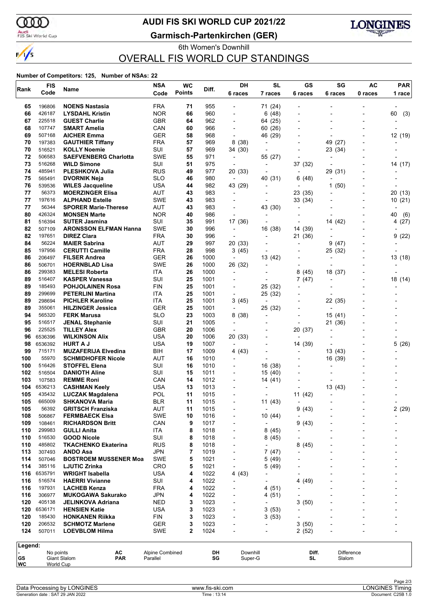

### Audi<br>FIS Ski World Cup

### **AUDI FIS SKI WORLD CUP 2021/22**

**Garmisch-Partenkirchen (GER)**



6th Women's Downhill OVERALL FIS WORLD CUP STANDINGS

#### **Number of Competitors: 125, Number of NSAs: 22**

| Rank                 | <b>FIS</b>        | Name                                           | <b>NSA</b>                  | <b>WC</b>     | Diff.        | DH                                 | <b>SL</b>                | GS                                  | SG                       | AC                       | <b>PAR</b>     |
|----------------------|-------------------|------------------------------------------------|-----------------------------|---------------|--------------|------------------------------------|--------------------------|-------------------------------------|--------------------------|--------------------------|----------------|
|                      | Code              |                                                | Code                        | <b>Points</b> |              | 6 races                            | 7 races                  | 6 races                             | 6 races                  | 0 races                  | 1 race         |
| 65                   | 196806            | <b>NOENS Nastasia</b>                          | <b>FRA</b>                  | 71            | 955          |                                    | 71 (24)                  |                                     |                          |                          |                |
| 66                   | 426187            | <b>LYSDAHL Kristin</b>                         | <b>NOR</b>                  | 66            | 960          | $\overline{\phantom{a}}$           | 6(48)                    |                                     |                          |                          | 60<br>(3)      |
| 67                   | 225518            | <b>GUEST Charlie</b>                           | <b>GBR</b>                  | 64            | 962          | $\overline{\phantom{0}}$           | 64 (25)                  | $\overline{a}$                      |                          | $\overline{a}$           |                |
| 68                   | 107747            | <b>SMART Amelia</b>                            | CAN                         | 60            | 966          |                                    | 60 (26)                  |                                     |                          |                          |                |
| 69                   | 507168            | <b>AICHER Emma</b>                             | <b>GER</b>                  | 58            | 968          | $\overline{a}$                     | 46 (29)                  |                                     |                          |                          | 12 (19)        |
| 70                   | 197383            | <b>GAUTHIER Tiffany</b>                        | <b>FRA</b>                  | 57            | 969          | 8(38)                              | $\overline{\phantom{a}}$ | $\overline{\phantom{0}}$            | 49<br>(27)               | Ĭ.                       |                |
| 70                   | 516521            | <b>KOLLY Noemie</b>                            | SUI                         | 57            | 969          | 34 (30)                            |                          |                                     | 23 (34)                  |                          |                |
| 72                   | 506583            | <b>SAEFVENBERG Charlotta</b>                   | <b>SWE</b>                  | 55            | 971          | $\overline{\phantom{a}}$           | 55 (27)                  | $\overline{\phantom{a}}$            |                          |                          |                |
| 73                   | 516268            | <b>WILD Simone</b>                             | SUI                         | 51            | 975          | $\overline{\phantom{a}}$           | $\overline{\phantom{a}}$ | 37 (32)                             | $\overline{a}$           |                          | 14 (17)        |
| 74                   | 485941            | PLESHKOVA Julia                                | <b>RUS</b>                  | 49            | 977          | 20 (33)                            |                          | $\overline{a}$                      | 29 (31)                  |                          |                |
| 75                   | 565491            | <b>DVORNIK Neja</b>                            | <b>SLO</b>                  | 46            | 980          | $\overline{\phantom{a}}$           | 40 (31)                  | (48)<br>6                           |                          |                          |                |
| 76                   | 539536            | <b>WILES Jacqueline</b>                        | <b>USA</b>                  | 44            | 982          | 43 (29)                            | $\overline{a}$           | $\overline{\phantom{0}}$            | 1<br>(50)                | ٠                        |                |
| 77                   | 56373             | <b>MOERZINGER Elisa</b>                        | AUT                         | 43            | 983          | $\overline{a}$                     |                          | 23 (35)                             |                          |                          | 20 (13)        |
| 77                   | 197616            | <b>ALPHAND Estelle</b>                         | <b>SWE</b>                  | 43            | 983          |                                    |                          | 33 (34)                             |                          |                          | 10(21)         |
| 77                   | 56344             | <b>SPORER Marie-Therese</b>                    | <b>AUT</b>                  | 43            | 983          | $\overline{a}$                     | 43 (30)                  | -                                   |                          | $\overline{\phantom{0}}$ |                |
| 80                   | 426324            | <b>MONSEN Marte</b>                            | <b>NOR</b>                  | 40            | 986          | ÷                                  |                          | $\overline{\phantom{a}}$            |                          |                          | 40<br>(6)      |
| 81                   | 516394            | <b>SUTER Jasmina</b>                           | SUI                         | 35            | 991          | 17 (36)                            |                          |                                     | 14 (42)                  | $\overline{\phantom{0}}$ | 4(27)          |
| 82                   | 507109<br>197651  | <b>ARONSSON ELFMAN Hanna</b>                   | <b>SWE</b>                  | 30            | 996          | $\overline{\phantom{a}}$           | 16 (38)                  | 14 (39)                             | $\overline{\phantom{a}}$ | Ĭ.                       |                |
| 82<br>84             | 56224             | <b>DIREZ Clara</b><br><b>MAIER Sabrina</b>     | <b>FRA</b><br><b>AUT</b>    | 30<br>29      | 996<br>997   | $\blacksquare$<br>20 (33)          |                          | 21 (36)<br>$\overline{\phantom{0}}$ | 9<br>(47)                |                          | 9<br>(22)      |
| 85                   | 197956            | <b>CERUTTI Camille</b>                         | <b>FRA</b>                  | 28            | 998          | 3(45)                              | $\overline{\phantom{a}}$ | $\overline{\phantom{a}}$            | 25 (32)                  |                          |                |
| 86                   | 206497            | <b>FILSER Andrea</b>                           | <b>GER</b>                  | 26            | 1000         | $\overline{\phantom{a}}$           | 13 (42)                  |                                     |                          | ٠                        | 13(18)         |
| 86                   | 506701            | <b>HOERNBLAD Lisa</b>                          | <b>SWE</b>                  | 26            | 1000         | 26 (32)                            |                          | $\overline{\phantom{0}}$            |                          |                          |                |
| 86                   | 299383            | <b>MELESI Roberta</b>                          | ITA                         | 26            | 1000         | $\overline{\phantom{a}}$           |                          | 8<br>(45)                           | 18 (37)                  |                          |                |
| 89                   | 516407            | <b>KASPER Vanessa</b>                          | SUI                         | 25            | 1001         |                                    |                          | 7(47)                               |                          |                          | 18 (14)        |
| 89                   | 185493            | <b>POHJOLAINEN Rosa</b>                        | <b>FIN</b>                  | 25            | 1001         | $\blacksquare$                     | 25 (32)                  | $\overline{\phantom{0}}$            |                          |                          |                |
| 89                   | 299699            | <b>PETERLINI Martina</b>                       | ITA                         | 25            | 1001         | $\overline{\phantom{a}}$           | 25 (32)                  | ٠                                   |                          |                          |                |
| 89                   | 298694            | <b>PICHLER Karoline</b>                        | <b>ITA</b>                  | 25            | 1001         | 3 (45)                             |                          |                                     | 22 (35)                  |                          |                |
| 89                   | 355061            | <b>HILZINGER Jessica</b>                       | <b>GER</b>                  | 25            | 1001         | $\overline{\phantom{a}}$           | 25 (32)                  | $\overline{\phantom{0}}$            |                          |                          |                |
| 94                   | 565320            | <b>FERK Marusa</b>                             | <b>SLO</b>                  | 23            | 1003         | 8(38)                              | $\overline{a}$           | $\overline{a}$                      | 15(41)                   |                          |                |
| 95                   | 516517            | <b>JENAL Stephanie</b>                         | SUI                         | 21            | 1005         | $\overline{a}$                     |                          |                                     | 21 (36)                  |                          |                |
| 96                   | 225525            | <b>TILLEY Alex</b>                             | <b>GBR</b>                  | 20            | 1006         |                                    |                          | 20 (37)                             | $\overline{\phantom{a}}$ |                          |                |
| 96                   | 6536396           | <b>WILKINSON Alix</b>                          | USA                         | 20            | 1006         | 20 (33)                            |                          |                                     | $\overline{\phantom{a}}$ |                          |                |
| 98                   | 6536392           | <b>HURT A J</b>                                | USA                         | 19            | 1007         |                                    |                          | 14 (39)                             |                          |                          | 5(26)          |
| 99                   | 715171            | <b>MUZAFERIJA Elvedina</b>                     | <b>BIH</b>                  | 17            | 1009         | 4(43)                              |                          | $\overline{\phantom{0}}$            | 13 (43)                  |                          |                |
| 100                  | 55970             | <b>SCHMIDHOFER Nicole</b>                      | AUT                         | 16            | 1010         | $\overline{\phantom{a}}$           | $\blacksquare$           | ٠                                   | 16 (39)                  |                          |                |
| 100                  | 516426            | <b>STOFFEL Elena</b>                           | SUI                         | 16            | 1010         |                                    | 16<br>(38)               |                                     |                          |                          |                |
| 102                  | 516504            | <b>DANIOTH Aline</b>                           | SUI                         | 15            | 1011         | $\overline{\phantom{0}}$           | 15 (40)                  |                                     |                          |                          |                |
| 103                  | 107583            | <b>REMME Roni</b>                              | CAN                         | 14            | 1012         | $\overline{\phantom{a}}$           | 14 (41)                  |                                     |                          |                          |                |
| 104                  | 6536213           | <b>CASHMAN Keely</b>                           | <b>USA</b>                  | 13            | 1013         |                                    |                          |                                     | 13 (43)                  |                          |                |
| 105                  | 435432            | <b>LUCZAK Magdalena</b>                        | POL                         | 11            | 1015         | $\overline{a}$                     |                          | 11 (42)                             | $\overline{a}$           |                          |                |
| 105                  | 665009            | <b>SHKANOVA Maria</b>                          | BLR                         | 11            | 1015         |                                    | 11 (43)                  | -                                   |                          |                          |                |
| 105                  | 56392             | <b>GRITSCH Franziska</b>                       | <b>AUT</b>                  | 11            | 1015         |                                    | $\overline{\phantom{a}}$ | 9(43)                               |                          |                          | 2(29)          |
| 108                  | 506867            | <b>FERMBAECK Elsa</b>                          | <b>SWE</b>                  | 10            | 1016         | $\overline{\phantom{0}}$           | 10(44)                   | $\overline{a}$                      |                          | Ĭ.                       |                |
| 109                  | 108461            | <b>RICHARDSON Britt</b>                        | CAN                         | 9             | 1017         | $\overline{\phantom{0}}$           | $\overline{\phantom{a}}$ | 9<br>(43)                           |                          | Ĭ.                       |                |
| 110                  | 299983            | <b>GULLI Anita</b>                             | ITA                         | 8             | 1018         | ٠                                  | 8(45)                    |                                     |                          |                          |                |
| 110                  | 516530            | <b>GOOD Nicole</b>                             | SUI                         | 8             | 1018         | $\overline{a}$                     | 8(45)                    |                                     |                          |                          |                |
| 110                  | 485802            | <b>TKACHENKO Ekaterina</b>                     | <b>RUS</b>                  | 8             | 1018         | $\overline{a}$                     | $\overline{\phantom{a}}$ | 8<br>(45)                           |                          |                          |                |
| 113                  | 307493            | ANDO Asa                                       | <b>JPN</b>                  | 7             | 1019         |                                    | 7(47)                    |                                     |                          |                          |                |
| 114                  | 507046            | <b>BOSTROEM MUSSENER Moa</b>                   | <b>SWE</b>                  | 5             | 1021         | $\overline{a}$                     | 5(49)                    |                                     |                          | -                        |                |
| 114<br>116           | 385116<br>6535791 | <b>LJUTIC Zrinka</b><br><b>WRIGHT Isabella</b> | CRO<br><b>USA</b>           | 5             | 1021<br>1022 | $\overline{\phantom{a}}$           | 5(49)                    |                                     |                          |                          |                |
| 116                  | 516574            | <b>HAERRI Vivianne</b>                         | SUI                         | 4<br>4        |              | 4 (43)<br>$\overline{\phantom{0}}$ |                          | 4                                   |                          |                          |                |
| 116                  | 197931            | <b>LACHEB Kenza</b>                            | <b>FRA</b>                  | 4             | 1022<br>1022 | $\overline{\phantom{0}}$           | 4 (51)                   | (49)                                |                          |                          |                |
| 116                  | 306977            | <b>MUKOGAWA Sakurako</b>                       | <b>JPN</b>                  | 4             | 1022         |                                    | 4(51)                    |                                     |                          |                          |                |
| 120                  | 405138            | JELINKOVA Adriana                              | NED                         | 3             | 1023         | ٠                                  |                          | 3<br>(50)                           |                          |                          |                |
| 120                  | 6536171           | <b>HENSIEN Katie</b>                           | <b>USA</b>                  | 3             | 1023         | ٠                                  | 3(53)                    | -                                   |                          |                          |                |
| 120                  | 185430            | <b>HONKANEN Riikka</b>                         | <b>FIN</b>                  | 3             | 1023         |                                    | 3(53)                    |                                     |                          |                          |                |
| 120                  | 206532            | <b>SCHMOTZ Marlene</b>                         | <b>GER</b>                  | 3             | 1023         | -                                  |                          | 3<br>(50)                           |                          |                          |                |
| 124                  | 507011            | <b>LOEVBLOM Hilma</b>                          | <b>SWE</b>                  | 2             | 1024         | ٠                                  | $\overline{\phantom{a}}$ | 2(52)                               |                          |                          | $\overline{a}$ |
|                      |                   |                                                |                             |               |              |                                    |                          |                                     |                          |                          |                |
| Legend:              |                   |                                                |                             |               |              |                                    |                          |                                     |                          |                          |                |
| $\blacksquare$<br>GS | No points         | АC<br>Giant Slalom<br>PAR                      | Alpine Combined<br>Parallel |               | DH<br>SG     | Downhill<br>Super-G                |                          | Diff.<br>SL                         | Difference<br>Slalom     |                          |                |
| <b>WC</b>            | World Cup         |                                                |                             |               |              |                                    |                          |                                     |                          |                          |                |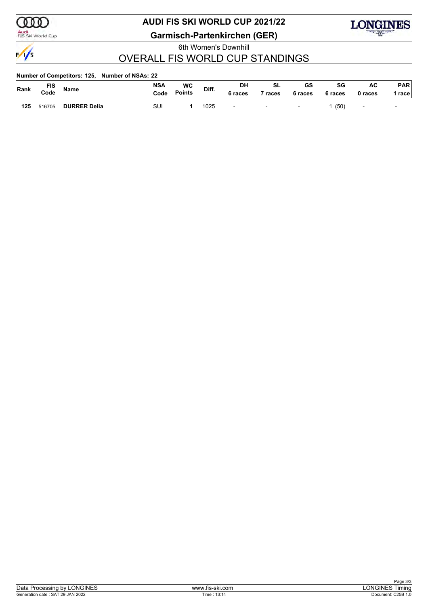

Audi<br>FIS Ski World Cup

## **AUDI FIS SKI WORLD CUP 2021/22**

**Garmisch-Partenkirchen (GER)**

6th Women's Downhill



### OVERALL FIS WORLD CUP STANDINGS

#### **Number of Competitors: 125, Number of NSAs: 22**

| Rank | <b>FIS</b><br>Code | Name                | <b>NSA</b><br>Code | WC<br><b>Points</b> | Diff. | DH<br>, races            | c۱<br>ื้อ∟<br>races      | GS<br>6 races            | SG<br>6 races | AC<br>0 races  | <b>PAR</b><br>race       |
|------|--------------------|---------------------|--------------------|---------------------|-------|--------------------------|--------------------------|--------------------------|---------------|----------------|--------------------------|
| 125  | 516705             | <b>DURRER Delia</b> | SUI                |                     | 1025  | $\overline{\phantom{0}}$ | $\overline{\phantom{0}}$ | $\overline{\phantom{a}}$ | (50)          | $\blacksquare$ | $\overline{\phantom{0}}$ |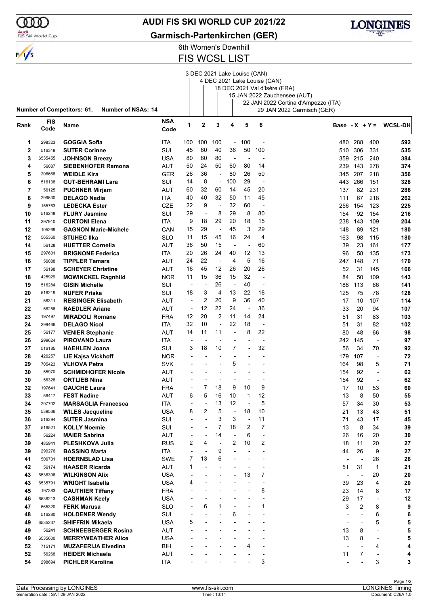### Audi<br>FIS Ski World Cup

### **AUDI FIS SKI WORLD CUP 2021/22**

**Garmisch-Partenkirchen (GER)**



### 6th Women's Downhill FIS WCSL LIST

|              |                    | <b>Number of Competitors: 61,</b><br><b>Number of NSAs: 14</b> |                    |                          |                          |                          |                          |                          | 3 DEC 2021 Lake Louise (CAN)<br>4 DEC 2021 Lake Louise (CAN) | 18 DEC 2021 Val d'Isère (FRA)<br>15 JAN 2022 Zauchensee (AUT)<br>22 JAN 2022 Cortina d'Ampezzo (ITA)<br>29 JAN 2022 Garmisch (GER) |                          |                          |                          |
|--------------|--------------------|----------------------------------------------------------------|--------------------|--------------------------|--------------------------|--------------------------|--------------------------|--------------------------|--------------------------------------------------------------|------------------------------------------------------------------------------------------------------------------------------------|--------------------------|--------------------------|--------------------------|
| Rank         | <b>FIS</b><br>Code | Name                                                           | <b>NSA</b><br>Code | 1                        | $\mathbf 2$              | 3                        | 4                        | 5                        | 6                                                            |                                                                                                                                    |                          |                          | Base - $X + Y = WCSL-DH$ |
| 1            | 298323             | <b>GOGGIA Sofia</b>                                            | <b>ITA</b>         | 100                      | 100                      | 100                      | $\blacksquare$           | 100                      | $\overline{\phantom{a}}$                                     | 480                                                                                                                                | 288                      | 400                      | 592                      |
| $\mathbf{2}$ | 516319             | <b>SUTER Corinne</b>                                           | SUI                | 45                       | 60                       | 40                       | 36                       | 50                       | 100                                                          | 510                                                                                                                                | 306                      | 331                      | 535                      |
| 3            | 6535455            | <b>JOHNSON Breezy</b>                                          | USA                | 80                       | 80                       | 80                       | $\overline{\phantom{a}}$ | Ĭ.                       | $\blacksquare$                                               | 359                                                                                                                                | 215                      | 240                      | 384                      |
| 4            | 56087              | <b>SIEBENHOFER Ramona</b>                                      | AUT                | 50                       | 24                       | 50                       | 60                       | 80                       | 14                                                           | 239                                                                                                                                | 143                      | 278                      | 374                      |
| 5            | 206668             | <b>WEIDLE Kira</b>                                             | <b>GER</b>         | 26                       | 36                       | $\overline{a}$           | 80                       | 26                       | 50                                                           | 345                                                                                                                                | 207                      | 218                      | 356                      |
| 6            | 516138             | <b>GUT-BEHRAMI Lara</b>                                        | SUI                | 14                       | 8                        | $\overline{a}$           | 100                      | 29                       | $\overline{\phantom{a}}$                                     | 443                                                                                                                                | 266                      | 151                      | 328                      |
| 7            | 56125              | <b>PUCHNER Mirjam</b>                                          | AUT                | 60                       | 32                       | 60                       | 14                       | 45                       | 20                                                           | 137                                                                                                                                | 82                       | 231                      | 286                      |
| 8            | 299630             | <b>DELAGO Nadia</b>                                            | ITA                | 40                       | 40                       | 32                       | 50                       | 11                       | 45                                                           | 111                                                                                                                                | 67                       | 218                      | 262                      |
| 9            | 155763             | <b>LEDECKA Ester</b>                                           | CZE                | 22                       | 9                        | $\overline{a}$           | 32                       | 60                       | $\overline{\phantom{a}}$                                     | 256                                                                                                                                | 154                      | 123                      | 225                      |
| 10           | 516248             | <b>FLURY Jasmine</b>                                           | SUI                | 29                       | ÷,                       | 8                        | 29                       | 8                        | 80                                                           | 154                                                                                                                                | 92                       | 154                      | 216                      |
| 11           | 297910             | <b>CURTONI Elena</b>                                           | ITA                | 9                        | 18                       | 29                       | 20                       | 18                       | 15                                                           | 238                                                                                                                                | 143                      | 109                      | 204                      |
| 12           | 105269             | <b>GAGNON Marie-Michele</b>                                    | CAN                | 15                       | 29                       | $\overline{\phantom{a}}$ | 45                       | 3                        | 29                                                           | 148                                                                                                                                | 89                       | 121                      | 180                      |
| 12           | 565360             | <b>STUHEC IIka</b>                                             | SLO                | 11                       | 15                       | 45                       | 16                       | 24                       | 4                                                            | 163                                                                                                                                | 98                       | 115                      | 180                      |
| 14           | 56128              | <b>HUETTER Cornelia</b>                                        | AUT                | 36                       | 50                       | 15                       | $\overline{\phantom{a}}$ | ٠                        | 60                                                           | 39                                                                                                                                 | 23                       | 161                      | 177                      |
| 15           | 297601             | <b>BRIGNONE Federica</b>                                       | <b>ITA</b>         | 20                       | 26                       | 24                       | 40                       | 12                       | 13                                                           | 96                                                                                                                                 | 58                       | 135                      | 173                      |
| 16           | 56088              | <b>TIPPLER Tamara</b>                                          | AUT                | 24                       | 22                       | $\overline{\phantom{a}}$ | 4                        | 5                        | 16                                                           | 247                                                                                                                                | 148                      | 71                       | 170                      |
| 17           | 56198              | <b>SCHEYER Christine</b>                                       | AUT                | 16                       | 45                       | 12                       | 26                       | 20                       | 26                                                           | 52                                                                                                                                 | 31                       | 145                      | 166                      |
| 18           | 425929             | <b>MOWINCKEL Ragnhild</b>                                      | <b>NOR</b>         | 11                       | 15                       | 36                       | 15                       | 32                       | $\overline{\phantom{a}}$                                     | 84                                                                                                                                 | 50                       | 109                      | 143                      |
| 19           | 516284             | <b>GISIN Michelle</b>                                          | SUI                | $\overline{\phantom{a}}$ | Ĭ.                       | 26                       | ÷,                       | 40                       | ÷,                                                           | 188                                                                                                                                | 113                      | 66                       | 141                      |
| 20           | 516219             | <b>NUFER Priska</b>                                            | SUI                | 18                       | 3                        | 4                        | 13                       | 22                       | 18                                                           | 125                                                                                                                                | 75                       | 78                       | 128                      |
| 21           | 56311              | <b>REISINGER Elisabeth</b>                                     | AUT                | $\overline{\phantom{a}}$ | 2                        | 20                       | 9                        | 36                       | 40                                                           | 17                                                                                                                                 | 10                       | 107                      | 114                      |
| 22           | 56256              | <b>RAEDLER Ariane</b>                                          | AUT                | $\overline{\phantom{a}}$ | 12                       | 22                       | 24                       | $\overline{\phantom{a}}$ | 36                                                           | 33                                                                                                                                 | 20                       | 94                       | 107                      |
| 23           | 197497             | <b>MIRADOLI Romane</b>                                         | FRA                | 12                       | 20                       | $\overline{2}$           | 11                       | 14                       | 24                                                           | 51                                                                                                                                 | 31                       | 83                       | 103                      |
| 24           | 299466             | <b>DELAGO Nicol</b>                                            | <b>ITA</b>         | 32                       | 10                       | $\overline{a}$           | 22                       | 18                       | $\overline{\phantom{a}}$                                     | 51                                                                                                                                 | 31                       | 82                       | 102                      |
| 25           | 56177              | <b>VENIER Stephanie</b>                                        | AUT                | 14                       | 11                       | 11                       | ÷,                       | 8                        | 22                                                           | 80                                                                                                                                 | 48                       | 66                       | 98                       |
| 26           | 299624             | <b>PIROVANO Laura</b>                                          | ITA                | ٠                        |                          |                          |                          |                          | ÷,                                                           | 242                                                                                                                                | 145                      | $\overline{a}$           | 97                       |
| 27           | 516185             | <b>HAEHLEN Joana</b>                                           | SUI                | 3                        | 18                       | 10                       | 7                        |                          | 32                                                           | 56                                                                                                                                 | 34                       | 70                       | 92                       |
| 28           | 426257             | <b>LIE Kajsa Vickhoff</b>                                      | <b>NOR</b>         |                          |                          |                          |                          |                          |                                                              | 179                                                                                                                                | 107                      | $\overline{\phantom{a}}$ | 72                       |
| 29           | 705423             | <b>VLHOVA Petra</b>                                            | SVK                |                          |                          |                          | 5                        |                          |                                                              | 164                                                                                                                                | 98                       | 5                        | 71                       |
| 30           | 55970              | <b>SCHMIDHOFER Nicole</b>                                      | AUT                |                          |                          |                          |                          |                          | ٠                                                            | 154                                                                                                                                | 92                       | $\overline{\phantom{a}}$ | 62                       |
| 30           | 56328              | <b>ORTLIEB Nina</b>                                            | AUT                |                          |                          |                          |                          |                          |                                                              | 154                                                                                                                                | 92                       | ÷                        | 62                       |
| 32           | 197641             | <b>GAUCHE Laura</b>                                            | <b>FRA</b>         |                          | 7                        | 18                       | 9                        | 10                       | 9                                                            | 17                                                                                                                                 | 10                       | 53                       | 60                       |
| 33           | 56417              | <b>FEST Nadine</b>                                             | <b>AUT</b>         | 6                        | 5                        | 16                       | 10                       | 1                        | 12                                                           | 13                                                                                                                                 | 8                        | 50                       | 55                       |
| 34           | 297702             | <b>MARSAGLIA Francesca</b>                                     | ITA                |                          | Ĭ.                       | 13                       | 12                       | L,                       | 5                                                            | 57                                                                                                                                 | 34                       | 30                       | 53                       |
| 35           | 539536             | <b>WILES Jacqueline</b>                                        | USA                | 8                        | 2                        | 5                        | $\overline{\phantom{a}}$ | 18                       | 10                                                           | 21                                                                                                                                 | 13                       | 43                       | 51                       |
| 36           | 516394             | <b>SUTER Jasmina</b>                                           | SUI                | $\overline{\phantom{a}}$ |                          | 3                        | 3                        | $\overline{a}$           | 11                                                           | 71                                                                                                                                 | 43                       | 17                       | 45                       |
| 37           | 516521             | <b>KOLLY Noemie</b>                                            | SUI                | $\overline{a}$           | $\overline{\phantom{a}}$ | 7                        | 18                       | 2                        | 7                                                            | 13                                                                                                                                 | 8                        | 34                       | 39                       |
| 38           | 56224              | <b>MAIER Sabrina</b>                                           | AUT                |                          | ٠                        | 14                       |                          | 6                        |                                                              | 26                                                                                                                                 | 16                       | 20                       | 30                       |
| 39           | 485941             | PLESHKOVA Julia                                                | <b>RUS</b>         | 2                        | 4                        | $\overline{\phantom{a}}$ | 2                        | 10                       | 2                                                            | 18                                                                                                                                 | 11                       | 20                       | 27                       |
| 39           | 299276             | <b>BASSINO Marta</b>                                           | ITA                | ÷,                       |                          | 9                        |                          |                          | ÷                                                            | 44                                                                                                                                 | 26                       | 9                        | 27                       |
| 41           | 506701             | <b>HOERNBLAD Lisa</b>                                          | SWE                | 7                        | 13                       | 6                        |                          |                          |                                                              | $\overline{a}$                                                                                                                     | $\overline{\phantom{a}}$ | 26                       | 26                       |
| 42           | 56174              | <b>HAASER Ricarda</b>                                          | AUT                | 1                        | L,                       |                          |                          |                          | $\overline{\phantom{0}}$                                     | 51                                                                                                                                 | 31                       | 1                        | 21                       |
| 43           | 6536396            | <b>WILKINSON Alix</b>                                          | USA                |                          |                          |                          |                          | 13                       | 7                                                            | $\overline{\phantom{a}}$                                                                                                           | $\overline{\phantom{a}}$ | 20                       | 20                       |
| 43           | 6535791            | <b>WRIGHT Isabella</b>                                         | USA                | 4                        |                          |                          |                          |                          |                                                              | 39                                                                                                                                 | 23                       | 4                        | 20                       |
| 45           | 197383             | <b>GAUTHIER Tiffany</b>                                        | <b>FRA</b>         |                          |                          |                          |                          |                          | 8                                                            | 23                                                                                                                                 | 14                       | 8                        | 17                       |
| 46           | 6536213            | <b>CASHMAN Keely</b>                                           | <b>USA</b>         |                          |                          |                          |                          |                          | ÷,                                                           | 29                                                                                                                                 | 17                       | $\overline{\phantom{a}}$ | 12                       |
| 47           | 565320             | <b>FERK Marusa</b>                                             | <b>SLO</b>         |                          | 6                        | 1                        |                          |                          | $\mathbf{1}$                                                 | 3                                                                                                                                  | 2                        | 8                        | 9                        |
| 48           | 516280             | <b>HOLDENER Wendy</b>                                          | SUI                | $\overline{\phantom{a}}$ | $\overline{a}$           |                          | 6                        |                          |                                                              | $\overline{\phantom{a}}$                                                                                                           |                          | 6                        | 6                        |
| 49           | 6535237            | <b>SHIFFRIN Mikaela</b>                                        | USA                | 5                        | $\overline{a}$           |                          |                          |                          |                                                              |                                                                                                                                    |                          | 5                        | 5                        |
| 49           | 56241              | <b>SCHNEEBERGER Rosina</b>                                     | AUT                |                          |                          |                          |                          |                          |                                                              | 13                                                                                                                                 | 8                        | $\overline{\phantom{a}}$ | 5                        |
| 49           | 6535600            | <b>MERRYWEATHER Alice</b>                                      | USA                |                          |                          |                          |                          |                          |                                                              | 13                                                                                                                                 | 8                        | $\overline{\phantom{a}}$ | 5                        |
| 52           | 715171             | <b>MUZAFERIJA Elvedina</b>                                     | BIH                |                          |                          |                          |                          | 4                        | ÷,                                                           | $\overline{a}$                                                                                                                     |                          | 4                        | 4                        |
| 52           | 56268              | <b>HEIDER Michaela</b>                                         | <b>AUT</b>         |                          |                          |                          |                          |                          | $\overline{a}$                                               | 11                                                                                                                                 | $\overline{7}$           | $\overline{\phantom{a}}$ | 4                        |
| 54           | 298694             | <b>PICHLER Karoline</b>                                        | <b>ITA</b>         |                          |                          |                          |                          |                          | 3                                                            | $\overline{\phantom{a}}$                                                                                                           |                          | 3                        | 3                        |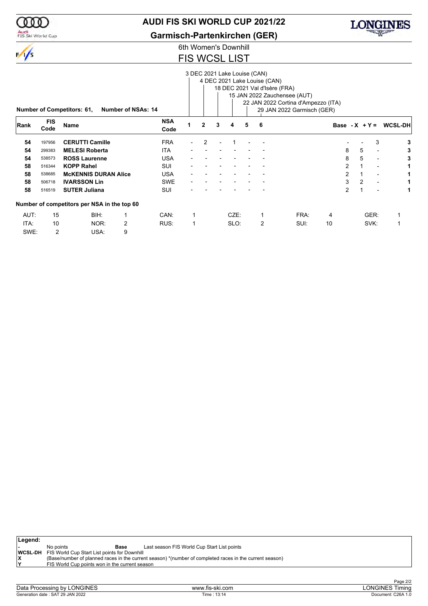

### Audi<br>FIS Ski World Cup

### **AUDI FIS SKI WORLD CUP 2021/22**

**Garmisch-Partenkirchen (GER)**

# LONGINES

### 6th Women's Downhill FIS WCSL LIST

|      |                    |                                             |                           |                    |                          |              |   | 3 DEC 2021 Lake Louise (CAN) |   | 4 DEC 2021 Lake Louise (CAN) |                                     |    |                |      |                          |                          |
|------|--------------------|---------------------------------------------|---------------------------|--------------------|--------------------------|--------------|---|------------------------------|---|------------------------------|-------------------------------------|----|----------------|------|--------------------------|--------------------------|
|      |                    |                                             |                           |                    |                          |              |   |                              |   |                              | 18 DEC 2021 Val d'Isère (FRA)       |    |                |      |                          |                          |
|      |                    |                                             |                           |                    |                          |              |   |                              |   |                              | 15 JAN 2022 Zauchensee (AUT)        |    |                |      |                          |                          |
|      |                    |                                             |                           |                    |                          |              |   |                              |   |                              | 22 JAN 2022 Cortina d'Ampezzo (ITA) |    |                |      |                          |                          |
|      |                    | <b>Number of Competitors: 61,</b>           | <b>Number of NSAs: 14</b> |                    |                          |              |   |                              |   |                              | 29 JAN 2022 Garmisch (GER)          |    |                |      |                          |                          |
| Rank | <b>FIS</b><br>Code | <b>Name</b>                                 |                           | <b>NSA</b><br>Code |                          | $\mathbf{2}$ | 3 | 4                            | 5 | 6                            |                                     |    |                |      |                          | Base - $X + Y = WCSL-DH$ |
| 54   | 197956             | <b>CERUTTI Camille</b>                      |                           | <b>FRA</b>         | $\overline{\phantom{0}}$ | 2            |   |                              |   |                              |                                     |    |                |      | 3                        | 3                        |
| 54   | 299383             | <b>MELESI Roberta</b>                       |                           | ITA                |                          |              |   |                              |   |                              |                                     |    | 8              | 5    | $\overline{\phantom{a}}$ | 3                        |
| 54   | 538573             | <b>ROSS Laurenne</b>                        |                           | <b>USA</b>         |                          |              |   |                              |   |                              |                                     |    | 8              | 5    | $\overline{\phantom{a}}$ | 3                        |
| 58   | 516344             | <b>KOPP Rahel</b>                           |                           | <b>SUI</b>         |                          |              |   |                              |   |                              |                                     |    | $\overline{2}$ |      | $\overline{\phantom{a}}$ |                          |
| 58   | 538685             | <b>MCKENNIS DURAN Alice</b>                 |                           | <b>USA</b>         |                          |              |   |                              |   |                              |                                     |    | $\overline{2}$ | 1    | $\blacksquare$           |                          |
| 58   | 506718             | <b>IVARSSON Lin</b>                         |                           | <b>SWE</b>         |                          |              |   |                              |   |                              |                                     |    | 3              | 2    | $\overline{\phantom{a}}$ | 1.                       |
| 58   | 516519             | <b>SUTER Juliana</b>                        |                           | <b>SUI</b>         |                          |              |   |                              |   |                              |                                     |    | $\overline{2}$ | 1    |                          | 1                        |
|      |                    | Number of competitors per NSA in the top 60 |                           |                    |                          |              |   |                              |   |                              |                                     |    |                |      |                          |                          |
| AUT: | 15                 | BIH:                                        |                           | CAN:               |                          |              |   | CZE:                         |   | 1                            | FRA:                                | 4  |                | GER: |                          | 1                        |
| ITA: | 10                 | NOR:                                        | 2                         | RUS:               | 1                        |              |   | SLO:                         |   | 2                            | SUI:                                | 10 |                | SVK: |                          | 1                        |
| SWE: | 2                  | USA:                                        | 9                         |                    |                          |              |   |                              |   |                              |                                     |    |                |      |                          |                          |

| Legend: |           |                                                             |                                                                                                         |
|---------|-----------|-------------------------------------------------------------|---------------------------------------------------------------------------------------------------------|
|         | No points | Base                                                        | Last season FIS World Cup Start List points                                                             |
|         |           | <b>WCSL-DH</b> FIS World Cup Start List points for Downhill |                                                                                                         |
| lχ      |           |                                                             | (Base/number of planned races in the current season) *(number of completed races in the current season) |
| lv      |           | FIS World Cup points won in the current season              |                                                                                                         |
|         |           |                                                             |                                                                                                         |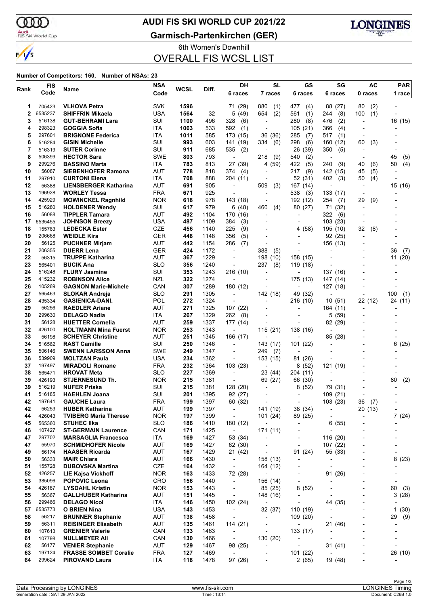ണ

### **AUDI FIS SKI WORLD CUP 2021/22**

Audi<br>FIS Ski World Cup

 $\frac{1}{\sqrt{2}}$ 

**Garmisch-Partenkirchen (GER)**



6th Women's Downhill OVERALL FIS WCSL LIST

#### **Number of Competitors: 160, Number of NSAs: 23**

| <b>SVK</b><br><b>VLHOVA Petra</b><br>1596<br>880<br>80<br>(2)<br>705423<br>71 (29)<br>(1)<br>477<br>(4)<br>88 (27)<br>1<br>6535237<br><b>USA</b><br>1564<br>32<br>654<br>(2)<br>100<br>(1)<br>2<br><b>SHIFFRIN Mikaela</b><br>5(49)<br>561<br>(1)<br>244<br>(8)<br>SUI<br>3<br>516138<br><b>GUT-BEHRAMI Lara</b><br>1100<br>496<br>328<br>(6)<br>280<br>(8)<br>476<br>(2)<br>$\overline{a}$<br>$\overline{\phantom{a}}$<br>298323<br><b>GOGGIA Sofia</b><br>ITA<br>1063<br>533<br>592<br>366<br>4<br>(1)<br>105(21)<br>(4)<br>$\blacksquare$<br>297601<br>ITA<br>5<br><b>BRIGNONE Federica</b><br>1011<br>585<br>173 (15)<br>36<br>(36)<br>285<br>(7)<br>517<br>(1)<br>$\blacksquare$<br>SUI<br>6<br>516284<br><b>GISIN Michelle</b><br>993<br>603<br>141 (19)<br>334<br>(6)<br>298<br>(6)<br>160 (12)<br>60<br>(3)<br>SUI<br>7<br>911<br>685<br>535<br>(2)<br>350<br>516319<br><b>SUTER Corinne</b><br>26 (39)<br>(5)<br>$\overline{\phantom{a}}$<br>8<br>506399<br><b>SWE</b><br>803<br>793<br><b>HECTOR Sara</b><br>218<br>(9)<br>540<br>(2)<br>45<br>$\overline{\phantom{a}}$<br>$\overline{a}$<br>$\overline{\phantom{a}}$<br>9<br>299276<br><b>BASSINO Marta</b><br><b>ITA</b><br>783<br>813<br>27 (39)<br>4 (59)<br>422<br>(5)<br>240<br>(9)<br>(6)<br>50<br>40<br><b>AUT</b><br>10<br>56087<br>778<br>217<br>(9)<br>(5)<br><b>SIEBENHOFER Ramona</b><br>818<br>374 (4)<br>142 (15)<br>45<br>$\overline{\phantom{0}}$<br>297910<br>ITA<br>708<br>888<br>11<br><b>CURTONI Elena</b><br>204 (11)<br>52 (31)<br>402<br>50<br>(4)<br>(3)<br>٠<br>12<br><b>AUT</b><br>15 (16)<br>56388<br><b>LIENSBERGER Katharina</b><br>691<br>905<br>509<br>(3)<br>167 (14)<br>$\blacksquare$<br>$\overline{a}$<br>$\overline{\phantom{a}}$<br>13<br>196928<br><b>FRA</b><br>671<br>925<br>538<br>(3)<br><b>WORLEY Tessa</b><br>133 (17)<br>$\overline{\phantom{a}}$<br>14<br>425929<br><b>NOR</b><br>978<br>(9)<br><b>MOWINCKEL Ragnhild</b><br>618<br>143 (18)<br>192 (12)<br>254<br>29<br>(7)<br>÷<br>15<br>SUI<br>516280<br><b>HOLDENER Wendy</b><br>617<br>979<br>6(48)<br>460<br>(4)<br>80 (27)<br>71 (32)<br>16<br><b>AUT</b><br>56088<br><b>TIPPLER Tamara</b><br>492<br>1104<br>322<br>170 (16)<br>(6)<br>$\overline{\phantom{a}}$<br>$\overline{\phantom{a}}$<br>6535455<br>USA<br>17<br><b>JOHNSON Breezy</b><br>487<br>1109<br>384<br>(3)<br>103(23)<br>$\blacksquare$<br>$\overline{\phantom{a}}$<br><b>CZE</b><br>18<br>155763<br><b>LEDECKA Ester</b><br>456<br>1140<br>225<br>(9)<br>(58)<br>195 (10)<br>32<br>(8)<br>4<br>$\overline{a}$<br>19<br>206668<br><b>GER</b><br>(5)<br><b>WEIDLE Kira</b><br>448<br>1148<br>356<br>92 (25)<br>20<br>56125<br>AUT<br><b>PUCHNER Mirjam</b><br>442<br>1154<br>286<br>(7)<br>156 (13)<br>$\overline{a}$<br>$\overline{a}$<br>21<br><b>GER</b><br>206355<br><b>DUERR Lena</b><br>424<br>1172<br>388<br>(5)<br>36<br>$\blacksquare$<br>22<br><b>AUT</b><br>56315<br><b>TRUPPE Katharina</b><br>367<br>1229<br>158 (15)<br>198 (10)<br>$\blacksquare$<br>23<br>565401<br><b>BUCIK Ana</b><br><b>SLO</b><br>356<br>237<br>1240<br>(8)<br>119 (18)<br>$\overline{\phantom{a}}$<br>24<br>SUI<br>516248<br><b>FLURY Jasmine</b><br>353<br>1243<br>216 (10)<br>137 (16)<br>$\overline{a}$<br>$\overline{\phantom{a}}$<br>25<br><b>NZL</b><br>322<br>415232<br>1274<br>175 (13)<br><b>ROBINSON Alice</b><br>147 (14)<br>26<br>105269<br>CAN<br>307<br>1289<br><b>GAGNON Marie-Michele</b><br>180 (12)<br>127 (18)<br>$\overline{a}$<br>$\overline{a}$<br>27<br><b>SLO</b><br>49 (32)<br>565463<br><b>SLOKAR Andreja</b><br>291<br>1305<br>142 (18)<br>100<br>$\blacksquare$<br>28<br>POL<br>435334<br>272<br>1324<br>22 (12)<br><b>GASIENICA-DANI.</b><br>216 (10)<br>10(51)<br>$\overline{a}$<br>29<br>56256<br>AUT<br>271<br>1325<br><b>RAEDLER Ariane</b><br>107 (22)<br>164 (11)<br>٠<br>$\overline{a}$<br>30<br>ITA<br>267<br>299630<br><b>DELAGO Nadia</b><br>1329<br>262<br>5(59)<br>(8)<br>-<br>$\overline{\phantom{a}}$<br><b>AUT</b><br>31<br>259<br>1337<br>82 (29)<br>56128<br><b>HUETTER Cornelia</b><br>177 (14)<br>32<br>426100<br><b>NOR</b><br>253<br>1343<br>115 (21)<br><b>HOLTMANN Mina Fuerst</b><br>138 (16)<br>$\overline{\phantom{a}}$<br>33<br><b>AUT</b><br>56198<br><b>SCHEYER Christine</b><br>251<br>1345<br>166 (17)<br>85 (28)<br>SUI<br>34<br>516562<br><b>RAST Camille</b><br>250<br>1346<br>143 (17)<br>101(22)<br>$\overline{\phantom{a}}$<br>$\overline{\phantom{a}}$<br><b>SWE</b><br>249<br>35<br>506146<br><b>SWENN LARSSON Anna</b><br>1347<br>249<br>(7)<br>$\overline{\phantom{a}}$<br>$\overline{\phantom{a}}$<br><b>USA</b><br>234<br>36<br>539909<br><b>MOLTZAN Paula</b><br>1362<br>153 (15)<br>81 (26)<br>$\overline{\phantom{a}}$<br>37<br><b>FRA</b><br>232<br>1364<br>103 (23)<br>8(52)<br>197497<br><b>MIRADOLI Romane</b><br>121 (19)<br>$\blacksquare$<br>38<br><b>SLO</b><br>227<br>23 (44)<br>565471<br><b>HROVAT Meta</b><br>1369<br>204 (11)<br>$\overline{a}$<br>39<br><b>NOR</b><br>426193<br><b>STJERNESUND Th.</b><br>215<br>1381<br>69 (27)<br>80<br>66 (30)<br>39<br>SUI<br>215<br>1381<br>516219<br><b>NUFER Priska</b><br>128 (20)<br>8<br>(52)<br>79 (31)<br>$\overline{a}$<br>41<br>516185<br><b>HAEHLEN Joana</b><br>SUI<br>201<br>1395<br>92(27)<br>109(21)<br>٠<br>$\overline{a}$<br>42<br><b>FRA</b><br>199<br>197641<br><b>GAUCHE Laura</b><br>1397<br>60 (32)<br>103 (23)<br>36<br>(7)<br>$\overline{a}$<br>$\overline{\phantom{a}}$<br>AUT<br>42<br>56253<br><b>HUBER Katharina</b><br>199<br>1397<br>141 (19)<br>38 (34)<br>20(13)<br>$\overline{\phantom{a}}$<br>$\overline{\phantom{a}}$<br><b>NOR</b><br>44<br>426043<br><b>TVIBERG Maria Therese</b><br>197<br>1399<br>101 (24)<br>89 (25)<br>$\overline{\phantom{a}}$<br>٠<br><b>SLO</b><br>45<br>565360<br><b>STUHEC IIka</b><br>186<br>1410<br>180 (12)<br>6(55)<br>$\overline{\phantom{a}}$<br>$\overline{\phantom{a}}$<br>$\overline{a}$<br>46<br>CAN<br>171<br>1425<br>171 (11)<br>107427<br><b>ST-GERMAIN Laurence</b><br>$\overline{\phantom{a}}$<br>$\overline{\phantom{a}}$<br>$\overline{\phantom{a}}$<br>297702<br>ITA<br>169<br>1427<br>53 (34)<br>116 (20)<br>47<br><b>MARSAGLIA Francesca</b><br>$\overline{\phantom{a}}$<br>$\overline{\phantom{a}}$<br>47<br>55970<br><b>SCHMIDHOFER Nicole</b><br>AUT<br>169<br>1427<br>62 (30)<br>107 (22)<br>$\qquad \qquad \blacksquare$<br>$\overline{\phantom{a}}$<br>49<br>56174<br>AUT<br>167<br>1429<br>55 (33)<br><b>HAASER Ricarda</b><br>21 (42)<br>91 (24)<br>$\overline{\phantom{a}}$<br>$\qquad \qquad \blacksquare$<br>50<br>56333<br><b>MAIR Chiara</b><br>AUT<br>166<br>1430<br>158 (13)<br>8(23)<br>$\overline{\phantom{a}}$<br>$\qquad \qquad \blacksquare$<br>$\overline{\phantom{a}}$<br>CZE<br>51<br>155728<br><b>DUBOVSKA Martina</b><br>164<br>1432<br>164 (12)<br>$\overline{\phantom{a}}$<br>$\overline{a}$<br>$\blacksquare$<br>52<br>426257<br><b>NOR</b><br>163<br>1433<br><b>LIE Kajsa Vickhoff</b><br>72 (28)<br>91 (26)<br>$\overline{\phantom{a}}$<br>$\overline{\phantom{a}}$<br>53<br>385096<br><b>POPOVIC Leona</b><br><b>CRO</b><br>156<br>156 (14)<br>1440<br>$\overline{\phantom{a}}$<br>$\overline{\phantom{a}}$<br>$\overline{a}$<br>54<br>60<br>426187<br><b>NOR</b><br>153<br>1443<br>85 (25)<br>8(52)<br><b>LYSDAHL Kristin</b><br>$\overline{\phantom{a}}$<br>$\overline{a}$<br>$\overline{a}$<br><b>AUT</b><br>55<br>56367<br>151<br>1445<br><b>GALLHUBER Katharina</b><br>148 (16)<br>$\overline{\phantom{a}}$<br>$\overline{a}$<br>$\overline{\phantom{a}}$<br>56<br>299466<br><b>DELAGO Nicol</b><br>ITA<br>146<br>102 (24)<br>1450<br>44 (35)<br>$\overline{\phantom{a}}$<br>$\overline{\phantom{a}}$<br>-<br>57<br>6535773<br><b>O BRIEN Nina</b><br>USA<br>143<br>1453<br>32 (37)<br>110 (19)<br>$\overline{\phantom{a}}$<br>$\overline{a}$<br><b>AUT</b><br>58<br>138<br>29<br>56217<br><b>BRUNNER Stephanie</b><br>1458<br>109(20)<br>$\overline{\phantom{a}}$<br>$\overline{\phantom{a}}$<br>$\overline{\phantom{a}}$<br>59<br>56311<br>AUT<br>135<br><b>REISINGER Elisabeth</b><br>1461<br>114(21)<br>21 (46)<br>$\overline{\phantom{a}}$<br>$\overline{\phantom{a}}$<br>٠<br>CAN<br>60<br>107613<br><b>GRENIER Valerie</b><br>133<br>1463<br>133 (17)<br>$\overline{\phantom{a}}$<br>$\overline{\phantom{a}}$<br>$\overline{a}$<br>61<br>107798<br>CAN<br>130<br><b>NULLMEYER Ali</b><br>1466<br>130 (20)<br>$\overline{\phantom{a}}$<br>$\overline{\phantom{a}}$<br>$\overline{\phantom{a}}$<br>$\overline{\phantom{a}}$<br>62<br>56177<br>AUT<br>129<br>98 (25)<br><b>VENIER Stephanie</b><br>1467<br>31(41)<br>$\overline{\phantom{a}}$<br>$\overline{\phantom{a}}$<br>٠<br>$\overline{\phantom{0}}$<br>63<br>101 (22)<br>197124<br><b>FRASSE SOMBET Coralie</b><br><b>FRA</b><br>127<br>1469<br>$\overline{\phantom{a}}$<br>-<br>$\overline{\phantom{a}}$<br>$\overline{a}$<br>64<br>299624<br>118<br>1478<br><b>PIROVANO Laura</b><br>ITA<br>97 (26)<br>2(65)<br>19 (48)<br>$\overline{\phantom{a}}$<br>$\overline{a}$ | <b>FIS</b><br>Rank<br>Code |  | Name | <b>NSA</b><br>Code | <b>WCSL</b> | Diff. | DH<br>6 races | <b>SL</b><br>7 races | GS<br>6 races | SG<br>6 races | AC<br>0 races | <b>PAR</b><br>1 race |
|-----------------------------------------------------------------------------------------------------------------------------------------------------------------------------------------------------------------------------------------------------------------------------------------------------------------------------------------------------------------------------------------------------------------------------------------------------------------------------------------------------------------------------------------------------------------------------------------------------------------------------------------------------------------------------------------------------------------------------------------------------------------------------------------------------------------------------------------------------------------------------------------------------------------------------------------------------------------------------------------------------------------------------------------------------------------------------------------------------------------------------------------------------------------------------------------------------------------------------------------------------------------------------------------------------------------------------------------------------------------------------------------------------------------------------------------------------------------------------------------------------------------------------------------------------------------------------------------------------------------------------------------------------------------------------------------------------------------------------------------------------------------------------------------------------------------------------------------------------------------------------------------------------------------------------------------------------------------------------------------------------------------------------------------------------------------------------------------------------------------------------------------------------------------------------------------------------------------------------------------------------------------------------------------------------------------------------------------------------------------------------------------------------------------------------------------------------------------------------------------------------------------------------------------------------------------------------------------------------------------------------------------------------------------------------------------------------------------------------------------------------------------------------------------------------------------------------------------------------------------------------------------------------------------------------------------------------------------------------------------------------------------------------------------------------------------------------------------------------------------------------------------------------------------------------------------------------------------------------------------------------------------------------------------------------------------------------------------------------------------------------------------------------------------------------------------------------------------------------------------------------------------------------------------------------------------------------------------------------------------------------------------------------------------------------------------------------------------------------------------------------------------------------------------------------------------------------------------------------------------------------------------------------------------------------------------------------------------------------------------------------------------------------------------------------------------------------------------------------------------------------------------------------------------------------------------------------------------------------------------------------------------------------------------------------------------------------------------------------------------------------------------------------------------------------------------------------------------------------------------------------------------------------------------------------------------------------------------------------------------------------------------------------------------------------------------------------------------------------------------------------------------------------------------------------------------------------------------------------------------------------------------------------------------------------------------------------------------------------------------------------------------------------------------------------------------------------------------------------------------------------------------------------------------------------------------------------------------------------------------------------------------------------------------------------------------------------------------------------------------------------------------------------------------------------------------------------------------------------------------------------------------------------------------------------------------------------------------------------------------------------------------------------------------------------------------------------------------------------------------------------------------------------------------------------------------------------------------------------------------------------------------------------------------------------------------------------------------------------------------------------------------------------------------------------------------------------------------------------------------------------------------------------------------------------------------------------------------------------------------------------------------------------------------------------------------------------------------------------------------------------------------------------------------------------------------------------------------------------------------------------------------------------------------------------------------------------------------------------------------------------------------------------------------------------------------------------------------------------------------------------------------------------------------------------------------------------------------------------------------------------------------------------------------------------------------------------------------------------------------------------------------------------------------------------------------------------------------------------------------------------------------------------------------------------------------------------------------------------------------------------------------------------------------------------------------------------------------------------------------------------------------------------------------------------------------------------------------------------------------------------------------------------------------------------------------------------------------------------------------------------------------------------------------------------------------------------------------------------------------------------------------------------------------------------------------------------------------------------------------------------------------------------------------------------------------------------------------------------------------------------------------------------------------------------------------------------------------------------------------------------------------------------------------------------------------------------------------------------------------------------------------------------------------------------------------------------------------------------------------------------------------------------------------------------------------------------------------------------------------------------------------------------------------------------------------------------------------------------------------------------------------------------------------------------------------------------------------------------------------------------------------------------------------------------------------------------------------------------------------------------------------------------------------------------------------------------------------------------------------------------------|----------------------------|--|------|--------------------|-------------|-------|---------------|----------------------|---------------|---------------|---------------|----------------------|
|                                                                                                                                                                                                                                                                                                                                                                                                                                                                                                                                                                                                                                                                                                                                                                                                                                                                                                                                                                                                                                                                                                                                                                                                                                                                                                                                                                                                                                                                                                                                                                                                                                                                                                                                                                                                                                                                                                                                                                                                                                                                                                                                                                                                                                                                                                                                                                                                                                                                                                                                                                                                                                                                                                                                                                                                                                                                                                                                                                                                                                                                                                                                                                                                                                                                                                                                                                                                                                                                                                                                                                                                                                                                                                                                                                                                                                                                                                                                                                                                                                                                                                                                                                                                                                                                                                                                                                                                                                                                                                                                                                                                                                                                                                                                                                                                                                                                                                                                                                                                                                                                                                                                                                                                                                                                                                                                                                                                                                                                                                                                                                                                                                                                                                                                                                                                                                                                                                                                                                                                                                                                                                                                                                                                                                                                                                                                                                                                                                                                                                                                                                                                                                                                                                                                                                                                                                                                                                                                                                                                                                                                                                                                                                                                                                                                                                                                                                                                                                                                                                                                                                                                                                                                                                                                                                                                                                                                                                                                                                                                                                                                                                                                                                                                                                                                                                                                                                                                                                                                                                                                                                                                                                                                                                                                                                                                                                                                                                                                                                                                           |                            |  |      |                    |             |       |               |                      |               |               |               |                      |
|                                                                                                                                                                                                                                                                                                                                                                                                                                                                                                                                                                                                                                                                                                                                                                                                                                                                                                                                                                                                                                                                                                                                                                                                                                                                                                                                                                                                                                                                                                                                                                                                                                                                                                                                                                                                                                                                                                                                                                                                                                                                                                                                                                                                                                                                                                                                                                                                                                                                                                                                                                                                                                                                                                                                                                                                                                                                                                                                                                                                                                                                                                                                                                                                                                                                                                                                                                                                                                                                                                                                                                                                                                                                                                                                                                                                                                                                                                                                                                                                                                                                                                                                                                                                                                                                                                                                                                                                                                                                                                                                                                                                                                                                                                                                                                                                                                                                                                                                                                                                                                                                                                                                                                                                                                                                                                                                                                                                                                                                                                                                                                                                                                                                                                                                                                                                                                                                                                                                                                                                                                                                                                                                                                                                                                                                                                                                                                                                                                                                                                                                                                                                                                                                                                                                                                                                                                                                                                                                                                                                                                                                                                                                                                                                                                                                                                                                                                                                                                                                                                                                                                                                                                                                                                                                                                                                                                                                                                                                                                                                                                                                                                                                                                                                                                                                                                                                                                                                                                                                                                                                                                                                                                                                                                                                                                                                                                                                                                                                                                                                           |                            |  |      |                    |             |       |               |                      |               |               |               |                      |
|                                                                                                                                                                                                                                                                                                                                                                                                                                                                                                                                                                                                                                                                                                                                                                                                                                                                                                                                                                                                                                                                                                                                                                                                                                                                                                                                                                                                                                                                                                                                                                                                                                                                                                                                                                                                                                                                                                                                                                                                                                                                                                                                                                                                                                                                                                                                                                                                                                                                                                                                                                                                                                                                                                                                                                                                                                                                                                                                                                                                                                                                                                                                                                                                                                                                                                                                                                                                                                                                                                                                                                                                                                                                                                                                                                                                                                                                                                                                                                                                                                                                                                                                                                                                                                                                                                                                                                                                                                                                                                                                                                                                                                                                                                                                                                                                                                                                                                                                                                                                                                                                                                                                                                                                                                                                                                                                                                                                                                                                                                                                                                                                                                                                                                                                                                                                                                                                                                                                                                                                                                                                                                                                                                                                                                                                                                                                                                                                                                                                                                                                                                                                                                                                                                                                                                                                                                                                                                                                                                                                                                                                                                                                                                                                                                                                                                                                                                                                                                                                                                                                                                                                                                                                                                                                                                                                                                                                                                                                                                                                                                                                                                                                                                                                                                                                                                                                                                                                                                                                                                                                                                                                                                                                                                                                                                                                                                                                                                                                                                                                           |                            |  |      |                    |             |       |               |                      |               |               |               | 16 (15)              |
|                                                                                                                                                                                                                                                                                                                                                                                                                                                                                                                                                                                                                                                                                                                                                                                                                                                                                                                                                                                                                                                                                                                                                                                                                                                                                                                                                                                                                                                                                                                                                                                                                                                                                                                                                                                                                                                                                                                                                                                                                                                                                                                                                                                                                                                                                                                                                                                                                                                                                                                                                                                                                                                                                                                                                                                                                                                                                                                                                                                                                                                                                                                                                                                                                                                                                                                                                                                                                                                                                                                                                                                                                                                                                                                                                                                                                                                                                                                                                                                                                                                                                                                                                                                                                                                                                                                                                                                                                                                                                                                                                                                                                                                                                                                                                                                                                                                                                                                                                                                                                                                                                                                                                                                                                                                                                                                                                                                                                                                                                                                                                                                                                                                                                                                                                                                                                                                                                                                                                                                                                                                                                                                                                                                                                                                                                                                                                                                                                                                                                                                                                                                                                                                                                                                                                                                                                                                                                                                                                                                                                                                                                                                                                                                                                                                                                                                                                                                                                                                                                                                                                                                                                                                                                                                                                                                                                                                                                                                                                                                                                                                                                                                                                                                                                                                                                                                                                                                                                                                                                                                                                                                                                                                                                                                                                                                                                                                                                                                                                                                                           |                            |  |      |                    |             |       |               |                      |               |               |               |                      |
|                                                                                                                                                                                                                                                                                                                                                                                                                                                                                                                                                                                                                                                                                                                                                                                                                                                                                                                                                                                                                                                                                                                                                                                                                                                                                                                                                                                                                                                                                                                                                                                                                                                                                                                                                                                                                                                                                                                                                                                                                                                                                                                                                                                                                                                                                                                                                                                                                                                                                                                                                                                                                                                                                                                                                                                                                                                                                                                                                                                                                                                                                                                                                                                                                                                                                                                                                                                                                                                                                                                                                                                                                                                                                                                                                                                                                                                                                                                                                                                                                                                                                                                                                                                                                                                                                                                                                                                                                                                                                                                                                                                                                                                                                                                                                                                                                                                                                                                                                                                                                                                                                                                                                                                                                                                                                                                                                                                                                                                                                                                                                                                                                                                                                                                                                                                                                                                                                                                                                                                                                                                                                                                                                                                                                                                                                                                                                                                                                                                                                                                                                                                                                                                                                                                                                                                                                                                                                                                                                                                                                                                                                                                                                                                                                                                                                                                                                                                                                                                                                                                                                                                                                                                                                                                                                                                                                                                                                                                                                                                                                                                                                                                                                                                                                                                                                                                                                                                                                                                                                                                                                                                                                                                                                                                                                                                                                                                                                                                                                                                                           |                            |  |      |                    |             |       |               |                      |               |               |               |                      |
|                                                                                                                                                                                                                                                                                                                                                                                                                                                                                                                                                                                                                                                                                                                                                                                                                                                                                                                                                                                                                                                                                                                                                                                                                                                                                                                                                                                                                                                                                                                                                                                                                                                                                                                                                                                                                                                                                                                                                                                                                                                                                                                                                                                                                                                                                                                                                                                                                                                                                                                                                                                                                                                                                                                                                                                                                                                                                                                                                                                                                                                                                                                                                                                                                                                                                                                                                                                                                                                                                                                                                                                                                                                                                                                                                                                                                                                                                                                                                                                                                                                                                                                                                                                                                                                                                                                                                                                                                                                                                                                                                                                                                                                                                                                                                                                                                                                                                                                                                                                                                                                                                                                                                                                                                                                                                                                                                                                                                                                                                                                                                                                                                                                                                                                                                                                                                                                                                                                                                                                                                                                                                                                                                                                                                                                                                                                                                                                                                                                                                                                                                                                                                                                                                                                                                                                                                                                                                                                                                                                                                                                                                                                                                                                                                                                                                                                                                                                                                                                                                                                                                                                                                                                                                                                                                                                                                                                                                                                                                                                                                                                                                                                                                                                                                                                                                                                                                                                                                                                                                                                                                                                                                                                                                                                                                                                                                                                                                                                                                                                                           |                            |  |      |                    |             |       |               |                      |               |               |               |                      |
|                                                                                                                                                                                                                                                                                                                                                                                                                                                                                                                                                                                                                                                                                                                                                                                                                                                                                                                                                                                                                                                                                                                                                                                                                                                                                                                                                                                                                                                                                                                                                                                                                                                                                                                                                                                                                                                                                                                                                                                                                                                                                                                                                                                                                                                                                                                                                                                                                                                                                                                                                                                                                                                                                                                                                                                                                                                                                                                                                                                                                                                                                                                                                                                                                                                                                                                                                                                                                                                                                                                                                                                                                                                                                                                                                                                                                                                                                                                                                                                                                                                                                                                                                                                                                                                                                                                                                                                                                                                                                                                                                                                                                                                                                                                                                                                                                                                                                                                                                                                                                                                                                                                                                                                                                                                                                                                                                                                                                                                                                                                                                                                                                                                                                                                                                                                                                                                                                                                                                                                                                                                                                                                                                                                                                                                                                                                                                                                                                                                                                                                                                                                                                                                                                                                                                                                                                                                                                                                                                                                                                                                                                                                                                                                                                                                                                                                                                                                                                                                                                                                                                                                                                                                                                                                                                                                                                                                                                                                                                                                                                                                                                                                                                                                                                                                                                                                                                                                                                                                                                                                                                                                                                                                                                                                                                                                                                                                                                                                                                                                                           |                            |  |      |                    |             |       |               |                      |               |               |               |                      |
|                                                                                                                                                                                                                                                                                                                                                                                                                                                                                                                                                                                                                                                                                                                                                                                                                                                                                                                                                                                                                                                                                                                                                                                                                                                                                                                                                                                                                                                                                                                                                                                                                                                                                                                                                                                                                                                                                                                                                                                                                                                                                                                                                                                                                                                                                                                                                                                                                                                                                                                                                                                                                                                                                                                                                                                                                                                                                                                                                                                                                                                                                                                                                                                                                                                                                                                                                                                                                                                                                                                                                                                                                                                                                                                                                                                                                                                                                                                                                                                                                                                                                                                                                                                                                                                                                                                                                                                                                                                                                                                                                                                                                                                                                                                                                                                                                                                                                                                                                                                                                                                                                                                                                                                                                                                                                                                                                                                                                                                                                                                                                                                                                                                                                                                                                                                                                                                                                                                                                                                                                                                                                                                                                                                                                                                                                                                                                                                                                                                                                                                                                                                                                                                                                                                                                                                                                                                                                                                                                                                                                                                                                                                                                                                                                                                                                                                                                                                                                                                                                                                                                                                                                                                                                                                                                                                                                                                                                                                                                                                                                                                                                                                                                                                                                                                                                                                                                                                                                                                                                                                                                                                                                                                                                                                                                                                                                                                                                                                                                                                                           |                            |  |      |                    |             |       |               |                      |               |               |               | (5)                  |
|                                                                                                                                                                                                                                                                                                                                                                                                                                                                                                                                                                                                                                                                                                                                                                                                                                                                                                                                                                                                                                                                                                                                                                                                                                                                                                                                                                                                                                                                                                                                                                                                                                                                                                                                                                                                                                                                                                                                                                                                                                                                                                                                                                                                                                                                                                                                                                                                                                                                                                                                                                                                                                                                                                                                                                                                                                                                                                                                                                                                                                                                                                                                                                                                                                                                                                                                                                                                                                                                                                                                                                                                                                                                                                                                                                                                                                                                                                                                                                                                                                                                                                                                                                                                                                                                                                                                                                                                                                                                                                                                                                                                                                                                                                                                                                                                                                                                                                                                                                                                                                                                                                                                                                                                                                                                                                                                                                                                                                                                                                                                                                                                                                                                                                                                                                                                                                                                                                                                                                                                                                                                                                                                                                                                                                                                                                                                                                                                                                                                                                                                                                                                                                                                                                                                                                                                                                                                                                                                                                                                                                                                                                                                                                                                                                                                                                                                                                                                                                                                                                                                                                                                                                                                                                                                                                                                                                                                                                                                                                                                                                                                                                                                                                                                                                                                                                                                                                                                                                                                                                                                                                                                                                                                                                                                                                                                                                                                                                                                                                                                           |                            |  |      |                    |             |       |               |                      |               |               |               | (4)                  |
|                                                                                                                                                                                                                                                                                                                                                                                                                                                                                                                                                                                                                                                                                                                                                                                                                                                                                                                                                                                                                                                                                                                                                                                                                                                                                                                                                                                                                                                                                                                                                                                                                                                                                                                                                                                                                                                                                                                                                                                                                                                                                                                                                                                                                                                                                                                                                                                                                                                                                                                                                                                                                                                                                                                                                                                                                                                                                                                                                                                                                                                                                                                                                                                                                                                                                                                                                                                                                                                                                                                                                                                                                                                                                                                                                                                                                                                                                                                                                                                                                                                                                                                                                                                                                                                                                                                                                                                                                                                                                                                                                                                                                                                                                                                                                                                                                                                                                                                                                                                                                                                                                                                                                                                                                                                                                                                                                                                                                                                                                                                                                                                                                                                                                                                                                                                                                                                                                                                                                                                                                                                                                                                                                                                                                                                                                                                                                                                                                                                                                                                                                                                                                                                                                                                                                                                                                                                                                                                                                                                                                                                                                                                                                                                                                                                                                                                                                                                                                                                                                                                                                                                                                                                                                                                                                                                                                                                                                                                                                                                                                                                                                                                                                                                                                                                                                                                                                                                                                                                                                                                                                                                                                                                                                                                                                                                                                                                                                                                                                                                                           |                            |  |      |                    |             |       |               |                      |               |               |               |                      |
|                                                                                                                                                                                                                                                                                                                                                                                                                                                                                                                                                                                                                                                                                                                                                                                                                                                                                                                                                                                                                                                                                                                                                                                                                                                                                                                                                                                                                                                                                                                                                                                                                                                                                                                                                                                                                                                                                                                                                                                                                                                                                                                                                                                                                                                                                                                                                                                                                                                                                                                                                                                                                                                                                                                                                                                                                                                                                                                                                                                                                                                                                                                                                                                                                                                                                                                                                                                                                                                                                                                                                                                                                                                                                                                                                                                                                                                                                                                                                                                                                                                                                                                                                                                                                                                                                                                                                                                                                                                                                                                                                                                                                                                                                                                                                                                                                                                                                                                                                                                                                                                                                                                                                                                                                                                                                                                                                                                                                                                                                                                                                                                                                                                                                                                                                                                                                                                                                                                                                                                                                                                                                                                                                                                                                                                                                                                                                                                                                                                                                                                                                                                                                                                                                                                                                                                                                                                                                                                                                                                                                                                                                                                                                                                                                                                                                                                                                                                                                                                                                                                                                                                                                                                                                                                                                                                                                                                                                                                                                                                                                                                                                                                                                                                                                                                                                                                                                                                                                                                                                                                                                                                                                                                                                                                                                                                                                                                                                                                                                                                                           |                            |  |      |                    |             |       |               |                      |               |               |               |                      |
|                                                                                                                                                                                                                                                                                                                                                                                                                                                                                                                                                                                                                                                                                                                                                                                                                                                                                                                                                                                                                                                                                                                                                                                                                                                                                                                                                                                                                                                                                                                                                                                                                                                                                                                                                                                                                                                                                                                                                                                                                                                                                                                                                                                                                                                                                                                                                                                                                                                                                                                                                                                                                                                                                                                                                                                                                                                                                                                                                                                                                                                                                                                                                                                                                                                                                                                                                                                                                                                                                                                                                                                                                                                                                                                                                                                                                                                                                                                                                                                                                                                                                                                                                                                                                                                                                                                                                                                                                                                                                                                                                                                                                                                                                                                                                                                                                                                                                                                                                                                                                                                                                                                                                                                                                                                                                                                                                                                                                                                                                                                                                                                                                                                                                                                                                                                                                                                                                                                                                                                                                                                                                                                                                                                                                                                                                                                                                                                                                                                                                                                                                                                                                                                                                                                                                                                                                                                                                                                                                                                                                                                                                                                                                                                                                                                                                                                                                                                                                                                                                                                                                                                                                                                                                                                                                                                                                                                                                                                                                                                                                                                                                                                                                                                                                                                                                                                                                                                                                                                                                                                                                                                                                                                                                                                                                                                                                                                                                                                                                                                                           |                            |  |      |                    |             |       |               |                      |               |               |               |                      |
|                                                                                                                                                                                                                                                                                                                                                                                                                                                                                                                                                                                                                                                                                                                                                                                                                                                                                                                                                                                                                                                                                                                                                                                                                                                                                                                                                                                                                                                                                                                                                                                                                                                                                                                                                                                                                                                                                                                                                                                                                                                                                                                                                                                                                                                                                                                                                                                                                                                                                                                                                                                                                                                                                                                                                                                                                                                                                                                                                                                                                                                                                                                                                                                                                                                                                                                                                                                                                                                                                                                                                                                                                                                                                                                                                                                                                                                                                                                                                                                                                                                                                                                                                                                                                                                                                                                                                                                                                                                                                                                                                                                                                                                                                                                                                                                                                                                                                                                                                                                                                                                                                                                                                                                                                                                                                                                                                                                                                                                                                                                                                                                                                                                                                                                                                                                                                                                                                                                                                                                                                                                                                                                                                                                                                                                                                                                                                                                                                                                                                                                                                                                                                                                                                                                                                                                                                                                                                                                                                                                                                                                                                                                                                                                                                                                                                                                                                                                                                                                                                                                                                                                                                                                                                                                                                                                                                                                                                                                                                                                                                                                                                                                                                                                                                                                                                                                                                                                                                                                                                                                                                                                                                                                                                                                                                                                                                                                                                                                                                                                                           |                            |  |      |                    |             |       |               |                      |               |               |               |                      |
|                                                                                                                                                                                                                                                                                                                                                                                                                                                                                                                                                                                                                                                                                                                                                                                                                                                                                                                                                                                                                                                                                                                                                                                                                                                                                                                                                                                                                                                                                                                                                                                                                                                                                                                                                                                                                                                                                                                                                                                                                                                                                                                                                                                                                                                                                                                                                                                                                                                                                                                                                                                                                                                                                                                                                                                                                                                                                                                                                                                                                                                                                                                                                                                                                                                                                                                                                                                                                                                                                                                                                                                                                                                                                                                                                                                                                                                                                                                                                                                                                                                                                                                                                                                                                                                                                                                                                                                                                                                                                                                                                                                                                                                                                                                                                                                                                                                                                                                                                                                                                                                                                                                                                                                                                                                                                                                                                                                                                                                                                                                                                                                                                                                                                                                                                                                                                                                                                                                                                                                                                                                                                                                                                                                                                                                                                                                                                                                                                                                                                                                                                                                                                                                                                                                                                                                                                                                                                                                                                                                                                                                                                                                                                                                                                                                                                                                                                                                                                                                                                                                                                                                                                                                                                                                                                                                                                                                                                                                                                                                                                                                                                                                                                                                                                                                                                                                                                                                                                                                                                                                                                                                                                                                                                                                                                                                                                                                                                                                                                                                                           |                            |  |      |                    |             |       |               |                      |               |               |               |                      |
|                                                                                                                                                                                                                                                                                                                                                                                                                                                                                                                                                                                                                                                                                                                                                                                                                                                                                                                                                                                                                                                                                                                                                                                                                                                                                                                                                                                                                                                                                                                                                                                                                                                                                                                                                                                                                                                                                                                                                                                                                                                                                                                                                                                                                                                                                                                                                                                                                                                                                                                                                                                                                                                                                                                                                                                                                                                                                                                                                                                                                                                                                                                                                                                                                                                                                                                                                                                                                                                                                                                                                                                                                                                                                                                                                                                                                                                                                                                                                                                                                                                                                                                                                                                                                                                                                                                                                                                                                                                                                                                                                                                                                                                                                                                                                                                                                                                                                                                                                                                                                                                                                                                                                                                                                                                                                                                                                                                                                                                                                                                                                                                                                                                                                                                                                                                                                                                                                                                                                                                                                                                                                                                                                                                                                                                                                                                                                                                                                                                                                                                                                                                                                                                                                                                                                                                                                                                                                                                                                                                                                                                                                                                                                                                                                                                                                                                                                                                                                                                                                                                                                                                                                                                                                                                                                                                                                                                                                                                                                                                                                                                                                                                                                                                                                                                                                                                                                                                                                                                                                                                                                                                                                                                                                                                                                                                                                                                                                                                                                                                                           |                            |  |      |                    |             |       |               |                      |               |               |               |                      |
|                                                                                                                                                                                                                                                                                                                                                                                                                                                                                                                                                                                                                                                                                                                                                                                                                                                                                                                                                                                                                                                                                                                                                                                                                                                                                                                                                                                                                                                                                                                                                                                                                                                                                                                                                                                                                                                                                                                                                                                                                                                                                                                                                                                                                                                                                                                                                                                                                                                                                                                                                                                                                                                                                                                                                                                                                                                                                                                                                                                                                                                                                                                                                                                                                                                                                                                                                                                                                                                                                                                                                                                                                                                                                                                                                                                                                                                                                                                                                                                                                                                                                                                                                                                                                                                                                                                                                                                                                                                                                                                                                                                                                                                                                                                                                                                                                                                                                                                                                                                                                                                                                                                                                                                                                                                                                                                                                                                                                                                                                                                                                                                                                                                                                                                                                                                                                                                                                                                                                                                                                                                                                                                                                                                                                                                                                                                                                                                                                                                                                                                                                                                                                                                                                                                                                                                                                                                                                                                                                                                                                                                                                                                                                                                                                                                                                                                                                                                                                                                                                                                                                                                                                                                                                                                                                                                                                                                                                                                                                                                                                                                                                                                                                                                                                                                                                                                                                                                                                                                                                                                                                                                                                                                                                                                                                                                                                                                                                                                                                                                                           |                            |  |      |                    |             |       |               |                      |               |               |               |                      |
|                                                                                                                                                                                                                                                                                                                                                                                                                                                                                                                                                                                                                                                                                                                                                                                                                                                                                                                                                                                                                                                                                                                                                                                                                                                                                                                                                                                                                                                                                                                                                                                                                                                                                                                                                                                                                                                                                                                                                                                                                                                                                                                                                                                                                                                                                                                                                                                                                                                                                                                                                                                                                                                                                                                                                                                                                                                                                                                                                                                                                                                                                                                                                                                                                                                                                                                                                                                                                                                                                                                                                                                                                                                                                                                                                                                                                                                                                                                                                                                                                                                                                                                                                                                                                                                                                                                                                                                                                                                                                                                                                                                                                                                                                                                                                                                                                                                                                                                                                                                                                                                                                                                                                                                                                                                                                                                                                                                                                                                                                                                                                                                                                                                                                                                                                                                                                                                                                                                                                                                                                                                                                                                                                                                                                                                                                                                                                                                                                                                                                                                                                                                                                                                                                                                                                                                                                                                                                                                                                                                                                                                                                                                                                                                                                                                                                                                                                                                                                                                                                                                                                                                                                                                                                                                                                                                                                                                                                                                                                                                                                                                                                                                                                                                                                                                                                                                                                                                                                                                                                                                                                                                                                                                                                                                                                                                                                                                                                                                                                                                                           |                            |  |      |                    |             |       |               |                      |               |               |               |                      |
|                                                                                                                                                                                                                                                                                                                                                                                                                                                                                                                                                                                                                                                                                                                                                                                                                                                                                                                                                                                                                                                                                                                                                                                                                                                                                                                                                                                                                                                                                                                                                                                                                                                                                                                                                                                                                                                                                                                                                                                                                                                                                                                                                                                                                                                                                                                                                                                                                                                                                                                                                                                                                                                                                                                                                                                                                                                                                                                                                                                                                                                                                                                                                                                                                                                                                                                                                                                                                                                                                                                                                                                                                                                                                                                                                                                                                                                                                                                                                                                                                                                                                                                                                                                                                                                                                                                                                                                                                                                                                                                                                                                                                                                                                                                                                                                                                                                                                                                                                                                                                                                                                                                                                                                                                                                                                                                                                                                                                                                                                                                                                                                                                                                                                                                                                                                                                                                                                                                                                                                                                                                                                                                                                                                                                                                                                                                                                                                                                                                                                                                                                                                                                                                                                                                                                                                                                                                                                                                                                                                                                                                                                                                                                                                                                                                                                                                                                                                                                                                                                                                                                                                                                                                                                                                                                                                                                                                                                                                                                                                                                                                                                                                                                                                                                                                                                                                                                                                                                                                                                                                                                                                                                                                                                                                                                                                                                                                                                                                                                                                                           |                            |  |      |                    |             |       |               |                      |               |               |               |                      |
|                                                                                                                                                                                                                                                                                                                                                                                                                                                                                                                                                                                                                                                                                                                                                                                                                                                                                                                                                                                                                                                                                                                                                                                                                                                                                                                                                                                                                                                                                                                                                                                                                                                                                                                                                                                                                                                                                                                                                                                                                                                                                                                                                                                                                                                                                                                                                                                                                                                                                                                                                                                                                                                                                                                                                                                                                                                                                                                                                                                                                                                                                                                                                                                                                                                                                                                                                                                                                                                                                                                                                                                                                                                                                                                                                                                                                                                                                                                                                                                                                                                                                                                                                                                                                                                                                                                                                                                                                                                                                                                                                                                                                                                                                                                                                                                                                                                                                                                                                                                                                                                                                                                                                                                                                                                                                                                                                                                                                                                                                                                                                                                                                                                                                                                                                                                                                                                                                                                                                                                                                                                                                                                                                                                                                                                                                                                                                                                                                                                                                                                                                                                                                                                                                                                                                                                                                                                                                                                                                                                                                                                                                                                                                                                                                                                                                                                                                                                                                                                                                                                                                                                                                                                                                                                                                                                                                                                                                                                                                                                                                                                                                                                                                                                                                                                                                                                                                                                                                                                                                                                                                                                                                                                                                                                                                                                                                                                                                                                                                                                                           |                            |  |      |                    |             |       |               |                      |               |               |               |                      |
|                                                                                                                                                                                                                                                                                                                                                                                                                                                                                                                                                                                                                                                                                                                                                                                                                                                                                                                                                                                                                                                                                                                                                                                                                                                                                                                                                                                                                                                                                                                                                                                                                                                                                                                                                                                                                                                                                                                                                                                                                                                                                                                                                                                                                                                                                                                                                                                                                                                                                                                                                                                                                                                                                                                                                                                                                                                                                                                                                                                                                                                                                                                                                                                                                                                                                                                                                                                                                                                                                                                                                                                                                                                                                                                                                                                                                                                                                                                                                                                                                                                                                                                                                                                                                                                                                                                                                                                                                                                                                                                                                                                                                                                                                                                                                                                                                                                                                                                                                                                                                                                                                                                                                                                                                                                                                                                                                                                                                                                                                                                                                                                                                                                                                                                                                                                                                                                                                                                                                                                                                                                                                                                                                                                                                                                                                                                                                                                                                                                                                                                                                                                                                                                                                                                                                                                                                                                                                                                                                                                                                                                                                                                                                                                                                                                                                                                                                                                                                                                                                                                                                                                                                                                                                                                                                                                                                                                                                                                                                                                                                                                                                                                                                                                                                                                                                                                                                                                                                                                                                                                                                                                                                                                                                                                                                                                                                                                                                                                                                                                                           |                            |  |      |                    |             |       |               |                      |               |               |               | (7)                  |
|                                                                                                                                                                                                                                                                                                                                                                                                                                                                                                                                                                                                                                                                                                                                                                                                                                                                                                                                                                                                                                                                                                                                                                                                                                                                                                                                                                                                                                                                                                                                                                                                                                                                                                                                                                                                                                                                                                                                                                                                                                                                                                                                                                                                                                                                                                                                                                                                                                                                                                                                                                                                                                                                                                                                                                                                                                                                                                                                                                                                                                                                                                                                                                                                                                                                                                                                                                                                                                                                                                                                                                                                                                                                                                                                                                                                                                                                                                                                                                                                                                                                                                                                                                                                                                                                                                                                                                                                                                                                                                                                                                                                                                                                                                                                                                                                                                                                                                                                                                                                                                                                                                                                                                                                                                                                                                                                                                                                                                                                                                                                                                                                                                                                                                                                                                                                                                                                                                                                                                                                                                                                                                                                                                                                                                                                                                                                                                                                                                                                                                                                                                                                                                                                                                                                                                                                                                                                                                                                                                                                                                                                                                                                                                                                                                                                                                                                                                                                                                                                                                                                                                                                                                                                                                                                                                                                                                                                                                                                                                                                                                                                                                                                                                                                                                                                                                                                                                                                                                                                                                                                                                                                                                                                                                                                                                                                                                                                                                                                                                                                           |                            |  |      |                    |             |       |               |                      |               |               |               | 11 (20)              |
|                                                                                                                                                                                                                                                                                                                                                                                                                                                                                                                                                                                                                                                                                                                                                                                                                                                                                                                                                                                                                                                                                                                                                                                                                                                                                                                                                                                                                                                                                                                                                                                                                                                                                                                                                                                                                                                                                                                                                                                                                                                                                                                                                                                                                                                                                                                                                                                                                                                                                                                                                                                                                                                                                                                                                                                                                                                                                                                                                                                                                                                                                                                                                                                                                                                                                                                                                                                                                                                                                                                                                                                                                                                                                                                                                                                                                                                                                                                                                                                                                                                                                                                                                                                                                                                                                                                                                                                                                                                                                                                                                                                                                                                                                                                                                                                                                                                                                                                                                                                                                                                                                                                                                                                                                                                                                                                                                                                                                                                                                                                                                                                                                                                                                                                                                                                                                                                                                                                                                                                                                                                                                                                                                                                                                                                                                                                                                                                                                                                                                                                                                                                                                                                                                                                                                                                                                                                                                                                                                                                                                                                                                                                                                                                                                                                                                                                                                                                                                                                                                                                                                                                                                                                                                                                                                                                                                                                                                                                                                                                                                                                                                                                                                                                                                                                                                                                                                                                                                                                                                                                                                                                                                                                                                                                                                                                                                                                                                                                                                                                                           |                            |  |      |                    |             |       |               |                      |               |               |               |                      |
|                                                                                                                                                                                                                                                                                                                                                                                                                                                                                                                                                                                                                                                                                                                                                                                                                                                                                                                                                                                                                                                                                                                                                                                                                                                                                                                                                                                                                                                                                                                                                                                                                                                                                                                                                                                                                                                                                                                                                                                                                                                                                                                                                                                                                                                                                                                                                                                                                                                                                                                                                                                                                                                                                                                                                                                                                                                                                                                                                                                                                                                                                                                                                                                                                                                                                                                                                                                                                                                                                                                                                                                                                                                                                                                                                                                                                                                                                                                                                                                                                                                                                                                                                                                                                                                                                                                                                                                                                                                                                                                                                                                                                                                                                                                                                                                                                                                                                                                                                                                                                                                                                                                                                                                                                                                                                                                                                                                                                                                                                                                                                                                                                                                                                                                                                                                                                                                                                                                                                                                                                                                                                                                                                                                                                                                                                                                                                                                                                                                                                                                                                                                                                                                                                                                                                                                                                                                                                                                                                                                                                                                                                                                                                                                                                                                                                                                                                                                                                                                                                                                                                                                                                                                                                                                                                                                                                                                                                                                                                                                                                                                                                                                                                                                                                                                                                                                                                                                                                                                                                                                                                                                                                                                                                                                                                                                                                                                                                                                                                                                                           |                            |  |      |                    |             |       |               |                      |               |               |               |                      |
|                                                                                                                                                                                                                                                                                                                                                                                                                                                                                                                                                                                                                                                                                                                                                                                                                                                                                                                                                                                                                                                                                                                                                                                                                                                                                                                                                                                                                                                                                                                                                                                                                                                                                                                                                                                                                                                                                                                                                                                                                                                                                                                                                                                                                                                                                                                                                                                                                                                                                                                                                                                                                                                                                                                                                                                                                                                                                                                                                                                                                                                                                                                                                                                                                                                                                                                                                                                                                                                                                                                                                                                                                                                                                                                                                                                                                                                                                                                                                                                                                                                                                                                                                                                                                                                                                                                                                                                                                                                                                                                                                                                                                                                                                                                                                                                                                                                                                                                                                                                                                                                                                                                                                                                                                                                                                                                                                                                                                                                                                                                                                                                                                                                                                                                                                                                                                                                                                                                                                                                                                                                                                                                                                                                                                                                                                                                                                                                                                                                                                                                                                                                                                                                                                                                                                                                                                                                                                                                                                                                                                                                                                                                                                                                                                                                                                                                                                                                                                                                                                                                                                                                                                                                                                                                                                                                                                                                                                                                                                                                                                                                                                                                                                                                                                                                                                                                                                                                                                                                                                                                                                                                                                                                                                                                                                                                                                                                                                                                                                                                                           |                            |  |      |                    |             |       |               |                      |               |               |               |                      |
|                                                                                                                                                                                                                                                                                                                                                                                                                                                                                                                                                                                                                                                                                                                                                                                                                                                                                                                                                                                                                                                                                                                                                                                                                                                                                                                                                                                                                                                                                                                                                                                                                                                                                                                                                                                                                                                                                                                                                                                                                                                                                                                                                                                                                                                                                                                                                                                                                                                                                                                                                                                                                                                                                                                                                                                                                                                                                                                                                                                                                                                                                                                                                                                                                                                                                                                                                                                                                                                                                                                                                                                                                                                                                                                                                                                                                                                                                                                                                                                                                                                                                                                                                                                                                                                                                                                                                                                                                                                                                                                                                                                                                                                                                                                                                                                                                                                                                                                                                                                                                                                                                                                                                                                                                                                                                                                                                                                                                                                                                                                                                                                                                                                                                                                                                                                                                                                                                                                                                                                                                                                                                                                                                                                                                                                                                                                                                                                                                                                                                                                                                                                                                                                                                                                                                                                                                                                                                                                                                                                                                                                                                                                                                                                                                                                                                                                                                                                                                                                                                                                                                                                                                                                                                                                                                                                                                                                                                                                                                                                                                                                                                                                                                                                                                                                                                                                                                                                                                                                                                                                                                                                                                                                                                                                                                                                                                                                                                                                                                                                                           |                            |  |      |                    |             |       |               |                      |               |               |               |                      |
|                                                                                                                                                                                                                                                                                                                                                                                                                                                                                                                                                                                                                                                                                                                                                                                                                                                                                                                                                                                                                                                                                                                                                                                                                                                                                                                                                                                                                                                                                                                                                                                                                                                                                                                                                                                                                                                                                                                                                                                                                                                                                                                                                                                                                                                                                                                                                                                                                                                                                                                                                                                                                                                                                                                                                                                                                                                                                                                                                                                                                                                                                                                                                                                                                                                                                                                                                                                                                                                                                                                                                                                                                                                                                                                                                                                                                                                                                                                                                                                                                                                                                                                                                                                                                                                                                                                                                                                                                                                                                                                                                                                                                                                                                                                                                                                                                                                                                                                                                                                                                                                                                                                                                                                                                                                                                                                                                                                                                                                                                                                                                                                                                                                                                                                                                                                                                                                                                                                                                                                                                                                                                                                                                                                                                                                                                                                                                                                                                                                                                                                                                                                                                                                                                                                                                                                                                                                                                                                                                                                                                                                                                                                                                                                                                                                                                                                                                                                                                                                                                                                                                                                                                                                                                                                                                                                                                                                                                                                                                                                                                                                                                                                                                                                                                                                                                                                                                                                                                                                                                                                                                                                                                                                                                                                                                                                                                                                                                                                                                                                                           |                            |  |      |                    |             |       |               |                      |               |               |               | (1)                  |
|                                                                                                                                                                                                                                                                                                                                                                                                                                                                                                                                                                                                                                                                                                                                                                                                                                                                                                                                                                                                                                                                                                                                                                                                                                                                                                                                                                                                                                                                                                                                                                                                                                                                                                                                                                                                                                                                                                                                                                                                                                                                                                                                                                                                                                                                                                                                                                                                                                                                                                                                                                                                                                                                                                                                                                                                                                                                                                                                                                                                                                                                                                                                                                                                                                                                                                                                                                                                                                                                                                                                                                                                                                                                                                                                                                                                                                                                                                                                                                                                                                                                                                                                                                                                                                                                                                                                                                                                                                                                                                                                                                                                                                                                                                                                                                                                                                                                                                                                                                                                                                                                                                                                                                                                                                                                                                                                                                                                                                                                                                                                                                                                                                                                                                                                                                                                                                                                                                                                                                                                                                                                                                                                                                                                                                                                                                                                                                                                                                                                                                                                                                                                                                                                                                                                                                                                                                                                                                                                                                                                                                                                                                                                                                                                                                                                                                                                                                                                                                                                                                                                                                                                                                                                                                                                                                                                                                                                                                                                                                                                                                                                                                                                                                                                                                                                                                                                                                                                                                                                                                                                                                                                                                                                                                                                                                                                                                                                                                                                                                                                           |                            |  |      |                    |             |       |               |                      |               |               |               | 24 (11)              |
|                                                                                                                                                                                                                                                                                                                                                                                                                                                                                                                                                                                                                                                                                                                                                                                                                                                                                                                                                                                                                                                                                                                                                                                                                                                                                                                                                                                                                                                                                                                                                                                                                                                                                                                                                                                                                                                                                                                                                                                                                                                                                                                                                                                                                                                                                                                                                                                                                                                                                                                                                                                                                                                                                                                                                                                                                                                                                                                                                                                                                                                                                                                                                                                                                                                                                                                                                                                                                                                                                                                                                                                                                                                                                                                                                                                                                                                                                                                                                                                                                                                                                                                                                                                                                                                                                                                                                                                                                                                                                                                                                                                                                                                                                                                                                                                                                                                                                                                                                                                                                                                                                                                                                                                                                                                                                                                                                                                                                                                                                                                                                                                                                                                                                                                                                                                                                                                                                                                                                                                                                                                                                                                                                                                                                                                                                                                                                                                                                                                                                                                                                                                                                                                                                                                                                                                                                                                                                                                                                                                                                                                                                                                                                                                                                                                                                                                                                                                                                                                                                                                                                                                                                                                                                                                                                                                                                                                                                                                                                                                                                                                                                                                                                                                                                                                                                                                                                                                                                                                                                                                                                                                                                                                                                                                                                                                                                                                                                                                                                                                                           |                            |  |      |                    |             |       |               |                      |               |               |               |                      |
|                                                                                                                                                                                                                                                                                                                                                                                                                                                                                                                                                                                                                                                                                                                                                                                                                                                                                                                                                                                                                                                                                                                                                                                                                                                                                                                                                                                                                                                                                                                                                                                                                                                                                                                                                                                                                                                                                                                                                                                                                                                                                                                                                                                                                                                                                                                                                                                                                                                                                                                                                                                                                                                                                                                                                                                                                                                                                                                                                                                                                                                                                                                                                                                                                                                                                                                                                                                                                                                                                                                                                                                                                                                                                                                                                                                                                                                                                                                                                                                                                                                                                                                                                                                                                                                                                                                                                                                                                                                                                                                                                                                                                                                                                                                                                                                                                                                                                                                                                                                                                                                                                                                                                                                                                                                                                                                                                                                                                                                                                                                                                                                                                                                                                                                                                                                                                                                                                                                                                                                                                                                                                                                                                                                                                                                                                                                                                                                                                                                                                                                                                                                                                                                                                                                                                                                                                                                                                                                                                                                                                                                                                                                                                                                                                                                                                                                                                                                                                                                                                                                                                                                                                                                                                                                                                                                                                                                                                                                                                                                                                                                                                                                                                                                                                                                                                                                                                                                                                                                                                                                                                                                                                                                                                                                                                                                                                                                                                                                                                                                                           |                            |  |      |                    |             |       |               |                      |               |               |               |                      |
|                                                                                                                                                                                                                                                                                                                                                                                                                                                                                                                                                                                                                                                                                                                                                                                                                                                                                                                                                                                                                                                                                                                                                                                                                                                                                                                                                                                                                                                                                                                                                                                                                                                                                                                                                                                                                                                                                                                                                                                                                                                                                                                                                                                                                                                                                                                                                                                                                                                                                                                                                                                                                                                                                                                                                                                                                                                                                                                                                                                                                                                                                                                                                                                                                                                                                                                                                                                                                                                                                                                                                                                                                                                                                                                                                                                                                                                                                                                                                                                                                                                                                                                                                                                                                                                                                                                                                                                                                                                                                                                                                                                                                                                                                                                                                                                                                                                                                                                                                                                                                                                                                                                                                                                                                                                                                                                                                                                                                                                                                                                                                                                                                                                                                                                                                                                                                                                                                                                                                                                                                                                                                                                                                                                                                                                                                                                                                                                                                                                                                                                                                                                                                                                                                                                                                                                                                                                                                                                                                                                                                                                                                                                                                                                                                                                                                                                                                                                                                                                                                                                                                                                                                                                                                                                                                                                                                                                                                                                                                                                                                                                                                                                                                                                                                                                                                                                                                                                                                                                                                                                                                                                                                                                                                                                                                                                                                                                                                                                                                                                                           |                            |  |      |                    |             |       |               |                      |               |               |               |                      |
|                                                                                                                                                                                                                                                                                                                                                                                                                                                                                                                                                                                                                                                                                                                                                                                                                                                                                                                                                                                                                                                                                                                                                                                                                                                                                                                                                                                                                                                                                                                                                                                                                                                                                                                                                                                                                                                                                                                                                                                                                                                                                                                                                                                                                                                                                                                                                                                                                                                                                                                                                                                                                                                                                                                                                                                                                                                                                                                                                                                                                                                                                                                                                                                                                                                                                                                                                                                                                                                                                                                                                                                                                                                                                                                                                                                                                                                                                                                                                                                                                                                                                                                                                                                                                                                                                                                                                                                                                                                                                                                                                                                                                                                                                                                                                                                                                                                                                                                                                                                                                                                                                                                                                                                                                                                                                                                                                                                                                                                                                                                                                                                                                                                                                                                                                                                                                                                                                                                                                                                                                                                                                                                                                                                                                                                                                                                                                                                                                                                                                                                                                                                                                                                                                                                                                                                                                                                                                                                                                                                                                                                                                                                                                                                                                                                                                                                                                                                                                                                                                                                                                                                                                                                                                                                                                                                                                                                                                                                                                                                                                                                                                                                                                                                                                                                                                                                                                                                                                                                                                                                                                                                                                                                                                                                                                                                                                                                                                                                                                                                                           |                            |  |      |                    |             |       |               |                      |               |               |               |                      |
|                                                                                                                                                                                                                                                                                                                                                                                                                                                                                                                                                                                                                                                                                                                                                                                                                                                                                                                                                                                                                                                                                                                                                                                                                                                                                                                                                                                                                                                                                                                                                                                                                                                                                                                                                                                                                                                                                                                                                                                                                                                                                                                                                                                                                                                                                                                                                                                                                                                                                                                                                                                                                                                                                                                                                                                                                                                                                                                                                                                                                                                                                                                                                                                                                                                                                                                                                                                                                                                                                                                                                                                                                                                                                                                                                                                                                                                                                                                                                                                                                                                                                                                                                                                                                                                                                                                                                                                                                                                                                                                                                                                                                                                                                                                                                                                                                                                                                                                                                                                                                                                                                                                                                                                                                                                                                                                                                                                                                                                                                                                                                                                                                                                                                                                                                                                                                                                                                                                                                                                                                                                                                                                                                                                                                                                                                                                                                                                                                                                                                                                                                                                                                                                                                                                                                                                                                                                                                                                                                                                                                                                                                                                                                                                                                                                                                                                                                                                                                                                                                                                                                                                                                                                                                                                                                                                                                                                                                                                                                                                                                                                                                                                                                                                                                                                                                                                                                                                                                                                                                                                                                                                                                                                                                                                                                                                                                                                                                                                                                                                                           |                            |  |      |                    |             |       |               |                      |               |               |               | 6(25)                |
|                                                                                                                                                                                                                                                                                                                                                                                                                                                                                                                                                                                                                                                                                                                                                                                                                                                                                                                                                                                                                                                                                                                                                                                                                                                                                                                                                                                                                                                                                                                                                                                                                                                                                                                                                                                                                                                                                                                                                                                                                                                                                                                                                                                                                                                                                                                                                                                                                                                                                                                                                                                                                                                                                                                                                                                                                                                                                                                                                                                                                                                                                                                                                                                                                                                                                                                                                                                                                                                                                                                                                                                                                                                                                                                                                                                                                                                                                                                                                                                                                                                                                                                                                                                                                                                                                                                                                                                                                                                                                                                                                                                                                                                                                                                                                                                                                                                                                                                                                                                                                                                                                                                                                                                                                                                                                                                                                                                                                                                                                                                                                                                                                                                                                                                                                                                                                                                                                                                                                                                                                                                                                                                                                                                                                                                                                                                                                                                                                                                                                                                                                                                                                                                                                                                                                                                                                                                                                                                                                                                                                                                                                                                                                                                                                                                                                                                                                                                                                                                                                                                                                                                                                                                                                                                                                                                                                                                                                                                                                                                                                                                                                                                                                                                                                                                                                                                                                                                                                                                                                                                                                                                                                                                                                                                                                                                                                                                                                                                                                                                                           |                            |  |      |                    |             |       |               |                      |               |               |               |                      |
|                                                                                                                                                                                                                                                                                                                                                                                                                                                                                                                                                                                                                                                                                                                                                                                                                                                                                                                                                                                                                                                                                                                                                                                                                                                                                                                                                                                                                                                                                                                                                                                                                                                                                                                                                                                                                                                                                                                                                                                                                                                                                                                                                                                                                                                                                                                                                                                                                                                                                                                                                                                                                                                                                                                                                                                                                                                                                                                                                                                                                                                                                                                                                                                                                                                                                                                                                                                                                                                                                                                                                                                                                                                                                                                                                                                                                                                                                                                                                                                                                                                                                                                                                                                                                                                                                                                                                                                                                                                                                                                                                                                                                                                                                                                                                                                                                                                                                                                                                                                                                                                                                                                                                                                                                                                                                                                                                                                                                                                                                                                                                                                                                                                                                                                                                                                                                                                                                                                                                                                                                                                                                                                                                                                                                                                                                                                                                                                                                                                                                                                                                                                                                                                                                                                                                                                                                                                                                                                                                                                                                                                                                                                                                                                                                                                                                                                                                                                                                                                                                                                                                                                                                                                                                                                                                                                                                                                                                                                                                                                                                                                                                                                                                                                                                                                                                                                                                                                                                                                                                                                                                                                                                                                                                                                                                                                                                                                                                                                                                                                                           |                            |  |      |                    |             |       |               |                      |               |               |               |                      |
|                                                                                                                                                                                                                                                                                                                                                                                                                                                                                                                                                                                                                                                                                                                                                                                                                                                                                                                                                                                                                                                                                                                                                                                                                                                                                                                                                                                                                                                                                                                                                                                                                                                                                                                                                                                                                                                                                                                                                                                                                                                                                                                                                                                                                                                                                                                                                                                                                                                                                                                                                                                                                                                                                                                                                                                                                                                                                                                                                                                                                                                                                                                                                                                                                                                                                                                                                                                                                                                                                                                                                                                                                                                                                                                                                                                                                                                                                                                                                                                                                                                                                                                                                                                                                                                                                                                                                                                                                                                                                                                                                                                                                                                                                                                                                                                                                                                                                                                                                                                                                                                                                                                                                                                                                                                                                                                                                                                                                                                                                                                                                                                                                                                                                                                                                                                                                                                                                                                                                                                                                                                                                                                                                                                                                                                                                                                                                                                                                                                                                                                                                                                                                                                                                                                                                                                                                                                                                                                                                                                                                                                                                                                                                                                                                                                                                                                                                                                                                                                                                                                                                                                                                                                                                                                                                                                                                                                                                                                                                                                                                                                                                                                                                                                                                                                                                                                                                                                                                                                                                                                                                                                                                                                                                                                                                                                                                                                                                                                                                                                                           |                            |  |      |                    |             |       |               |                      |               |               |               |                      |
|                                                                                                                                                                                                                                                                                                                                                                                                                                                                                                                                                                                                                                                                                                                                                                                                                                                                                                                                                                                                                                                                                                                                                                                                                                                                                                                                                                                                                                                                                                                                                                                                                                                                                                                                                                                                                                                                                                                                                                                                                                                                                                                                                                                                                                                                                                                                                                                                                                                                                                                                                                                                                                                                                                                                                                                                                                                                                                                                                                                                                                                                                                                                                                                                                                                                                                                                                                                                                                                                                                                                                                                                                                                                                                                                                                                                                                                                                                                                                                                                                                                                                                                                                                                                                                                                                                                                                                                                                                                                                                                                                                                                                                                                                                                                                                                                                                                                                                                                                                                                                                                                                                                                                                                                                                                                                                                                                                                                                                                                                                                                                                                                                                                                                                                                                                                                                                                                                                                                                                                                                                                                                                                                                                                                                                                                                                                                                                                                                                                                                                                                                                                                                                                                                                                                                                                                                                                                                                                                                                                                                                                                                                                                                                                                                                                                                                                                                                                                                                                                                                                                                                                                                                                                                                                                                                                                                                                                                                                                                                                                                                                                                                                                                                                                                                                                                                                                                                                                                                                                                                                                                                                                                                                                                                                                                                                                                                                                                                                                                                                                           |                            |  |      |                    |             |       |               |                      |               |               |               |                      |
|                                                                                                                                                                                                                                                                                                                                                                                                                                                                                                                                                                                                                                                                                                                                                                                                                                                                                                                                                                                                                                                                                                                                                                                                                                                                                                                                                                                                                                                                                                                                                                                                                                                                                                                                                                                                                                                                                                                                                                                                                                                                                                                                                                                                                                                                                                                                                                                                                                                                                                                                                                                                                                                                                                                                                                                                                                                                                                                                                                                                                                                                                                                                                                                                                                                                                                                                                                                                                                                                                                                                                                                                                                                                                                                                                                                                                                                                                                                                                                                                                                                                                                                                                                                                                                                                                                                                                                                                                                                                                                                                                                                                                                                                                                                                                                                                                                                                                                                                                                                                                                                                                                                                                                                                                                                                                                                                                                                                                                                                                                                                                                                                                                                                                                                                                                                                                                                                                                                                                                                                                                                                                                                                                                                                                                                                                                                                                                                                                                                                                                                                                                                                                                                                                                                                                                                                                                                                                                                                                                                                                                                                                                                                                                                                                                                                                                                                                                                                                                                                                                                                                                                                                                                                                                                                                                                                                                                                                                                                                                                                                                                                                                                                                                                                                                                                                                                                                                                                                                                                                                                                                                                                                                                                                                                                                                                                                                                                                                                                                                                                           |                            |  |      |                    |             |       |               |                      |               |               |               | (2)                  |
|                                                                                                                                                                                                                                                                                                                                                                                                                                                                                                                                                                                                                                                                                                                                                                                                                                                                                                                                                                                                                                                                                                                                                                                                                                                                                                                                                                                                                                                                                                                                                                                                                                                                                                                                                                                                                                                                                                                                                                                                                                                                                                                                                                                                                                                                                                                                                                                                                                                                                                                                                                                                                                                                                                                                                                                                                                                                                                                                                                                                                                                                                                                                                                                                                                                                                                                                                                                                                                                                                                                                                                                                                                                                                                                                                                                                                                                                                                                                                                                                                                                                                                                                                                                                                                                                                                                                                                                                                                                                                                                                                                                                                                                                                                                                                                                                                                                                                                                                                                                                                                                                                                                                                                                                                                                                                                                                                                                                                                                                                                                                                                                                                                                                                                                                                                                                                                                                                                                                                                                                                                                                                                                                                                                                                                                                                                                                                                                                                                                                                                                                                                                                                                                                                                                                                                                                                                                                                                                                                                                                                                                                                                                                                                                                                                                                                                                                                                                                                                                                                                                                                                                                                                                                                                                                                                                                                                                                                                                                                                                                                                                                                                                                                                                                                                                                                                                                                                                                                                                                                                                                                                                                                                                                                                                                                                                                                                                                                                                                                                                                           |                            |  |      |                    |             |       |               |                      |               |               |               |                      |
|                                                                                                                                                                                                                                                                                                                                                                                                                                                                                                                                                                                                                                                                                                                                                                                                                                                                                                                                                                                                                                                                                                                                                                                                                                                                                                                                                                                                                                                                                                                                                                                                                                                                                                                                                                                                                                                                                                                                                                                                                                                                                                                                                                                                                                                                                                                                                                                                                                                                                                                                                                                                                                                                                                                                                                                                                                                                                                                                                                                                                                                                                                                                                                                                                                                                                                                                                                                                                                                                                                                                                                                                                                                                                                                                                                                                                                                                                                                                                                                                                                                                                                                                                                                                                                                                                                                                                                                                                                                                                                                                                                                                                                                                                                                                                                                                                                                                                                                                                                                                                                                                                                                                                                                                                                                                                                                                                                                                                                                                                                                                                                                                                                                                                                                                                                                                                                                                                                                                                                                                                                                                                                                                                                                                                                                                                                                                                                                                                                                                                                                                                                                                                                                                                                                                                                                                                                                                                                                                                                                                                                                                                                                                                                                                                                                                                                                                                                                                                                                                                                                                                                                                                                                                                                                                                                                                                                                                                                                                                                                                                                                                                                                                                                                                                                                                                                                                                                                                                                                                                                                                                                                                                                                                                                                                                                                                                                                                                                                                                                                                           |                            |  |      |                    |             |       |               |                      |               |               |               |                      |
|                                                                                                                                                                                                                                                                                                                                                                                                                                                                                                                                                                                                                                                                                                                                                                                                                                                                                                                                                                                                                                                                                                                                                                                                                                                                                                                                                                                                                                                                                                                                                                                                                                                                                                                                                                                                                                                                                                                                                                                                                                                                                                                                                                                                                                                                                                                                                                                                                                                                                                                                                                                                                                                                                                                                                                                                                                                                                                                                                                                                                                                                                                                                                                                                                                                                                                                                                                                                                                                                                                                                                                                                                                                                                                                                                                                                                                                                                                                                                                                                                                                                                                                                                                                                                                                                                                                                                                                                                                                                                                                                                                                                                                                                                                                                                                                                                                                                                                                                                                                                                                                                                                                                                                                                                                                                                                                                                                                                                                                                                                                                                                                                                                                                                                                                                                                                                                                                                                                                                                                                                                                                                                                                                                                                                                                                                                                                                                                                                                                                                                                                                                                                                                                                                                                                                                                                                                                                                                                                                                                                                                                                                                                                                                                                                                                                                                                                                                                                                                                                                                                                                                                                                                                                                                                                                                                                                                                                                                                                                                                                                                                                                                                                                                                                                                                                                                                                                                                                                                                                                                                                                                                                                                                                                                                                                                                                                                                                                                                                                                                                           |                            |  |      |                    |             |       |               |                      |               |               |               |                      |
|                                                                                                                                                                                                                                                                                                                                                                                                                                                                                                                                                                                                                                                                                                                                                                                                                                                                                                                                                                                                                                                                                                                                                                                                                                                                                                                                                                                                                                                                                                                                                                                                                                                                                                                                                                                                                                                                                                                                                                                                                                                                                                                                                                                                                                                                                                                                                                                                                                                                                                                                                                                                                                                                                                                                                                                                                                                                                                                                                                                                                                                                                                                                                                                                                                                                                                                                                                                                                                                                                                                                                                                                                                                                                                                                                                                                                                                                                                                                                                                                                                                                                                                                                                                                                                                                                                                                                                                                                                                                                                                                                                                                                                                                                                                                                                                                                                                                                                                                                                                                                                                                                                                                                                                                                                                                                                                                                                                                                                                                                                                                                                                                                                                                                                                                                                                                                                                                                                                                                                                                                                                                                                                                                                                                                                                                                                                                                                                                                                                                                                                                                                                                                                                                                                                                                                                                                                                                                                                                                                                                                                                                                                                                                                                                                                                                                                                                                                                                                                                                                                                                                                                                                                                                                                                                                                                                                                                                                                                                                                                                                                                                                                                                                                                                                                                                                                                                                                                                                                                                                                                                                                                                                                                                                                                                                                                                                                                                                                                                                                                                           |                            |  |      |                    |             |       |               |                      |               |               |               |                      |
|                                                                                                                                                                                                                                                                                                                                                                                                                                                                                                                                                                                                                                                                                                                                                                                                                                                                                                                                                                                                                                                                                                                                                                                                                                                                                                                                                                                                                                                                                                                                                                                                                                                                                                                                                                                                                                                                                                                                                                                                                                                                                                                                                                                                                                                                                                                                                                                                                                                                                                                                                                                                                                                                                                                                                                                                                                                                                                                                                                                                                                                                                                                                                                                                                                                                                                                                                                                                                                                                                                                                                                                                                                                                                                                                                                                                                                                                                                                                                                                                                                                                                                                                                                                                                                                                                                                                                                                                                                                                                                                                                                                                                                                                                                                                                                                                                                                                                                                                                                                                                                                                                                                                                                                                                                                                                                                                                                                                                                                                                                                                                                                                                                                                                                                                                                                                                                                                                                                                                                                                                                                                                                                                                                                                                                                                                                                                                                                                                                                                                                                                                                                                                                                                                                                                                                                                                                                                                                                                                                                                                                                                                                                                                                                                                                                                                                                                                                                                                                                                                                                                                                                                                                                                                                                                                                                                                                                                                                                                                                                                                                                                                                                                                                                                                                                                                                                                                                                                                                                                                                                                                                                                                                                                                                                                                                                                                                                                                                                                                                                                           |                            |  |      |                    |             |       |               |                      |               |               |               | 7(24)                |
|                                                                                                                                                                                                                                                                                                                                                                                                                                                                                                                                                                                                                                                                                                                                                                                                                                                                                                                                                                                                                                                                                                                                                                                                                                                                                                                                                                                                                                                                                                                                                                                                                                                                                                                                                                                                                                                                                                                                                                                                                                                                                                                                                                                                                                                                                                                                                                                                                                                                                                                                                                                                                                                                                                                                                                                                                                                                                                                                                                                                                                                                                                                                                                                                                                                                                                                                                                                                                                                                                                                                                                                                                                                                                                                                                                                                                                                                                                                                                                                                                                                                                                                                                                                                                                                                                                                                                                                                                                                                                                                                                                                                                                                                                                                                                                                                                                                                                                                                                                                                                                                                                                                                                                                                                                                                                                                                                                                                                                                                                                                                                                                                                                                                                                                                                                                                                                                                                                                                                                                                                                                                                                                                                                                                                                                                                                                                                                                                                                                                                                                                                                                                                                                                                                                                                                                                                                                                                                                                                                                                                                                                                                                                                                                                                                                                                                                                                                                                                                                                                                                                                                                                                                                                                                                                                                                                                                                                                                                                                                                                                                                                                                                                                                                                                                                                                                                                                                                                                                                                                                                                                                                                                                                                                                                                                                                                                                                                                                                                                                                                           |                            |  |      |                    |             |       |               |                      |               |               |               |                      |
|                                                                                                                                                                                                                                                                                                                                                                                                                                                                                                                                                                                                                                                                                                                                                                                                                                                                                                                                                                                                                                                                                                                                                                                                                                                                                                                                                                                                                                                                                                                                                                                                                                                                                                                                                                                                                                                                                                                                                                                                                                                                                                                                                                                                                                                                                                                                                                                                                                                                                                                                                                                                                                                                                                                                                                                                                                                                                                                                                                                                                                                                                                                                                                                                                                                                                                                                                                                                                                                                                                                                                                                                                                                                                                                                                                                                                                                                                                                                                                                                                                                                                                                                                                                                                                                                                                                                                                                                                                                                                                                                                                                                                                                                                                                                                                                                                                                                                                                                                                                                                                                                                                                                                                                                                                                                                                                                                                                                                                                                                                                                                                                                                                                                                                                                                                                                                                                                                                                                                                                                                                                                                                                                                                                                                                                                                                                                                                                                                                                                                                                                                                                                                                                                                                                                                                                                                                                                                                                                                                                                                                                                                                                                                                                                                                                                                                                                                                                                                                                                                                                                                                                                                                                                                                                                                                                                                                                                                                                                                                                                                                                                                                                                                                                                                                                                                                                                                                                                                                                                                                                                                                                                                                                                                                                                                                                                                                                                                                                                                                                                           |                            |  |      |                    |             |       |               |                      |               |               |               |                      |
|                                                                                                                                                                                                                                                                                                                                                                                                                                                                                                                                                                                                                                                                                                                                                                                                                                                                                                                                                                                                                                                                                                                                                                                                                                                                                                                                                                                                                                                                                                                                                                                                                                                                                                                                                                                                                                                                                                                                                                                                                                                                                                                                                                                                                                                                                                                                                                                                                                                                                                                                                                                                                                                                                                                                                                                                                                                                                                                                                                                                                                                                                                                                                                                                                                                                                                                                                                                                                                                                                                                                                                                                                                                                                                                                                                                                                                                                                                                                                                                                                                                                                                                                                                                                                                                                                                                                                                                                                                                                                                                                                                                                                                                                                                                                                                                                                                                                                                                                                                                                                                                                                                                                                                                                                                                                                                                                                                                                                                                                                                                                                                                                                                                                                                                                                                                                                                                                                                                                                                                                                                                                                                                                                                                                                                                                                                                                                                                                                                                                                                                                                                                                                                                                                                                                                                                                                                                                                                                                                                                                                                                                                                                                                                                                                                                                                                                                                                                                                                                                                                                                                                                                                                                                                                                                                                                                                                                                                                                                                                                                                                                                                                                                                                                                                                                                                                                                                                                                                                                                                                                                                                                                                                                                                                                                                                                                                                                                                                                                                                                                           |                            |  |      |                    |             |       |               |                      |               |               |               |                      |
|                                                                                                                                                                                                                                                                                                                                                                                                                                                                                                                                                                                                                                                                                                                                                                                                                                                                                                                                                                                                                                                                                                                                                                                                                                                                                                                                                                                                                                                                                                                                                                                                                                                                                                                                                                                                                                                                                                                                                                                                                                                                                                                                                                                                                                                                                                                                                                                                                                                                                                                                                                                                                                                                                                                                                                                                                                                                                                                                                                                                                                                                                                                                                                                                                                                                                                                                                                                                                                                                                                                                                                                                                                                                                                                                                                                                                                                                                                                                                                                                                                                                                                                                                                                                                                                                                                                                                                                                                                                                                                                                                                                                                                                                                                                                                                                                                                                                                                                                                                                                                                                                                                                                                                                                                                                                                                                                                                                                                                                                                                                                                                                                                                                                                                                                                                                                                                                                                                                                                                                                                                                                                                                                                                                                                                                                                                                                                                                                                                                                                                                                                                                                                                                                                                                                                                                                                                                                                                                                                                                                                                                                                                                                                                                                                                                                                                                                                                                                                                                                                                                                                                                                                                                                                                                                                                                                                                                                                                                                                                                                                                                                                                                                                                                                                                                                                                                                                                                                                                                                                                                                                                                                                                                                                                                                                                                                                                                                                                                                                                                                           |                            |  |      |                    |             |       |               |                      |               |               |               |                      |
|                                                                                                                                                                                                                                                                                                                                                                                                                                                                                                                                                                                                                                                                                                                                                                                                                                                                                                                                                                                                                                                                                                                                                                                                                                                                                                                                                                                                                                                                                                                                                                                                                                                                                                                                                                                                                                                                                                                                                                                                                                                                                                                                                                                                                                                                                                                                                                                                                                                                                                                                                                                                                                                                                                                                                                                                                                                                                                                                                                                                                                                                                                                                                                                                                                                                                                                                                                                                                                                                                                                                                                                                                                                                                                                                                                                                                                                                                                                                                                                                                                                                                                                                                                                                                                                                                                                                                                                                                                                                                                                                                                                                                                                                                                                                                                                                                                                                                                                                                                                                                                                                                                                                                                                                                                                                                                                                                                                                                                                                                                                                                                                                                                                                                                                                                                                                                                                                                                                                                                                                                                                                                                                                                                                                                                                                                                                                                                                                                                                                                                                                                                                                                                                                                                                                                                                                                                                                                                                                                                                                                                                                                                                                                                                                                                                                                                                                                                                                                                                                                                                                                                                                                                                                                                                                                                                                                                                                                                                                                                                                                                                                                                                                                                                                                                                                                                                                                                                                                                                                                                                                                                                                                                                                                                                                                                                                                                                                                                                                                                                                           |                            |  |      |                    |             |       |               |                      |               |               |               |                      |
|                                                                                                                                                                                                                                                                                                                                                                                                                                                                                                                                                                                                                                                                                                                                                                                                                                                                                                                                                                                                                                                                                                                                                                                                                                                                                                                                                                                                                                                                                                                                                                                                                                                                                                                                                                                                                                                                                                                                                                                                                                                                                                                                                                                                                                                                                                                                                                                                                                                                                                                                                                                                                                                                                                                                                                                                                                                                                                                                                                                                                                                                                                                                                                                                                                                                                                                                                                                                                                                                                                                                                                                                                                                                                                                                                                                                                                                                                                                                                                                                                                                                                                                                                                                                                                                                                                                                                                                                                                                                                                                                                                                                                                                                                                                                                                                                                                                                                                                                                                                                                                                                                                                                                                                                                                                                                                                                                                                                                                                                                                                                                                                                                                                                                                                                                                                                                                                                                                                                                                                                                                                                                                                                                                                                                                                                                                                                                                                                                                                                                                                                                                                                                                                                                                                                                                                                                                                                                                                                                                                                                                                                                                                                                                                                                                                                                                                                                                                                                                                                                                                                                                                                                                                                                                                                                                                                                                                                                                                                                                                                                                                                                                                                                                                                                                                                                                                                                                                                                                                                                                                                                                                                                                                                                                                                                                                                                                                                                                                                                                                                           |                            |  |      |                    |             |       |               |                      |               |               |               |                      |
|                                                                                                                                                                                                                                                                                                                                                                                                                                                                                                                                                                                                                                                                                                                                                                                                                                                                                                                                                                                                                                                                                                                                                                                                                                                                                                                                                                                                                                                                                                                                                                                                                                                                                                                                                                                                                                                                                                                                                                                                                                                                                                                                                                                                                                                                                                                                                                                                                                                                                                                                                                                                                                                                                                                                                                                                                                                                                                                                                                                                                                                                                                                                                                                                                                                                                                                                                                                                                                                                                                                                                                                                                                                                                                                                                                                                                                                                                                                                                                                                                                                                                                                                                                                                                                                                                                                                                                                                                                                                                                                                                                                                                                                                                                                                                                                                                                                                                                                                                                                                                                                                                                                                                                                                                                                                                                                                                                                                                                                                                                                                                                                                                                                                                                                                                                                                                                                                                                                                                                                                                                                                                                                                                                                                                                                                                                                                                                                                                                                                                                                                                                                                                                                                                                                                                                                                                                                                                                                                                                                                                                                                                                                                                                                                                                                                                                                                                                                                                                                                                                                                                                                                                                                                                                                                                                                                                                                                                                                                                                                                                                                                                                                                                                                                                                                                                                                                                                                                                                                                                                                                                                                                                                                                                                                                                                                                                                                                                                                                                                                                           |                            |  |      |                    |             |       |               |                      |               |               |               |                      |
|                                                                                                                                                                                                                                                                                                                                                                                                                                                                                                                                                                                                                                                                                                                                                                                                                                                                                                                                                                                                                                                                                                                                                                                                                                                                                                                                                                                                                                                                                                                                                                                                                                                                                                                                                                                                                                                                                                                                                                                                                                                                                                                                                                                                                                                                                                                                                                                                                                                                                                                                                                                                                                                                                                                                                                                                                                                                                                                                                                                                                                                                                                                                                                                                                                                                                                                                                                                                                                                                                                                                                                                                                                                                                                                                                                                                                                                                                                                                                                                                                                                                                                                                                                                                                                                                                                                                                                                                                                                                                                                                                                                                                                                                                                                                                                                                                                                                                                                                                                                                                                                                                                                                                                                                                                                                                                                                                                                                                                                                                                                                                                                                                                                                                                                                                                                                                                                                                                                                                                                                                                                                                                                                                                                                                                                                                                                                                                                                                                                                                                                                                                                                                                                                                                                                                                                                                                                                                                                                                                                                                                                                                                                                                                                                                                                                                                                                                                                                                                                                                                                                                                                                                                                                                                                                                                                                                                                                                                                                                                                                                                                                                                                                                                                                                                                                                                                                                                                                                                                                                                                                                                                                                                                                                                                                                                                                                                                                                                                                                                                                           |                            |  |      |                    |             |       |               |                      |               |               |               |                      |
|                                                                                                                                                                                                                                                                                                                                                                                                                                                                                                                                                                                                                                                                                                                                                                                                                                                                                                                                                                                                                                                                                                                                                                                                                                                                                                                                                                                                                                                                                                                                                                                                                                                                                                                                                                                                                                                                                                                                                                                                                                                                                                                                                                                                                                                                                                                                                                                                                                                                                                                                                                                                                                                                                                                                                                                                                                                                                                                                                                                                                                                                                                                                                                                                                                                                                                                                                                                                                                                                                                                                                                                                                                                                                                                                                                                                                                                                                                                                                                                                                                                                                                                                                                                                                                                                                                                                                                                                                                                                                                                                                                                                                                                                                                                                                                                                                                                                                                                                                                                                                                                                                                                                                                                                                                                                                                                                                                                                                                                                                                                                                                                                                                                                                                                                                                                                                                                                                                                                                                                                                                                                                                                                                                                                                                                                                                                                                                                                                                                                                                                                                                                                                                                                                                                                                                                                                                                                                                                                                                                                                                                                                                                                                                                                                                                                                                                                                                                                                                                                                                                                                                                                                                                                                                                                                                                                                                                                                                                                                                                                                                                                                                                                                                                                                                                                                                                                                                                                                                                                                                                                                                                                                                                                                                                                                                                                                                                                                                                                                                                                           |                            |  |      |                    |             |       |               |                      |               |               |               | (3)                  |
|                                                                                                                                                                                                                                                                                                                                                                                                                                                                                                                                                                                                                                                                                                                                                                                                                                                                                                                                                                                                                                                                                                                                                                                                                                                                                                                                                                                                                                                                                                                                                                                                                                                                                                                                                                                                                                                                                                                                                                                                                                                                                                                                                                                                                                                                                                                                                                                                                                                                                                                                                                                                                                                                                                                                                                                                                                                                                                                                                                                                                                                                                                                                                                                                                                                                                                                                                                                                                                                                                                                                                                                                                                                                                                                                                                                                                                                                                                                                                                                                                                                                                                                                                                                                                                                                                                                                                                                                                                                                                                                                                                                                                                                                                                                                                                                                                                                                                                                                                                                                                                                                                                                                                                                                                                                                                                                                                                                                                                                                                                                                                                                                                                                                                                                                                                                                                                                                                                                                                                                                                                                                                                                                                                                                                                                                                                                                                                                                                                                                                                                                                                                                                                                                                                                                                                                                                                                                                                                                                                                                                                                                                                                                                                                                                                                                                                                                                                                                                                                                                                                                                                                                                                                                                                                                                                                                                                                                                                                                                                                                                                                                                                                                                                                                                                                                                                                                                                                                                                                                                                                                                                                                                                                                                                                                                                                                                                                                                                                                                                                                           |                            |  |      |                    |             |       |               |                      |               |               |               | 3(28)                |
|                                                                                                                                                                                                                                                                                                                                                                                                                                                                                                                                                                                                                                                                                                                                                                                                                                                                                                                                                                                                                                                                                                                                                                                                                                                                                                                                                                                                                                                                                                                                                                                                                                                                                                                                                                                                                                                                                                                                                                                                                                                                                                                                                                                                                                                                                                                                                                                                                                                                                                                                                                                                                                                                                                                                                                                                                                                                                                                                                                                                                                                                                                                                                                                                                                                                                                                                                                                                                                                                                                                                                                                                                                                                                                                                                                                                                                                                                                                                                                                                                                                                                                                                                                                                                                                                                                                                                                                                                                                                                                                                                                                                                                                                                                                                                                                                                                                                                                                                                                                                                                                                                                                                                                                                                                                                                                                                                                                                                                                                                                                                                                                                                                                                                                                                                                                                                                                                                                                                                                                                                                                                                                                                                                                                                                                                                                                                                                                                                                                                                                                                                                                                                                                                                                                                                                                                                                                                                                                                                                                                                                                                                                                                                                                                                                                                                                                                                                                                                                                                                                                                                                                                                                                                                                                                                                                                                                                                                                                                                                                                                                                                                                                                                                                                                                                                                                                                                                                                                                                                                                                                                                                                                                                                                                                                                                                                                                                                                                                                                                                                           |                            |  |      |                    |             |       |               |                      |               |               |               |                      |
|                                                                                                                                                                                                                                                                                                                                                                                                                                                                                                                                                                                                                                                                                                                                                                                                                                                                                                                                                                                                                                                                                                                                                                                                                                                                                                                                                                                                                                                                                                                                                                                                                                                                                                                                                                                                                                                                                                                                                                                                                                                                                                                                                                                                                                                                                                                                                                                                                                                                                                                                                                                                                                                                                                                                                                                                                                                                                                                                                                                                                                                                                                                                                                                                                                                                                                                                                                                                                                                                                                                                                                                                                                                                                                                                                                                                                                                                                                                                                                                                                                                                                                                                                                                                                                                                                                                                                                                                                                                                                                                                                                                                                                                                                                                                                                                                                                                                                                                                                                                                                                                                                                                                                                                                                                                                                                                                                                                                                                                                                                                                                                                                                                                                                                                                                                                                                                                                                                                                                                                                                                                                                                                                                                                                                                                                                                                                                                                                                                                                                                                                                                                                                                                                                                                                                                                                                                                                                                                                                                                                                                                                                                                                                                                                                                                                                                                                                                                                                                                                                                                                                                                                                                                                                                                                                                                                                                                                                                                                                                                                                                                                                                                                                                                                                                                                                                                                                                                                                                                                                                                                                                                                                                                                                                                                                                                                                                                                                                                                                                                                           |                            |  |      |                    |             |       |               |                      |               |               |               | 1(30)                |
|                                                                                                                                                                                                                                                                                                                                                                                                                                                                                                                                                                                                                                                                                                                                                                                                                                                                                                                                                                                                                                                                                                                                                                                                                                                                                                                                                                                                                                                                                                                                                                                                                                                                                                                                                                                                                                                                                                                                                                                                                                                                                                                                                                                                                                                                                                                                                                                                                                                                                                                                                                                                                                                                                                                                                                                                                                                                                                                                                                                                                                                                                                                                                                                                                                                                                                                                                                                                                                                                                                                                                                                                                                                                                                                                                                                                                                                                                                                                                                                                                                                                                                                                                                                                                                                                                                                                                                                                                                                                                                                                                                                                                                                                                                                                                                                                                                                                                                                                                                                                                                                                                                                                                                                                                                                                                                                                                                                                                                                                                                                                                                                                                                                                                                                                                                                                                                                                                                                                                                                                                                                                                                                                                                                                                                                                                                                                                                                                                                                                                                                                                                                                                                                                                                                                                                                                                                                                                                                                                                                                                                                                                                                                                                                                                                                                                                                                                                                                                                                                                                                                                                                                                                                                                                                                                                                                                                                                                                                                                                                                                                                                                                                                                                                                                                                                                                                                                                                                                                                                                                                                                                                                                                                                                                                                                                                                                                                                                                                                                                                                           |                            |  |      |                    |             |       |               |                      |               |               |               | (9)                  |
|                                                                                                                                                                                                                                                                                                                                                                                                                                                                                                                                                                                                                                                                                                                                                                                                                                                                                                                                                                                                                                                                                                                                                                                                                                                                                                                                                                                                                                                                                                                                                                                                                                                                                                                                                                                                                                                                                                                                                                                                                                                                                                                                                                                                                                                                                                                                                                                                                                                                                                                                                                                                                                                                                                                                                                                                                                                                                                                                                                                                                                                                                                                                                                                                                                                                                                                                                                                                                                                                                                                                                                                                                                                                                                                                                                                                                                                                                                                                                                                                                                                                                                                                                                                                                                                                                                                                                                                                                                                                                                                                                                                                                                                                                                                                                                                                                                                                                                                                                                                                                                                                                                                                                                                                                                                                                                                                                                                                                                                                                                                                                                                                                                                                                                                                                                                                                                                                                                                                                                                                                                                                                                                                                                                                                                                                                                                                                                                                                                                                                                                                                                                                                                                                                                                                                                                                                                                                                                                                                                                                                                                                                                                                                                                                                                                                                                                                                                                                                                                                                                                                                                                                                                                                                                                                                                                                                                                                                                                                                                                                                                                                                                                                                                                                                                                                                                                                                                                                                                                                                                                                                                                                                                                                                                                                                                                                                                                                                                                                                                                                           |                            |  |      |                    |             |       |               |                      |               |               |               |                      |
|                                                                                                                                                                                                                                                                                                                                                                                                                                                                                                                                                                                                                                                                                                                                                                                                                                                                                                                                                                                                                                                                                                                                                                                                                                                                                                                                                                                                                                                                                                                                                                                                                                                                                                                                                                                                                                                                                                                                                                                                                                                                                                                                                                                                                                                                                                                                                                                                                                                                                                                                                                                                                                                                                                                                                                                                                                                                                                                                                                                                                                                                                                                                                                                                                                                                                                                                                                                                                                                                                                                                                                                                                                                                                                                                                                                                                                                                                                                                                                                                                                                                                                                                                                                                                                                                                                                                                                                                                                                                                                                                                                                                                                                                                                                                                                                                                                                                                                                                                                                                                                                                                                                                                                                                                                                                                                                                                                                                                                                                                                                                                                                                                                                                                                                                                                                                                                                                                                                                                                                                                                                                                                                                                                                                                                                                                                                                                                                                                                                                                                                                                                                                                                                                                                                                                                                                                                                                                                                                                                                                                                                                                                                                                                                                                                                                                                                                                                                                                                                                                                                                                                                                                                                                                                                                                                                                                                                                                                                                                                                                                                                                                                                                                                                                                                                                                                                                                                                                                                                                                                                                                                                                                                                                                                                                                                                                                                                                                                                                                                                                           |                            |  |      |                    |             |       |               |                      |               |               |               |                      |
|                                                                                                                                                                                                                                                                                                                                                                                                                                                                                                                                                                                                                                                                                                                                                                                                                                                                                                                                                                                                                                                                                                                                                                                                                                                                                                                                                                                                                                                                                                                                                                                                                                                                                                                                                                                                                                                                                                                                                                                                                                                                                                                                                                                                                                                                                                                                                                                                                                                                                                                                                                                                                                                                                                                                                                                                                                                                                                                                                                                                                                                                                                                                                                                                                                                                                                                                                                                                                                                                                                                                                                                                                                                                                                                                                                                                                                                                                                                                                                                                                                                                                                                                                                                                                                                                                                                                                                                                                                                                                                                                                                                                                                                                                                                                                                                                                                                                                                                                                                                                                                                                                                                                                                                                                                                                                                                                                                                                                                                                                                                                                                                                                                                                                                                                                                                                                                                                                                                                                                                                                                                                                                                                                                                                                                                                                                                                                                                                                                                                                                                                                                                                                                                                                                                                                                                                                                                                                                                                                                                                                                                                                                                                                                                                                                                                                                                                                                                                                                                                                                                                                                                                                                                                                                                                                                                                                                                                                                                                                                                                                                                                                                                                                                                                                                                                                                                                                                                                                                                                                                                                                                                                                                                                                                                                                                                                                                                                                                                                                                                                           |                            |  |      |                    |             |       |               |                      |               |               |               |                      |
|                                                                                                                                                                                                                                                                                                                                                                                                                                                                                                                                                                                                                                                                                                                                                                                                                                                                                                                                                                                                                                                                                                                                                                                                                                                                                                                                                                                                                                                                                                                                                                                                                                                                                                                                                                                                                                                                                                                                                                                                                                                                                                                                                                                                                                                                                                                                                                                                                                                                                                                                                                                                                                                                                                                                                                                                                                                                                                                                                                                                                                                                                                                                                                                                                                                                                                                                                                                                                                                                                                                                                                                                                                                                                                                                                                                                                                                                                                                                                                                                                                                                                                                                                                                                                                                                                                                                                                                                                                                                                                                                                                                                                                                                                                                                                                                                                                                                                                                                                                                                                                                                                                                                                                                                                                                                                                                                                                                                                                                                                                                                                                                                                                                                                                                                                                                                                                                                                                                                                                                                                                                                                                                                                                                                                                                                                                                                                                                                                                                                                                                                                                                                                                                                                                                                                                                                                                                                                                                                                                                                                                                                                                                                                                                                                                                                                                                                                                                                                                                                                                                                                                                                                                                                                                                                                                                                                                                                                                                                                                                                                                                                                                                                                                                                                                                                                                                                                                                                                                                                                                                                                                                                                                                                                                                                                                                                                                                                                                                                                                                                           |                            |  |      |                    |             |       |               |                      |               |               |               |                      |
|                                                                                                                                                                                                                                                                                                                                                                                                                                                                                                                                                                                                                                                                                                                                                                                                                                                                                                                                                                                                                                                                                                                                                                                                                                                                                                                                                                                                                                                                                                                                                                                                                                                                                                                                                                                                                                                                                                                                                                                                                                                                                                                                                                                                                                                                                                                                                                                                                                                                                                                                                                                                                                                                                                                                                                                                                                                                                                                                                                                                                                                                                                                                                                                                                                                                                                                                                                                                                                                                                                                                                                                                                                                                                                                                                                                                                                                                                                                                                                                                                                                                                                                                                                                                                                                                                                                                                                                                                                                                                                                                                                                                                                                                                                                                                                                                                                                                                                                                                                                                                                                                                                                                                                                                                                                                                                                                                                                                                                                                                                                                                                                                                                                                                                                                                                                                                                                                                                                                                                                                                                                                                                                                                                                                                                                                                                                                                                                                                                                                                                                                                                                                                                                                                                                                                                                                                                                                                                                                                                                                                                                                                                                                                                                                                                                                                                                                                                                                                                                                                                                                                                                                                                                                                                                                                                                                                                                                                                                                                                                                                                                                                                                                                                                                                                                                                                                                                                                                                                                                                                                                                                                                                                                                                                                                                                                                                                                                                                                                                                                                           |                            |  |      |                    |             |       |               |                      |               |               |               | 26 (10)              |
|                                                                                                                                                                                                                                                                                                                                                                                                                                                                                                                                                                                                                                                                                                                                                                                                                                                                                                                                                                                                                                                                                                                                                                                                                                                                                                                                                                                                                                                                                                                                                                                                                                                                                                                                                                                                                                                                                                                                                                                                                                                                                                                                                                                                                                                                                                                                                                                                                                                                                                                                                                                                                                                                                                                                                                                                                                                                                                                                                                                                                                                                                                                                                                                                                                                                                                                                                                                                                                                                                                                                                                                                                                                                                                                                                                                                                                                                                                                                                                                                                                                                                                                                                                                                                                                                                                                                                                                                                                                                                                                                                                                                                                                                                                                                                                                                                                                                                                                                                                                                                                                                                                                                                                                                                                                                                                                                                                                                                                                                                                                                                                                                                                                                                                                                                                                                                                                                                                                                                                                                                                                                                                                                                                                                                                                                                                                                                                                                                                                                                                                                                                                                                                                                                                                                                                                                                                                                                                                                                                                                                                                                                                                                                                                                                                                                                                                                                                                                                                                                                                                                                                                                                                                                                                                                                                                                                                                                                                                                                                                                                                                                                                                                                                                                                                                                                                                                                                                                                                                                                                                                                                                                                                                                                                                                                                                                                                                                                                                                                                                                           |                            |  |      |                    |             |       |               |                      |               |               |               |                      |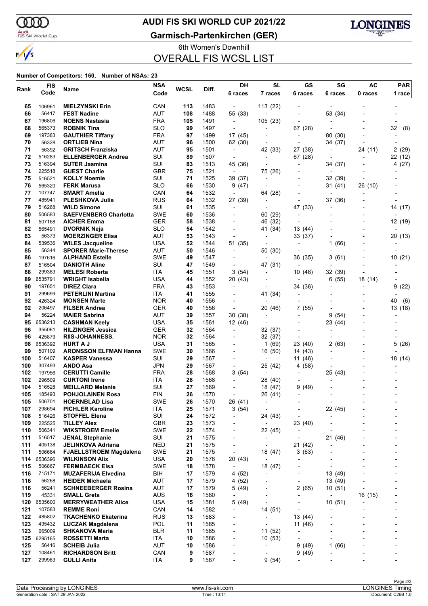ണ

 $\frac{1}{\sqrt{2}}$ 

### **AUDI FIS SKI WORLD CUP 2021/22**

Audi<br>FIS Ski World Cup

**Garmisch-Partenkirchen (GER)**



6th Women's Downhill OVERALL FIS WCSL LIST

#### **Number of Competitors: 160, Number of NSAs: 23**

| Rank       | <b>FIS</b>        | Name                                                   | <b>NSA</b>               | WCSL     | Diff.        | DH                                  | <b>SL</b>                                  | GS                           | SG                       | AC      | <b>PAR</b>               |
|------------|-------------------|--------------------------------------------------------|--------------------------|----------|--------------|-------------------------------------|--------------------------------------------|------------------------------|--------------------------|---------|--------------------------|
|            | Code              |                                                        | Code                     |          |              | 6 races                             | 7 races                                    | 6 races                      | 6 races                  | 0 races | 1 race                   |
| 65         | 106961            | <b>MIELZYNSKI Erin</b>                                 | CAN                      | 113      | 1483         | $\overline{\phantom{a}}$            | 113 (22)                                   |                              |                          |         |                          |
| 66         | 56417             | <b>FEST Nadine</b>                                     | <b>AUT</b>               | 108      | 1488         | 55 (33)                             | $\overline{a}$                             |                              | 53 (34)                  |         |                          |
| 67         | 196806            | <b>NOENS Nastasia</b>                                  | <b>FRA</b>               | 105      | 1491         | $\overline{\phantom{a}}$            | 105 (23)                                   |                              |                          |         |                          |
| 68         | 565373            | <b>ROBNIK Tina</b>                                     | <b>SLO</b>               | 99       | 1497         | $\overline{\phantom{a}}$            | $\overline{\phantom{a}}$                   | 67 (28)                      |                          |         | 32<br>(8)                |
| 69         | 197383            | <b>GAUTHIER Tiffany</b>                                | <b>FRA</b>               | 97       | 1499         | 17 (45)                             |                                            | $\overline{\phantom{a}}$     | 80<br>(30)               |         |                          |
| 70         | 56328             | <b>ORTLIEB Nina</b>                                    | AUT                      | 96       | 1500         | 62 (30)                             | $\overline{a}$                             | ٠                            | 34 (37)                  |         |                          |
| 71         | 56392             | <b>GRITSCH Franziska</b>                               | <b>AUT</b>               | 95       | 1501         | $\overline{\phantom{a}}$            | 42 (33)                                    | 27 (38)                      | $\overline{\phantom{a}}$ | 24 (11) | 2 (29)                   |
| 72<br>73   | 516283<br>516394  | <b>ELLENBERGER Andrea</b><br><b>SUTER Jasmina</b>      | SUI<br>SUI               | 89<br>83 | 1507<br>1513 | $\overline{a}$<br>45 (36)           | $\overline{a}$                             | 67 (28)<br>٠                 | 34 (37)                  |         | 22 (12)                  |
| 74         | 225518            | <b>GUEST Charlie</b>                                   | <b>GBR</b>               | 75       | 1521         | $\overline{\phantom{a}}$            | 75 (26)                                    |                              | $\overline{\phantom{a}}$ |         | 4 (27)                   |
| 75         | 516521            | <b>KOLLY Noemie</b>                                    | SUI                      | 71       | 1525         | 39 (37)                             | $\overline{a}$                             |                              | 32 (39)                  |         |                          |
| 76         | 565320            | <b>FERK Marusa</b>                                     | <b>SLO</b>               | 66       | 1530         | 9(47)                               | $\overline{a}$                             |                              | 31 (41)                  | 26 (10) |                          |
| 77         | 107747            | <b>SMART Amelia</b>                                    | CAN                      | 64       | 1532         | $\overline{\phantom{a}}$            | 64 (28)                                    |                              |                          |         |                          |
| 77         | 485941            | PLESHKOVA Julia                                        | <b>RUS</b>               | 64       | 1532         | 27 (39)                             | $\overline{a}$                             | $\overline{a}$               | 37 (36)                  |         |                          |
| 79         | 516268            | <b>WILD Simone</b>                                     | SUI                      | 61       | 1535         | $\overline{a}$                      | $\overline{a}$                             | 47<br>(33)                   |                          |         | 14 (17)                  |
| 80         | 506583            | <b>SAEFVENBERG Charlotta</b>                           | <b>SWE</b>               | 60       | 1536         |                                     | 60 (29)                                    | $\overline{\phantom{0}}$     |                          |         |                          |
| 81         | 507168            | <b>AICHER Emma</b>                                     | <b>GER</b>               | 58       | 1538         | $\blacksquare$                      | 46 (32)                                    |                              |                          |         | 12 (19)                  |
| 82         | 565491            | <b>DVORNIK Neja</b>                                    | <b>SLO</b>               | 54       | 1542         |                                     | 41 (34)                                    | 13 (44)                      |                          |         |                          |
| 83<br>84   | 56373<br>539536   | <b>MOERZINGER Elisa</b>                                | <b>AUT</b><br><b>USA</b> | 53<br>52 | 1543         | $\overline{\phantom{a}}$<br>51 (35) | $\overline{\phantom{a}}$                   | 33 (37)                      | 1                        |         | 20 (13)                  |
| 85         | 56344             | <b>WILES Jacqueline</b><br><b>SPORER Marie-Therese</b> | AUT                      | 50       | 1544<br>1546 | $\overline{\phantom{a}}$            | 50 (30)                                    |                              | (66)                     |         |                          |
| 86         | 197616            | <b>ALPHAND Estelle</b>                                 | <b>SWE</b>               | 49       | 1547         |                                     | $\overline{a}$                             | 36 (35)                      | 3 (61)                   |         | 10(21)                   |
| 87         | 516504            | <b>DANIOTH Aline</b>                                   | SUI                      | 47       | 1549         | $\blacksquare$                      | 47 (31)                                    | $\blacksquare$               |                          |         | $\overline{\phantom{0}}$ |
| 88         | 299383            | <b>MELESI Roberta</b>                                  | ITA                      | 45       | 1551         | 3 (54)                              | $\overline{a}$                             | 10 (48)                      | 32 (39)                  |         |                          |
| 89         | 6535791           | <b>WRIGHT Isabella</b>                                 | <b>USA</b>               | 44       | 1552         | 20 (43)                             |                                            | $\overline{\phantom{0}}$     | 6 (55)                   | 18 (14) |                          |
| 90         | 197651            | <b>DIREZ Clara</b>                                     | <b>FRA</b>               | 43       | 1553         | $\overline{a}$                      |                                            | 34 (36)                      |                          |         | (22)<br>9                |
| 91         | 299699            | <b>PETERLINI Martina</b>                               | ITA.                     | 41       | 1555         |                                     | 41 (34)                                    |                              |                          |         |                          |
| 92         | 426324            | <b>MONSEN Marte</b>                                    | <b>NOR</b>               | 40       | 1556         |                                     |                                            |                              |                          |         | 40<br>(6)                |
| 92         | 206497            | <b>FILSER Andrea</b>                                   | <b>GER</b>               | 40       | 1556         | ÷,                                  | 20 (46)                                    | 7<br>(55)                    |                          |         | 13 (18)                  |
| 94         | 56224             | <b>MAIER Sabrina</b>                                   | <b>AUT</b><br><b>USA</b> | 39<br>35 | 1557<br>1561 | 30 (38)                             | $\overline{a}$                             |                              | 9<br>(54)                |         |                          |
| 95<br>96   | 6536213<br>355061 | <b>CASHMAN Keely</b><br><b>HILZINGER Jessica</b>       | <b>GER</b>               | 32       | 1564         | 12 (46)<br>$\overline{\phantom{a}}$ | 32 (37)                                    |                              | 23 (44)                  |         |                          |
| 96         | 425879            | <b>RIIS-JOHANNESS.</b>                                 | <b>NOR</b>               | 32       | 1564         |                                     | 32 (37)                                    |                              |                          |         |                          |
| 98         | 6536392           | <b>HURT A J</b>                                        | <b>USA</b>               | 31       | 1565         |                                     | 1(69)                                      | 23 (40)                      | 2 (63)                   |         | 5(26)                    |
| 99         | 507109            | <b>ARONSSON ELFMAN Hanna</b>                           | <b>SWE</b>               | 30       | 1566         | $\blacksquare$                      | 16 (50)                                    | 14 (43)                      |                          |         |                          |
| 100        | 516407            | <b>KASPER Vanessa</b>                                  | SUI                      | 29       | 1567         | -                                   | $\overline{a}$                             | (46)<br>11                   |                          |         | 18 (14)                  |
| 100        | 307493            | <b>ANDO Asa</b>                                        | <b>JPN</b>               | 29       | 1567         | $\overline{\phantom{a}}$            | 25 (42)                                    | (58)<br>4                    |                          |         |                          |
| 102        | 197956            | <b>CERUTTI Camille</b>                                 | <b>FRA</b>               | 28       | 1568         | 3(54)                               | $\overline{a}$                             |                              | 25 (43)                  |         |                          |
| 102        | 296509            | <b>CURTONI Irene</b>                                   | ITA                      | 28       | 1568         |                                     | 28 (40)                                    |                              |                          |         |                          |
| 104        | 516528            | <b>MEILLARD Melanie</b>                                | SUI                      | 27       | 1569         |                                     | 18 (47)                                    | 9<br>(49)                    |                          |         |                          |
| 105<br>105 | 185493<br>506701  | <b>POHJOLAINEN Rosa</b><br><b>HOERNBLAD Lisa</b>       | <b>FIN</b><br>SWE        | 26<br>26 | 1570<br>1570 | $\blacksquare$<br>26 (41)           | 26 (41)<br>$\overline{a}$                  | $\overline{a}$               |                          |         |                          |
| 107        | 298694            | <b>PICHLER Karoline</b>                                | ITA                      | 25       | 1571         | 3(54)                               | $\overline{\phantom{a}}$                   | $\blacksquare$               | 22 (45)                  |         |                          |
| 108        | 516426            | <b>STOFFEL Elena</b>                                   | SUI                      | 24       | 1572         | $\overline{\phantom{a}}$            | 24 (43)                                    | $\overline{\phantom{a}}$     | ÷,                       |         |                          |
| 109        | 225525            | <b>TILLEY Alex</b>                                     | GBR                      | 23       | 1573         | $\overline{\phantom{a}}$            | $\overline{\phantom{a}}$                   | 23 (40)                      | Ĭ.                       |         |                          |
| 110        | 506341            | <b>WIKSTROEM Emelie</b>                                | <b>SWE</b>               | 22       | 1574         | $\overline{\phantom{a}}$            | 22 (45)                                    | $\qquad \qquad \blacksquare$ |                          |         |                          |
| 111        | 516517            | <b>JENAL Stephanie</b>                                 | SUI                      | 21       | 1575         | $\overline{\phantom{a}}$            | $\overline{\phantom{a}}$                   | $\overline{\phantom{a}}$     | 21 (46)                  |         |                          |
| 111        | 405138            | JELINKOVA Adriana                                      | <b>NED</b>               | 21       | 1575         | $\overline{\phantom{a}}$            | $\overline{\phantom{a}}$                   | 21 (42)                      |                          |         |                          |
| 111        | 506664            | <b>FJAELLSTROEM Magdalena</b>                          | <b>SWE</b>               | 21       | 1575         | $\overline{\phantom{a}}$            | 18 (47)                                    | 3(63)                        |                          |         |                          |
| 114        | 6536396<br>506867 | <b>WILKINSON Alix</b>                                  | <b>USA</b><br><b>SWE</b> | 20       | 1576         | 20 (43)                             | $\overline{\phantom{a}}$                   | $\overline{a}$               | L,<br>÷,                 |         |                          |
| 115<br>116 | 715171            | <b>FERMBAECK Elsa</b><br><b>MUZAFERIJA Elvedina</b>    | BIH                      | 18<br>17 | 1578<br>1579 | $\overline{\phantom{a}}$<br>4 (52)  | 18 (47)<br>$\overline{\phantom{a}}$        | $\overline{\phantom{a}}$     | 13 (49)                  |         |                          |
| 116        | 56268             | <b>HEIDER Michaela</b>                                 | <b>AUT</b>               | 17       | 1579         | 4(52)                               | -                                          | $\overline{\phantom{0}}$     | 13 (49)                  |         |                          |
| 116        | 56241             | <b>SCHNEEBERGER Rosina</b>                             | AUT                      | 17       | 1579         | 5 (49)                              | ٠                                          | 2(65)                        | 10(51)                   |         |                          |
| 119        | 45331             | <b>SMALL Greta</b>                                     | <b>AUS</b>               | 16       | 1580         | $\overline{\phantom{a}}$            | $\overline{\phantom{0}}$                   | $\overline{\phantom{0}}$     | $\overline{\phantom{a}}$ | 16 (15) |                          |
| 120        | 6535600           | <b>MERRYWEATHER Alice</b>                              | <b>USA</b>               | 15       | 1581         | 5(49)                               | $\overline{a}$                             |                              | 10(51)                   |         |                          |
| 121        | 107583            | <b>REMME Roni</b>                                      | CAN                      | 14       | 1582         | $\overline{\phantom{a}}$            | 14 (51)                                    | $\overline{\phantom{0}}$     | $\overline{a}$           |         |                          |
| 122        | 485802            | <b>TKACHENKO Ekaterina</b>                             | <b>RUS</b>               | 13       | 1583         | -                                   | $\overline{\phantom{a}}$                   | 13 (44)                      | Ĭ.                       |         |                          |
| 123        | 435432            | <b>LUCZAK Magdalena</b>                                | POL                      | 11       | 1585         | $\overline{\phantom{a}}$            | ٠                                          | 11 (46)                      | Ĭ.                       |         |                          |
| 123        | 665009            | <b>SHKANOVA Maria</b>                                  | <b>BLR</b>               | 11       | 1585         | $\overline{\phantom{a}}$            | 11 (52)                                    |                              |                          |         |                          |
| 125        | 6295165           | <b>ROSSETTI Marta</b>                                  | ITA                      | 10       | 1586         | -                                   | 10(53)                                     | $\overline{\phantom{a}}$     | $\overline{\phantom{a}}$ |         |                          |
| 125<br>127 | 56416<br>108461   | <b>SCHEIB Julia</b><br><b>RICHARDSON Britt</b>         | <b>AUT</b><br>CAN        | 10<br>9  | 1586<br>1587 | $\overline{\phantom{a}}$<br>-       | $\overline{\phantom{a}}$<br>$\overline{a}$ | 9<br>(49)<br>9<br>(49)       | 1(66)                    |         | $\overline{\phantom{a}}$ |
| 127        | 299983            | <b>GULLI Anita</b>                                     | ITA                      | 9        | 1587         | -                                   | 9(54)                                      |                              |                          |         |                          |
|            |                   |                                                        |                          |          |              |                                     |                                            |                              |                          |         |                          |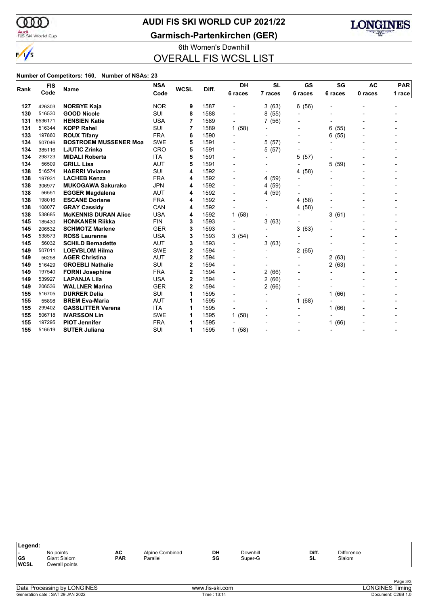

### **AUDI FIS SKI WORLD CUP 2021/22**

Audi<br>FIS Ski World Cup

### **Garmisch-Partenkirchen (GER)**



6th Women's Downhill OVERALL FIS WCSL LIST

#### **Number of Competitors: 160, Number of NSAs: 23**

| <b>FIS</b><br>Rank<br>Code | <b>Name</b> | <b>NSA</b>                   | <b>WCSL</b> | Diff. | DH   | <b>SL</b>                | GS                       | SG                       | <b>AC</b>                | <b>PAR</b> |                          |
|----------------------------|-------------|------------------------------|-------------|-------|------|--------------------------|--------------------------|--------------------------|--------------------------|------------|--------------------------|
|                            |             |                              | Code        |       |      | 6 races                  | 7 races                  | 6 races                  | 6 races                  | 0 races    | 1 race                   |
| 127                        | 426303      | <b>NORBYE Kaja</b>           | <b>NOR</b>  | 9     | 1587 |                          | 3(63)                    | (56)<br>6                |                          |            |                          |
| 130                        | 516530      | <b>GOOD Nicole</b>           | SUI         | 8     | 1588 |                          | 8(55)                    | $\blacksquare$           |                          |            |                          |
| 131                        | 6536171     | <b>HENSIEN Katie</b>         | <b>USA</b>  | 7     | 1589 | $\overline{\phantom{0}}$ | 7 (56)                   | $\blacksquare$           |                          |            |                          |
| 131                        | 516344      | <b>KOPP Rahel</b>            | SUI         | 7     | 1589 | 1(58)                    |                          | $\overline{\phantom{0}}$ | 6<br>(55)                |            |                          |
| 133                        | 197860      | <b>ROUX Tifany</b>           | <b>FRA</b>  | 6     | 1590 | $\overline{\phantom{a}}$ |                          | $\blacksquare$           | (55)<br>6                |            |                          |
| 134                        | 507046      | <b>BOSTROEM MUSSENER Moa</b> | <b>SWE</b>  | 5     | 1591 | $\blacksquare$           | (57)<br>5                | $\blacksquare$           | $\overline{a}$           |            |                          |
| 134                        | 385116      | <b>LJUTIC Zrinka</b>         | <b>CRO</b>  | 5     | 1591 | -                        | (57)<br>5.               | $\blacksquare$           |                          |            |                          |
| 134                        | 298723      | <b>MIDALI Roberta</b>        | <b>ITA</b>  | 5     | 1591 | -                        |                          | 5<br>(57)                |                          |            |                          |
| 134                        | 56509       | <b>GRILL Lisa</b>            | <b>AUT</b>  | 5     | 1591 | -                        |                          |                          | 5<br>(59)                |            |                          |
| 138                        | 516574      | <b>HAERRI Vivianne</b>       | SUI         | 4     | 1592 | $\blacksquare$           |                          | (58)<br>4                | ۰                        |            |                          |
| 138                        | 197931      | <b>LACHEB Kenza</b>          | <b>FRA</b>  | 4     | 1592 | $\overline{\phantom{a}}$ | 4 (59)                   |                          |                          |            |                          |
| 138                        | 306977      | <b>MUKOGAWA Sakurako</b>     | <b>JPN</b>  | 4     | 1592 | $\overline{\phantom{0}}$ | 4 (59)                   |                          |                          |            |                          |
| 138                        | 56551       | <b>EGGER Magdalena</b>       | <b>AUT</b>  | 4     | 1592 | $\blacksquare$           | 4 (59)                   |                          |                          |            |                          |
| 138                        | 198016      | <b>ESCANE Doriane</b>        | <b>FRA</b>  | 4     | 1592 | $\blacksquare$           | $\overline{a}$           | (58)<br>4                |                          |            |                          |
| 138                        | 108077      | <b>GRAY Cassidy</b>          | CAN         | 4     | 1592 | $\overline{\phantom{0}}$ |                          | (58)<br>4                |                          |            |                          |
| 138                        | 538685      | <b>MCKENNIS DURAN Alice</b>  | <b>USA</b>  | 4     | 1592 | 1(58)                    |                          |                          | 3(61)                    |            |                          |
| 145                        | 185430      | <b>HONKANEN Riikka</b>       | <b>FIN</b>  | 3     | 1593 | $\overline{\phantom{a}}$ | 3(63)                    |                          |                          |            |                          |
| 145                        | 206532      | <b>SCHMOTZ Marlene</b>       | <b>GER</b>  | 3     | 1593 | $\overline{\phantom{0}}$ |                          | 3<br>(63)                |                          |            |                          |
| 145                        | 538573      | <b>ROSS Laurenne</b>         | <b>USA</b>  | 3     | 1593 | 3(54)                    | $\blacksquare$           | $\blacksquare$           |                          |            |                          |
| 145                        | 56032       | <b>SCHILD Bernadette</b>     | <b>AUT</b>  | 3     | 1593 | $\overline{\phantom{0}}$ | 3<br>(63)                |                          |                          |            |                          |
| 149                        | 507011      | <b>LOEVBLOM Hilma</b>        | <b>SWE</b>  | 2     | 1594 | $\blacksquare$           | $\overline{\phantom{a}}$ | 2<br>(65)                |                          |            |                          |
| 149                        | 56258       | <b>AGER Christina</b>        | <b>AUT</b>  | 2     | 1594 | -                        |                          | $\overline{\phantom{0}}$ | 2<br>(63)                |            |                          |
| 149                        | 516429      | <b>GROEBLI Nathalie</b>      | <b>SUI</b>  | 2     | 1594 | -                        | $\overline{\phantom{0}}$ | $\overline{\phantom{0}}$ | 2(63)                    |            |                          |
| 149                        | 197540      | <b>FORNI Josephine</b>       | <b>FRA</b>  | 2     | 1594 | $\overline{\phantom{0}}$ | 2(66)                    | $\blacksquare$           | $\overline{a}$           |            |                          |
| 149                        | 539927      | <b>LAPANJA Lila</b>          | <b>USA</b>  | 2     | 1594 | $\overline{\phantom{a}}$ | 2(66)                    | $\overline{\phantom{a}}$ |                          |            |                          |
| 149                        | 206536      | <b>WALLNER Marina</b>        | <b>GER</b>  | 2     | 1594 | $\overline{\phantom{0}}$ | 2(66)                    |                          |                          |            |                          |
| 155                        | 516705      | <b>DURRER Delia</b>          | SUI         | 1     | 1595 | -                        | $\overline{a}$           | $\overline{\phantom{0}}$ | (66)<br>1                |            |                          |
| 155                        | 55898       | <b>BREM Eva-Maria</b>        | <b>AUT</b>  | 1     | 1595 | $\overline{\phantom{a}}$ |                          | (68)<br>1                | L,                       |            |                          |
| 155                        | 299402      | <b>GASSLITTER Verena</b>     | <b>ITA</b>  | 1     | 1595 | $\overline{\phantom{0}}$ | $\overline{a}$           | $\blacksquare$           | (66)<br>1                |            |                          |
| 155                        | 506718      | <b>IVARSSON Lin</b>          | <b>SWE</b>  | 1     | 1595 | 1(58)                    |                          |                          |                          |            |                          |
| 155                        | 197295      | <b>PIOT Jennifer</b>         | <b>FRA</b>  | 1     | 1595 |                          |                          |                          | (66)                     |            |                          |
| 155                        | 516519      | <b>SUTER Juliana</b>         | SUI         | 1     | 1595 | 1(58)                    |                          |                          | $\overline{\phantom{a}}$ |            | $\overline{\phantom{0}}$ |

| ∣Legend:                  |                                             |                  |                             |          |                     |             |                             |  |
|---------------------------|---------------------------------------------|------------------|-----------------------------|----------|---------------------|-------------|-----------------------------|--|
| . .<br> GS<br><b>WCSL</b> | No points<br>Giant Slalom<br>Overall points | AC<br><b>PAR</b> | Alpine Combined<br>Parallel | DH<br>SG | Downhill<br>Super-G | Diff.<br>SL | <b>Difference</b><br>Slalom |  |
|                           |                                             |                  |                             |          |                     |             |                             |  |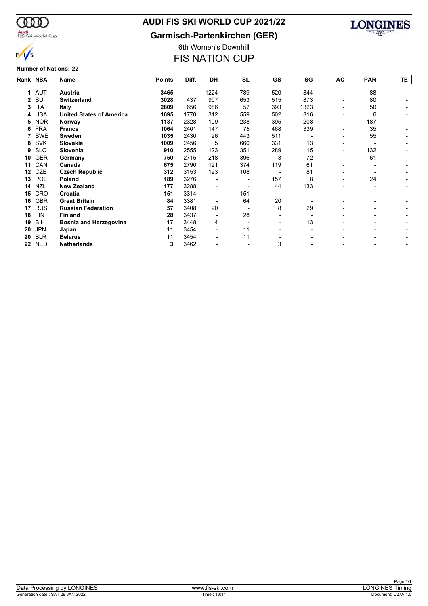

### **AUDI FIS SKI WORLD CUP 2021/22**

**Garmisch-Partenkirchen (GER)**



### $\frac{1}{s}$ **Number of Nations: 22**

### 6th Women's Downhill **FIS NATION CUP**

| Rank NSA     |            | Name                            | <b>Points</b> | Diff. | <b>DH</b>      | <b>SL</b> | GS  | SG   | AC                       | <b>PAR</b>               | TΕ. |
|--------------|------------|---------------------------------|---------------|-------|----------------|-----------|-----|------|--------------------------|--------------------------|-----|
| 1            | AUT        | Austria                         | 3465          |       | 1224           | 789       | 520 | 844  | ۰                        | 88                       |     |
| $\mathbf{2}$ | SUI        | Switzerland                     | 3028          | 437   | 907            | 653       | 515 | 873  | ۰                        | 80                       |     |
| 3            | <b>ITA</b> | <b>Italy</b>                    | 2809          | 656   | 986            | 57        | 393 | 1323 | Ξ.                       | 50                       |     |
| 4            | <b>USA</b> | <b>United States of America</b> | 1695          | 1770  | 312            | 559       | 502 | 316  | $\overline{\phantom{0}}$ | 6                        |     |
| 5            | <b>NOR</b> | Norway                          | 1137          | 2328  | 109            | 238       | 395 | 208  | -                        | 187                      |     |
| 6            | <b>FRA</b> | <b>France</b>                   | 1064          | 2401  | 147            | 75        | 468 | 339  | ۰                        | 35                       |     |
| 7            | <b>SWE</b> | Sweden                          | 1035          | 2430  | 26             | 443       | 511 |      | -                        | 55                       |     |
| 8            | <b>SVK</b> | Slovakia                        | 1009          | 2456  | 5              | 660       | 331 | 13   | $\overline{\phantom{0}}$ |                          |     |
| 9            | <b>SLO</b> | Slovenia                        | 910           | 2555  | 123            | 351       | 289 | 15   | -                        | 132                      |     |
| 10           | <b>GER</b> | Germany                         | 750           | 2715  | 218            | 396       | 3   | 72   | ۰                        | 61                       |     |
| 11           | CAN        | Canada                          | 675           | 2790  | 121            | 374       | 119 | 61   |                          |                          |     |
| $12 \,$      | CZE        | <b>Czech Republic</b>           | 312           | 3153  | 123            | 108       |     | 81   | -                        |                          |     |
| 13           | POL        | Poland                          | 189           | 3276  |                |           | 157 | 8    | ۰                        | 24                       |     |
| 14           | <b>NZL</b> | <b>New Zealand</b>              | 177           | 3288  | -              |           | 44  | 133  |                          | -                        |     |
| 15           | CRO        | Croatia                         | 151           | 3314  | $\blacksquare$ | 151       |     |      |                          |                          |     |
| 16           | <b>GBR</b> | <b>Great Britain</b>            | 84            | 3381  |                | 64        | 20  |      |                          | $\overline{\phantom{0}}$ |     |
| 17           | <b>RUS</b> | <b>Russian Federation</b>       | 57            | 3408  | 20             |           | 8   | 29   |                          |                          |     |
| 18           | <b>FIN</b> | <b>Finland</b>                  | 28            | 3437  |                | 28        |     |      |                          |                          |     |
| 19           | <b>BIH</b> | Bosnia and Herzegovina          | 17            | 3448  | 4              |           |     | 13   |                          |                          |     |
| 20           | <b>JPN</b> | Japan                           | 11            | 3454  |                | 11        |     |      |                          |                          |     |
| 20           | <b>BLR</b> | <b>Belarus</b>                  | 11            | 3454  |                | 11        |     |      |                          |                          |     |
| 22           | <b>NED</b> | <b>Netherlands</b>              | 3             | 3462  |                |           | 3   |      |                          |                          |     |
|              |            |                                 |               |       |                |           |     |      |                          |                          |     |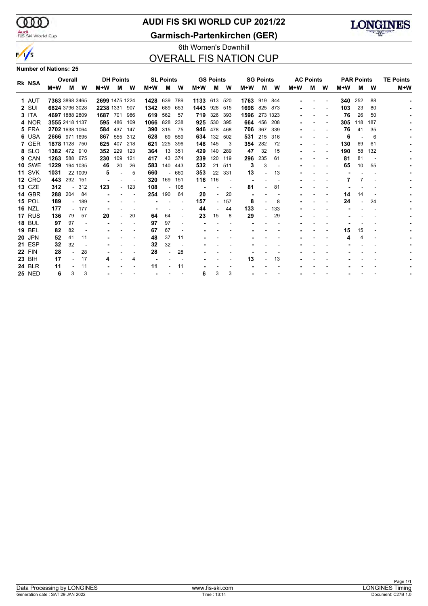$\infty$ Audi<br>FIS Ski World Cup

 $\frac{1}{s}$ 

### **AUDI FIS SKI WORLD CUP 2021/22**

**Garmisch-Partenkirchen (GER)**



### 6th Women's Downhill OVERALL FIS NATION CUP

**Number of Nations: 25**

|               |                | Overall        |          |                | <b>DH Points</b> |                          |       | <b>SL Points</b>         |         |      | <b>GS Points</b> |                          |                | <b>SG Points</b>         |     |       | <b>AC Points</b> |   | <b>PAR Points</b> |     |     | <b>TE Points</b> |
|---------------|----------------|----------------|----------|----------------|------------------|--------------------------|-------|--------------------------|---------|------|------------------|--------------------------|----------------|--------------------------|-----|-------|------------------|---|-------------------|-----|-----|------------------|
| <b>RK NSA</b> | M+W            | M              | W        | M+W            | м                | W                        | $M+W$ | м                        | w       | M+W  | м                | W                        | $M+W$          | м                        | W   | $M+W$ | м                | W | $M+W$             | м   | W   | $M+W$            |
| 1 AUT         | 7363 3898 3465 |                |          | 2699 1475 1224 |                  |                          | 1428  | 639                      | 789     | 1133 | 613              | 520                      | 1763 919 844   |                          |     |       |                  |   | 340               | 252 | 88  |                  |
| 2 SUI         | 6824 3796 3028 |                |          | 2238 1331      |                  | 907                      | 1342  | 689                      | 653     | 1443 | 928              | 515                      | 1698 825 873   |                          |     |       |                  |   | 103               | 23  | 80  |                  |
| 3 ITA         | 4697 1888 2809 |                |          | 1687           | 701              | 986                      | 619   | 562                      | 57      | 719  | 326              | 393                      | 1596           | 273 1323                 |     |       |                  |   | 76                | 26  | 50  |                  |
| 4 NOR         | 3555 2418 1137 |                |          | 595            | 486              | 109                      | 1066  | 828                      | 238     | 925  | 530              | 395                      |                | 664 456                  | 208 |       |                  |   | 305               | 118 | 187 |                  |
| 5 FRA         | 2702 1638 1064 |                |          |                | 584 437          | 147                      | 390   | 315                      | 75      | 946  | 478              | 468                      |                | 706 367                  | 339 |       |                  |   | 76                | -41 | 35  |                  |
| 6 USA         | 2666 971 1695  |                |          | 867            | 555              | 312                      | 628   | 69                       | 559     | 634  | 132              | 502                      | 531            | 215                      | 316 |       |                  |   | 6                 |     | 6   |                  |
| 7 GER         | 1878 1128 750  |                |          | 625            | 407              | 218                      | 621   | 225                      | 396     | 148  | 145              | 3                        | 354            | 282                      | 72  |       |                  |   | 130               | 69  | 61  |                  |
| 8 SLO         | 1382 472 910   |                |          | 352            | 229              | 123                      | 364   | 13                       | 351     | 429  | 140              | 289                      | 47             | 32                       | 15  |       |                  |   | 190               | 58  | 132 |                  |
| 9 CAN         | 1263           |                | 588 675  | 230            | 109              | 121                      | 417   | 43                       | 374     | 239  | 120              | 119                      | 296            | 235                      | 61  |       |                  |   | 81                | 81  |     |                  |
| <b>10 SWE</b> | 1229           |                | 194 1035 | 46             | 20               | 26                       | 583   |                          | 140 443 | 532  | 21               | 511                      | 3              | 3                        |     |       |                  |   | 65                | 10  | 55  |                  |
| <b>11 SVK</b> | 1031           |                | 22 1009  | 5              |                  | 5                        | 660   | $\overline{\phantom{a}}$ | 660     | 353  | 22               | 331                      | 13             |                          | 13  |       |                  |   |                   |     |     |                  |
| <b>12 CRO</b> | 443            |                | 292 151  |                |                  | $\overline{\phantom{a}}$ | 320   | 169                      | 151     | 116  | 116              | $\overline{\phantom{a}}$ |                |                          |     |       |                  |   |                   | 7   |     |                  |
| <b>13 CZE</b> | 312            | $\blacksquare$ | 312      | 123            |                  | $-123$                   | 108   | $\overline{\phantom{a}}$ | 108     |      |                  |                          | 81             |                          | 81  |       |                  |   |                   |     |     |                  |
| <b>14 GBR</b> | 288            | 204            | 84       |                |                  |                          | 254   | 190                      | 64      | 20   |                  | 20                       | $\overline{a}$ |                          |     |       |                  |   | 14                | 14  |     |                  |
| <b>15 POL</b> | 189            |                | 189      |                |                  |                          |       |                          |         | 157  |                  | $-157$                   | 8              |                          | 8   |       |                  |   | 24                |     | 24  |                  |
| <b>16 NZL</b> | 177            |                | 177      |                |                  |                          |       |                          |         | 44   |                  | 44                       | 133            | $\overline{a}$           | 133 |       |                  |   |                   |     |     |                  |
| 17 RUS        | 136            | 79             | 57       | 20             |                  | 20                       | 64    | 64                       |         | 23   | 15               | 8                        | 29             | $\overline{\phantom{a}}$ | 29  |       |                  |   |                   |     |     |                  |
| <b>18 BUL</b> | 97             | 97             |          |                |                  |                          | 97    | 97                       |         |      |                  |                          |                |                          |     |       |                  |   |                   |     |     |                  |
| <b>19 BEL</b> | 82             | 82             |          |                |                  |                          | 67    | 67                       |         |      |                  |                          |                |                          |     |       |                  |   | 15                | 15  |     |                  |
| <b>20 JPN</b> | 52             | 41             | 11       |                |                  |                          | 48    | 37                       | 11      |      |                  |                          |                |                          |     |       |                  |   |                   | 4   |     |                  |
| <b>21 ESP</b> | 32             | 32             |          |                |                  |                          | 32    | 32                       |         |      |                  |                          |                |                          |     |       |                  |   |                   |     |     |                  |
| <b>22 FIN</b> | 28             |                | 28       |                |                  |                          | 28    |                          | 28      |      |                  |                          |                |                          |     |       |                  |   |                   |     |     |                  |
| 23 BIH        | 17             |                | 17       | 4              |                  | 4                        |       |                          |         |      |                  |                          | 13             |                          | 13  |       |                  |   |                   |     |     |                  |
| <b>24 BLR</b> | 11             |                | 11       |                |                  |                          | 11    |                          | 11      |      |                  |                          |                |                          |     |       |                  |   |                   |     |     |                  |
| <b>25 NED</b> | 6              | 3              | 3        |                |                  |                          |       |                          |         | 6    | 3                | 3                        |                |                          |     |       |                  |   |                   |     |     |                  |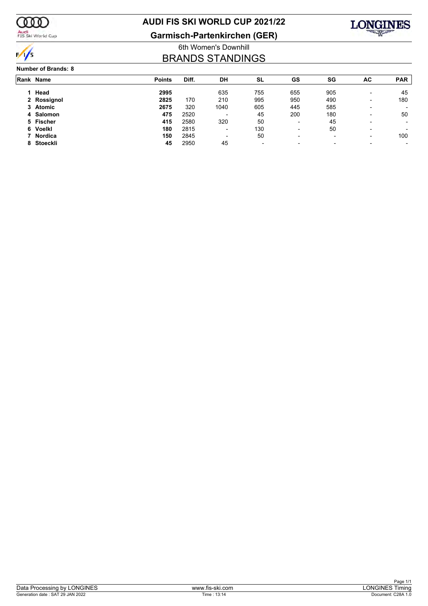

Audi<br>FIS Ski World Cup

### **AUDI FIS SKI WORLD CUP 2021/22**

**Garmisch-Partenkirchen (GER)**



### 6th Women's Downhill BRANDS STANDINGS

#### **Number of Brands: 8**

| Rank Name   | <b>Points</b> | Diff. | DH                       | SL                       | GS                       | SG                       | AC                       | <b>PAR</b> |
|-------------|---------------|-------|--------------------------|--------------------------|--------------------------|--------------------------|--------------------------|------------|
| Head        | 2995          |       | 635                      | 755                      | 655                      | 905                      |                          | 45         |
| 2 Rossignol | 2825          | 170   | 210                      | 995                      | 950                      | 490                      | $\overline{\phantom{0}}$ | 180        |
| 3 Atomic    | 2675          | 320   | 1040                     | 605                      | 445                      | 585                      | $\overline{\phantom{0}}$ |            |
| 4 Salomon   | 475           | 2520  | $\overline{\phantom{a}}$ | 45                       | 200                      | 180                      |                          | 50         |
| 5 Fischer   | 415           | 2580  | 320                      | 50                       | $\blacksquare$           | 45                       |                          |            |
| 6 Voelkl    | 180           | 2815  | $\blacksquare$           | 130                      | $\blacksquare$           | 50                       |                          |            |
| 7 Nordica   | 150           | 2845  | $\overline{\phantom{0}}$ | 50                       | $\overline{\phantom{0}}$ | $\overline{\phantom{a}}$ | $\overline{\phantom{0}}$ | 100        |
| 8 Stoeckli  | 45            | 2950  | 45                       | $\overline{\phantom{a}}$ | $\overline{\phantom{0}}$ | $\overline{\phantom{a}}$ |                          |            |
|             |               |       |                          |                          |                          |                          |                          |            |